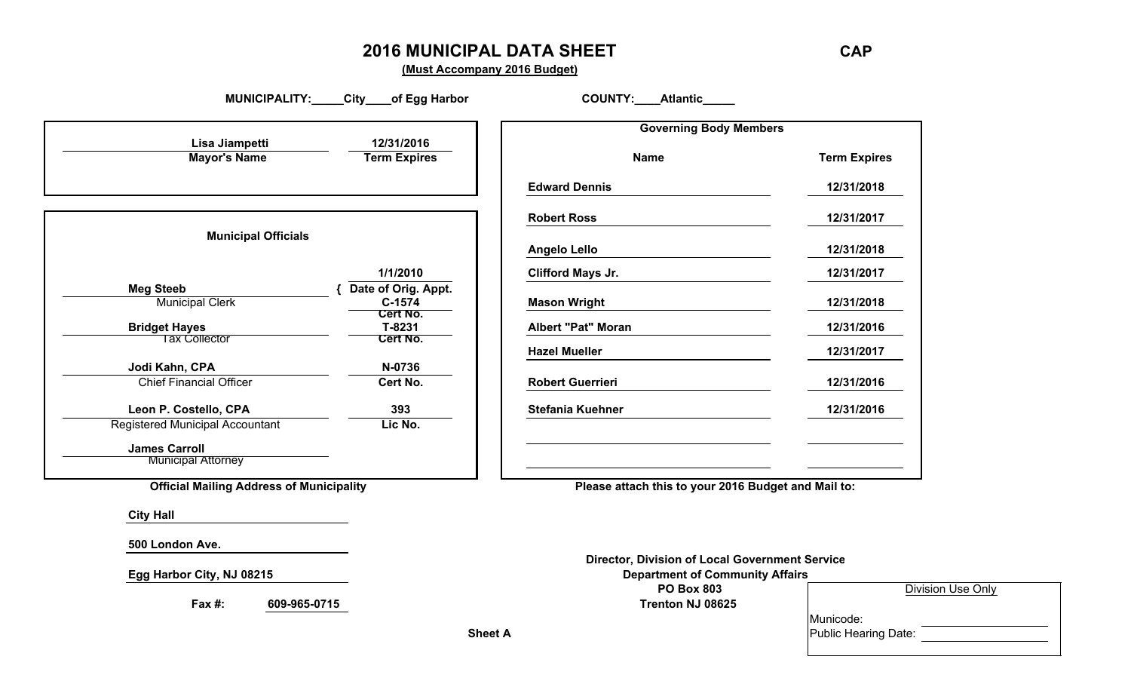#### **2016 MUNICIPAL DATA SHEET CAP**

**(Must Accompany 2016 Budget)**

MUNICIPALITY: City of Egg Harbor COUNTY: Atlantic **Governing Body Members Lisa Jiampetti 12/31/2016 Mayor's Name Term Expires Name Term Expires Edward Dennis 12/31/2018 Robert Ross 12/31/2017 Municipal Officials Angelo Lello 12/31/2018 1/1/2010 Clifford Mays Jr. 12/31/2017 Meg Steeb Municipal Clerk 6 C-1574** (*Date of Orig. Appt.* **Mason Wright C-15741/2018 Mason Wright C-15741/2018 Cert No. Bridget Hayes T-8231 Albert "Pat" Moran 12/31/2016** Tax Collector **Cert No. Hazel Mueller 12/31/2017** Jodi Kahn, CPA N-0736 Chief Financial Officer **Cert No. Robert Guerrieri 12/31/2016 Leon P. Costello, CPA 393 Stefania Kuehner 12/31/2016** Registered Municipal Accountant **Lic No. James Carroll Municipal Attorney Official Mailing Address of Municipality Please attach this to your 2016 Budget and Mail to: City Hall 500 London Ave. Director, Division of Local Government Service Egg Harbor City, NJ 08215 Department of Community Affairs**

**Fax #: 609-965-0715 Trenton NJ 08625**

**PO Box 803** Division Use Only

Municode: **Sheet A** Public Hearing Date: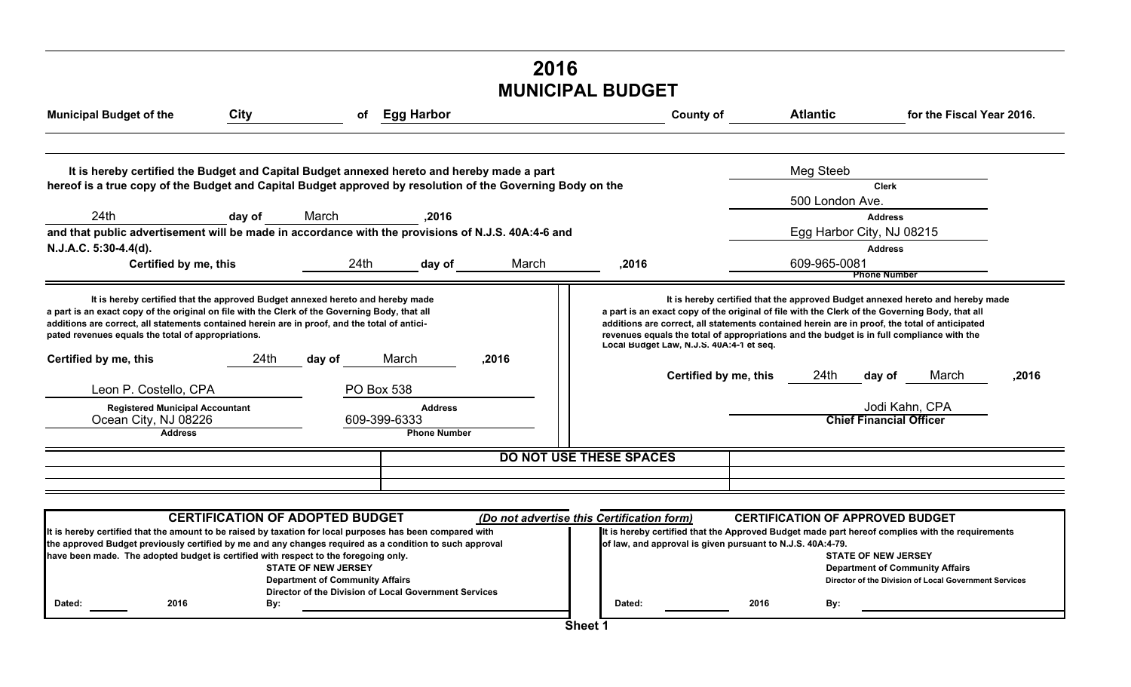# **MUNICIPAL BUDGET 2016**

| <b>Municipal Budget of the</b>                                                                                                                                                                                                                                                                                                                                   | City                                     | of                                                                                                                                                                      | <b>Egg Harbor</b>                     |                                                                                                                                                                                                                                                                                                                                                                                | <b>County of</b>                                                                                                   |      | <b>Atlantic</b>                                             | for the Fiscal Year 2016.                                                                                                                                                                                                                                                   |       |  |  |
|------------------------------------------------------------------------------------------------------------------------------------------------------------------------------------------------------------------------------------------------------------------------------------------------------------------------------------------------------------------|------------------------------------------|-------------------------------------------------------------------------------------------------------------------------------------------------------------------------|---------------------------------------|--------------------------------------------------------------------------------------------------------------------------------------------------------------------------------------------------------------------------------------------------------------------------------------------------------------------------------------------------------------------------------|--------------------------------------------------------------------------------------------------------------------|------|-------------------------------------------------------------|-----------------------------------------------------------------------------------------------------------------------------------------------------------------------------------------------------------------------------------------------------------------------------|-------|--|--|
| It is hereby certified the Budget and Capital Budget annexed hereto and hereby made a part<br>hereof is a true copy of the Budget and Capital Budget approved by resolution of the Governing Body on the                                                                                                                                                         |                                          |                                                                                                                                                                         |                                       |                                                                                                                                                                                                                                                                                                                                                                                |                                                                                                                    |      | Meg Steeb                                                   | <b>Clerk</b>                                                                                                                                                                                                                                                                |       |  |  |
| 24th                                                                                                                                                                                                                                                                                                                                                             | day of                                   | March                                                                                                                                                                   | ,2016                                 |                                                                                                                                                                                                                                                                                                                                                                                |                                                                                                                    |      | 500 London Ave.                                             | <b>Address</b>                                                                                                                                                                                                                                                              |       |  |  |
| and that public advertisement will be made in accordance with the provisions of N.J.S. 40A:4-6 and<br>N.J.A.C. 5:30-4.4(d).<br>Certified by me, this                                                                                                                                                                                                             |                                          | 24 <sub>th</sub>                                                                                                                                                        | day of                                | March                                                                                                                                                                                                                                                                                                                                                                          | .2016                                                                                                              |      | Egg Harbor City, NJ 08215<br><b>Address</b><br>609-965-0081 |                                                                                                                                                                                                                                                                             |       |  |  |
|                                                                                                                                                                                                                                                                                                                                                                  |                                          |                                                                                                                                                                         |                                       |                                                                                                                                                                                                                                                                                                                                                                                |                                                                                                                    |      |                                                             | <b>Phone Number</b>                                                                                                                                                                                                                                                         |       |  |  |
| It is hereby certified that the approved Budget annexed hereto and hereby made<br>a part is an exact copy of the original on file with the Clerk of the Governing Body, that all<br>additions are correct, all statements contained herein are in proof, and the total of antici-<br>pated revenues equals the total of appropriations.<br>Certified by me, this | Local Budget Law, N.J.S. 40A:4-1 et seq. |                                                                                                                                                                         |                                       | It is hereby certified that the approved Budget annexed hereto and hereby made<br>a part is an exact copy of the original of file with the Clerk of the Governing Body, that all<br>additions are correct, all statements contained herein are in proof, the total of anticipated<br>revenues equals the total of appropriations and the budget is in full compliance with the |                                                                                                                    |      |                                                             |                                                                                                                                                                                                                                                                             |       |  |  |
| Leon P. Costello, CPA                                                                                                                                                                                                                                                                                                                                            | 24th                                     | day of<br><b>PO Box 538</b>                                                                                                                                             | March                                 | ,2016                                                                                                                                                                                                                                                                                                                                                                          | Certified by me, this                                                                                              |      | 24th                                                        | March<br>day of                                                                                                                                                                                                                                                             | ,2016 |  |  |
| <b>Registered Municipal Accountant</b><br>Ocean City, NJ 08226<br><b>Address</b>                                                                                                                                                                                                                                                                                 |                                          | 609-399-6333                                                                                                                                                            | <b>Address</b><br><b>Phone Number</b> |                                                                                                                                                                                                                                                                                                                                                                                |                                                                                                                    |      |                                                             | Jodi Kahn, CPA<br><b>Chief Financial Officer</b>                                                                                                                                                                                                                            |       |  |  |
|                                                                                                                                                                                                                                                                                                                                                                  |                                          |                                                                                                                                                                         |                                       |                                                                                                                                                                                                                                                                                                                                                                                | <b>DO NOT USE THESE SPACES</b>                                                                                     |      |                                                             |                                                                                                                                                                                                                                                                             |       |  |  |
|                                                                                                                                                                                                                                                                                                                                                                  |                                          |                                                                                                                                                                         |                                       |                                                                                                                                                                                                                                                                                                                                                                                |                                                                                                                    |      |                                                             |                                                                                                                                                                                                                                                                             |       |  |  |
|                                                                                                                                                                                                                                                                                                                                                                  |                                          |                                                                                                                                                                         |                                       |                                                                                                                                                                                                                                                                                                                                                                                |                                                                                                                    |      |                                                             |                                                                                                                                                                                                                                                                             |       |  |  |
| It is hereby certified that the amount to be raised by taxation for local purposes has been compared with<br>the approved Budget previously certified by me and any changes required as a condition to such approval<br>have been made. The adopted budget is certified with respect to the foregoing only.<br>2016<br>Dated:                                    | By:                                      | <b>CERTIFICATION OF ADOPTED BUDGET</b><br><b>STATE OF NEW JERSEY</b><br><b>Department of Community Affairs</b><br>Director of the Division of Local Government Services |                                       |                                                                                                                                                                                                                                                                                                                                                                                | (Do not advertise this Certification form)<br>of law, and approval is given pursuant to N.J.S. 40A:4-79.<br>Dated: | 2016 | By:                                                         | <b>CERTIFICATION OF APPROVED BUDGET</b><br>It is hereby certified that the Approved Budget made part hereof complies with the requirements<br><b>STATE OF NEW JERSEY</b><br><b>Department of Community Affairs</b><br>Director of the Division of Local Government Services |       |  |  |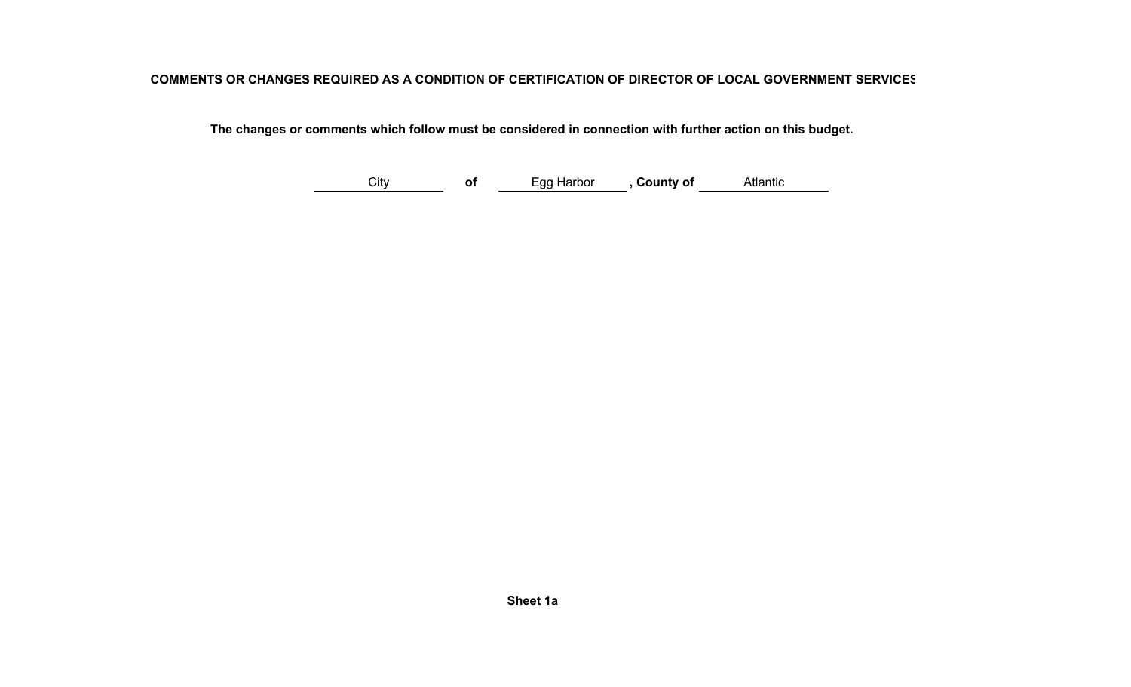#### **COMMENTS OR CHANGES REQUIRED AS A CONDITION OF CERTIFICATION OF DIRECTOR OF LOCAL GOVERNMENT SERVICES**

 **The changes or comments which follow must be considered in connection with further action on this budget.**

City **of** Egg Harbor **, County of** Atlantic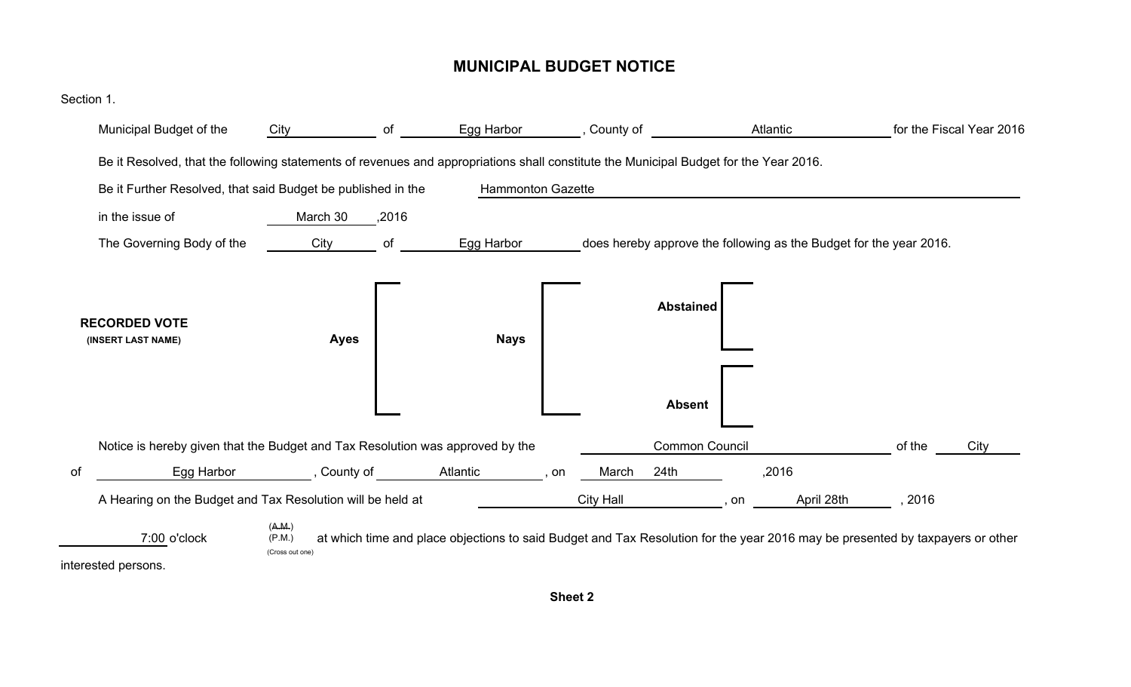#### **MUNICIPAL BUDGET NOTICE**

| Section 1. |                                                                                                                                       |                                     |       |                          |                  |                                   |                                                                                                                               |        |                          |
|------------|---------------------------------------------------------------------------------------------------------------------------------------|-------------------------------------|-------|--------------------------|------------------|-----------------------------------|-------------------------------------------------------------------------------------------------------------------------------|--------|--------------------------|
|            | Municipal Budget of the                                                                                                               | City                                | of    | Egg Harbor               | , County of      |                                   | Atlantic                                                                                                                      |        | for the Fiscal Year 2016 |
|            | Be it Resolved, that the following statements of revenues and appropriations shall constitute the Municipal Budget for the Year 2016. |                                     |       |                          |                  |                                   |                                                                                                                               |        |                          |
|            | Be it Further Resolved, that said Budget be published in the                                                                          |                                     |       | <b>Hammonton Gazette</b> |                  |                                   |                                                                                                                               |        |                          |
|            | in the issue of                                                                                                                       | March 30                            | ,2016 |                          |                  |                                   |                                                                                                                               |        |                          |
|            | The Governing Body of the                                                                                                             | City                                | of    | Egg Harbor               |                  |                                   | does hereby approve the following as the Budget for the year 2016.                                                            |        |                          |
|            | <b>RECORDED VOTE</b><br>(INSERT LAST NAME)                                                                                            | <b>Ayes</b>                         |       | <b>Nays</b>              |                  | <b>Abstained</b><br><b>Absent</b> |                                                                                                                               |        |                          |
|            | Notice is hereby given that the Budget and Tax Resolution was approved by the                                                         |                                     |       |                          |                  | Common Council                    |                                                                                                                               | of the | City                     |
| οf         | Egg Harbor                                                                                                                            | , County of                         |       | Atlantic                 | March<br>, on    | 24 <sub>th</sub>                  | ,2016                                                                                                                         |        |                          |
|            | A Hearing on the Budget and Tax Resolution will be held at                                                                            |                                     |       |                          | <b>City Hall</b> |                                   | April 28th<br>on                                                                                                              | 2016   |                          |
|            | 7:00 o'clock<br>interested persons.                                                                                                   | (A.M.)<br>(P.M.)<br>(Cross out one) |       |                          |                  |                                   | at which time and place objections to said Budget and Tax Resolution for the year 2016 may be presented by taxpayers or other |        |                          |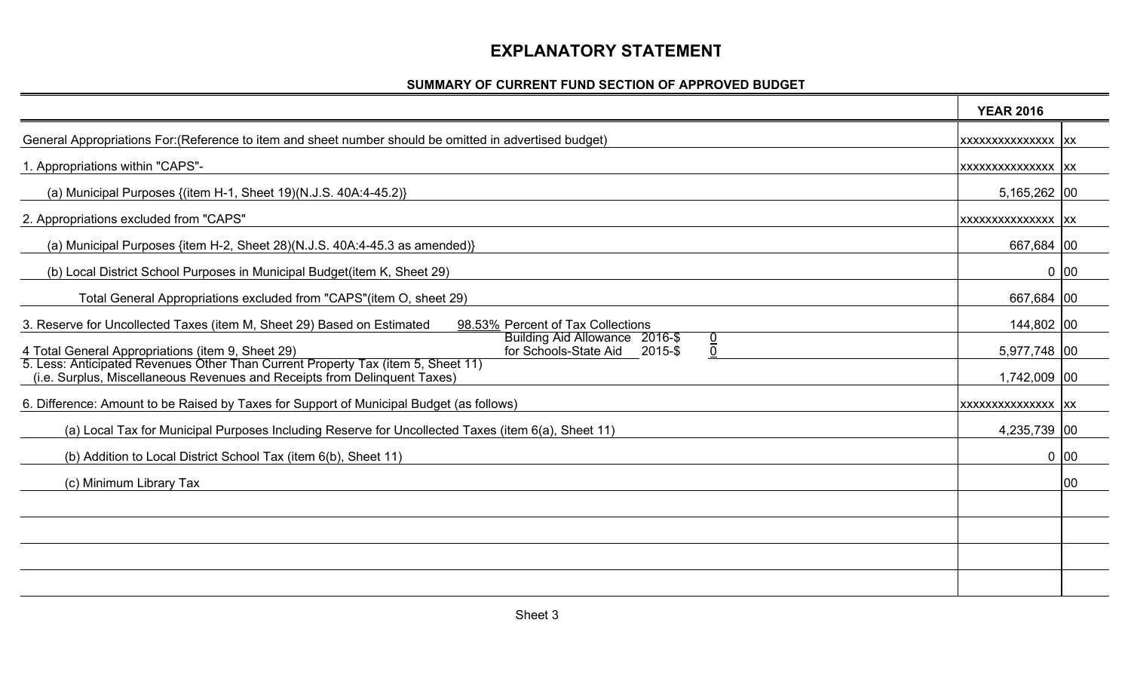### **EXPLANATORY STATEMENT**

#### **SUMMARY OF CURRENT FUND SECTION OF APPROVED BUDGET**

|                                                                                                                                                               | <b>YEAR 2016</b>   |        |
|---------------------------------------------------------------------------------------------------------------------------------------------------------------|--------------------|--------|
| General Appropriations For: (Reference to item and sheet number should be omitted in advertised budget)                                                       | XXXXXXXXXXXXXXX XX |        |
| 1. Appropriations within "CAPS"-                                                                                                                              | XXXXXXXXXXXXXXX XX |        |
| (a) Municipal Purposes {(item H-1, Sheet 19)(N.J.S. 40A:4-45.2)}                                                                                              | 5,165,262 00       |        |
| 2. Appropriations excluded from "CAPS"                                                                                                                        | XXXXXXXXXXXXXXX XX |        |
| (a) Municipal Purposes {item H-2, Sheet 28)(N.J.S. 40A:4-45.3 as amended)}                                                                                    | 667,684 00         |        |
| (b) Local District School Purposes in Municipal Budget(item K, Sheet 29)                                                                                      |                    | $0$ 00 |
| Total General Appropriations excluded from "CAPS" (item O, sheet 29)                                                                                          | 667,684 00         |        |
| 98.53% Percent of Tax Collections<br>3. Reserve for Uncollected Taxes (item M, Sheet 29) Based on Estimated                                                   | 144,802 00         |        |
| Building Aid Allowance 2016-\$<br>$\frac{0}{0}$<br>4 Total General Appropriations (item 9, Sheet 29)<br>for Schools-State Aid<br>2015-\$                      | 5,977,748 00       |        |
| 5. Less: Anticipated Revenues Other Than Current Property Tax (item 5, Sheet 11)<br>(i.e. Surplus, Miscellaneous Revenues and Receipts from Delinquent Taxes) | 1,742,009 00       |        |
| 6. Difference: Amount to be Raised by Taxes for Support of Municipal Budget (as follows)                                                                      | XXXXXXXXXXXXXXX XX |        |
| (a) Local Tax for Municipal Purposes Including Reserve for Uncollected Taxes (item 6(a), Sheet 11)                                                            | 4,235,739 00       |        |
| (b) Addition to Local District School Tax (item 6(b), Sheet 11)                                                                                               |                    | 0 00   |
| (c) Minimum Library Tax                                                                                                                                       |                    | 00     |
|                                                                                                                                                               |                    |        |
|                                                                                                                                                               |                    |        |
|                                                                                                                                                               |                    |        |
|                                                                                                                                                               |                    |        |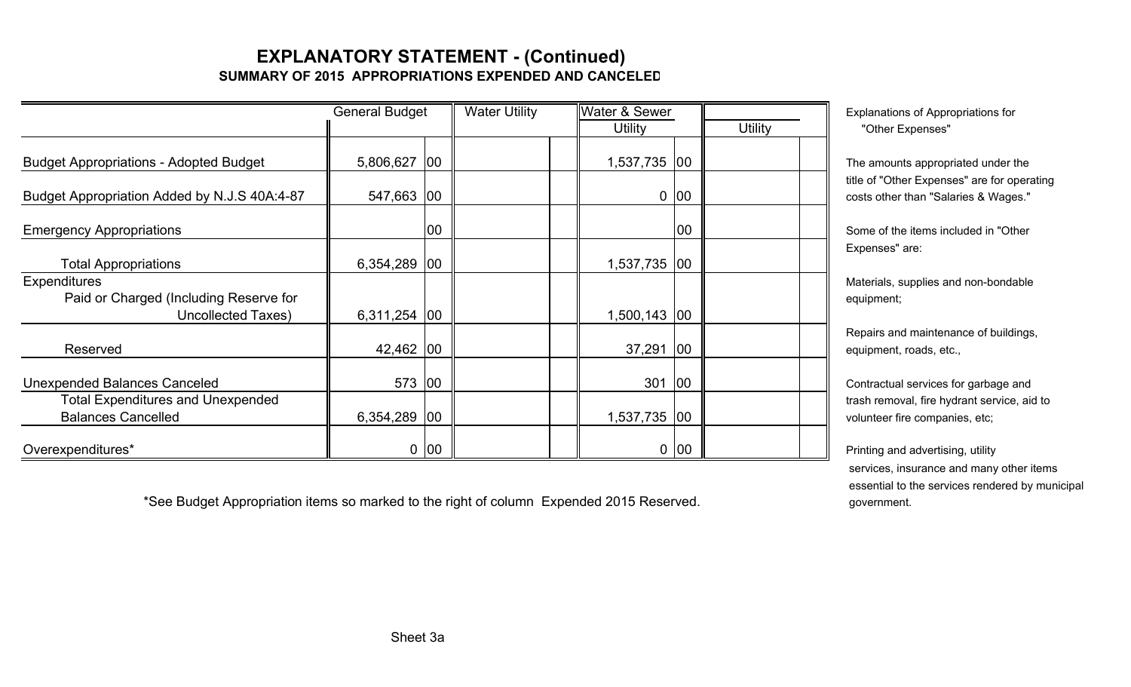### **EXPLANATORY STATEMENT - (Continued) SUMMARY OF 2015 APPROPRIATIONS EXPENDED AND CANCELED**

|                                                                       | <b>General Budget</b> | <b>Water Utility</b> |  | <b>Water &amp; Sewer</b> |              |              | Explanations of Appropriations for |                                                                                |
|-----------------------------------------------------------------------|-----------------------|----------------------|--|--------------------------|--------------|--------------|------------------------------------|--------------------------------------------------------------------------------|
|                                                                       |                       |                      |  |                          | Utility      |              | <b>Utility</b>                     | "Other Expenses"                                                               |
| <b>Budget Appropriations - Adopted Budget</b>                         | 5,806,627             | $ 00\rangle$         |  |                          | 1,537,735 00 |              |                                    | The amounts appropriated under the                                             |
| Budget Appropriation Added by N.J.S 40A:4-87                          | 547,663 00            |                      |  |                          |              | $0$ 00       |                                    | title of "Other Expenses" are for oper<br>costs other than "Salaries & Wages." |
| <b>Emergency Appropriations</b>                                       |                       | 00                   |  |                          |              | 00           |                                    | Some of the items included in "Other                                           |
| <b>Total Appropriations</b>                                           | $6,354,289$ 00        |                      |  |                          | 1,537,735 00 |              |                                    | Expenses" are:                                                                 |
| Expenditures<br>Paid or Charged (Including Reserve for                |                       |                      |  |                          |              |              |                                    | Materials, supplies and non-bondable<br>equipment;                             |
| <b>Uncollected Taxes)</b>                                             | 6,311,254 00          |                      |  |                          | 1,500,143    | $ 00\rangle$ |                                    |                                                                                |
| Reserved                                                              | 42,462 00             |                      |  |                          | 37,291       | $ 00\rangle$ |                                    | Repairs and maintenance of building<br>equipment, roads, etc.,                 |
| Unexpended Balances Canceled                                          | 573                   | $ 00\rangle$         |  |                          | 301          | 100          |                                    | Contractual services for garbage and                                           |
| <b>Total Expenditures and Unexpended</b><br><b>Balances Cancelled</b> | $6,354,289$ 00        |                      |  |                          | 1,537,735 00 |              |                                    | trash removal, fire hydrant service, a<br>volunteer fire companies, etc;       |
| Overexpenditures*                                                     |                       | 0 00                 |  |                          |              | $0$ 00       |                                    | Printing and advertising, utility                                              |

\*See Budget Appropriation items so marked to the right of column Expended 2015 Reserved. government.

appropriated under the Expenses" are for operating han "Salaries & Wages."

services for garbage and al, fire hydrant service, aid to

 services, insurance and many other items essential to the services rendered by municipal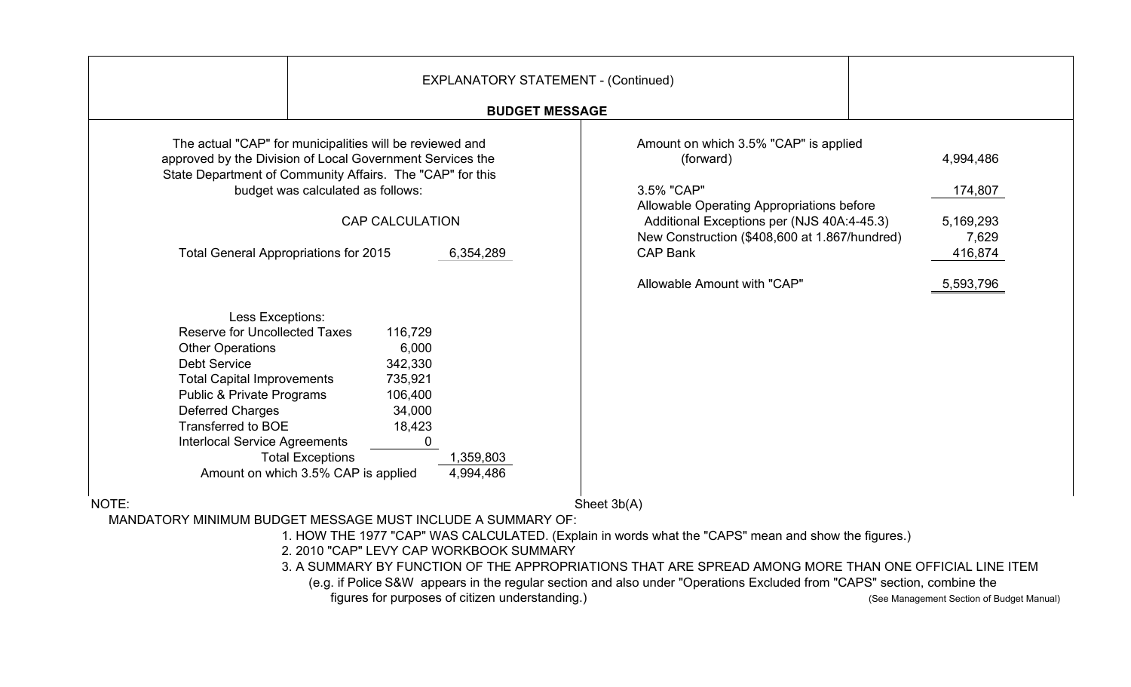|                                                                                                                                                                                                                                                                                                                                                    | <b>EXPLANATORY STATEMENT - (Continued)</b>                                                                  |                                                                                                                                                                                                                                 |                                                       |
|----------------------------------------------------------------------------------------------------------------------------------------------------------------------------------------------------------------------------------------------------------------------------------------------------------------------------------------------------|-------------------------------------------------------------------------------------------------------------|---------------------------------------------------------------------------------------------------------------------------------------------------------------------------------------------------------------------------------|-------------------------------------------------------|
|                                                                                                                                                                                                                                                                                                                                                    | <b>BUDGET MESSAGE</b>                                                                                       |                                                                                                                                                                                                                                 |                                                       |
| The actual "CAP" for municipalities will be reviewed and<br>approved by the Division of Local Government Services the<br>State Department of Community Affairs. The "CAP" for this<br>budget was calculated as follows:<br><b>Total General Appropriations for 2015</b>                                                                            | <b>CAP CALCULATION</b><br>6,354,289                                                                         | Amount on which 3.5% "CAP" is applied<br>(forward)<br>3.5% "CAP"<br>Allowable Operating Appropriations before<br>Additional Exceptions per (NJS 40A:4-45.3)<br>New Construction (\$408,600 at 1.867/hundred)<br><b>CAP Bank</b> | 4,994,486<br>174,807<br>5,169,293<br>7,629<br>416,874 |
| Less Exceptions:<br><b>Reserve for Uncollected Taxes</b><br><b>Other Operations</b><br><b>Debt Service</b><br><b>Total Capital Improvements</b><br><b>Public &amp; Private Programs</b><br><b>Deferred Charges</b><br>Transferred to BOE<br><b>Interlocal Service Agreements</b><br><b>Total Exceptions</b><br>Amount on which 3.5% CAP is applied | 116,729<br>6,000<br>342,330<br>735,921<br>106,400<br>34,000<br>18,423<br>$\Omega$<br>1,359,803<br>4,994,486 | Allowable Amount with "CAP"                                                                                                                                                                                                     | 5,593,796                                             |
| NOTE:                                                                                                                                                                                                                                                                                                                                              |                                                                                                             | Sheet 3b(A)                                                                                                                                                                                                                     |                                                       |
| MANDATORY MINIMUM BUDGET MESSAGE MUST INCLUDE A SUMMARY OF:                                                                                                                                                                                                                                                                                        |                                                                                                             |                                                                                                                                                                                                                                 |                                                       |
|                                                                                                                                                                                                                                                                                                                                                    | 2. 2010 "CAP" LEVY CAP WORKBOOK SUMMARY                                                                     | 1. HOW THE 1977 "CAP" WAS CALCULATED. (Explain in words what the "CAPS" mean and show the figures.)                                                                                                                             |                                                       |

3. A SUMMARY BY FUNCTION OF THE APPROPRIATIONS THAT ARE SPREAD AMONG MORE THAN ONE OFFICIAL LINE ITEM

(e.g. if Police S&W appears in the regular section and also under "Operations Excluded from "CAPS" section, combine the

figures for purposes of citizen understanding.) The state of the state of See Management Section of Budget Manual)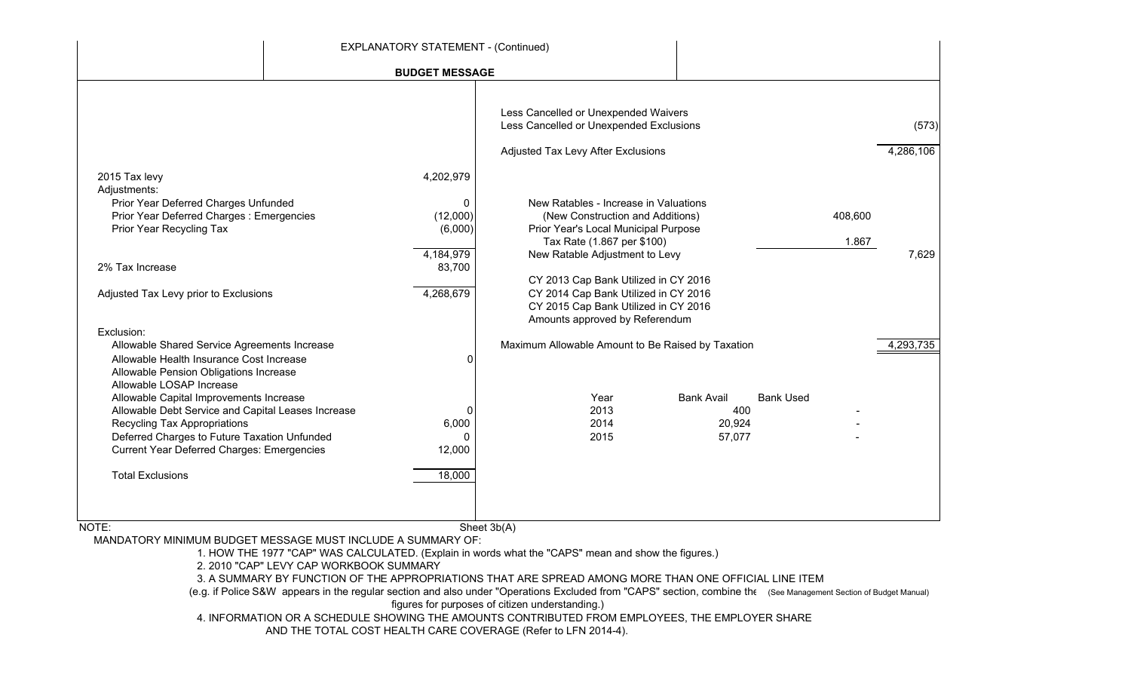|                                                                                                                                                                                                                                                                                                                                                                                                                                 | <b>EXPLANATORY STATEMENT - (Continued)</b>                    |                                                                                                                                                                                                                         |                                                                  |                  |                    |
|---------------------------------------------------------------------------------------------------------------------------------------------------------------------------------------------------------------------------------------------------------------------------------------------------------------------------------------------------------------------------------------------------------------------------------|---------------------------------------------------------------|-------------------------------------------------------------------------------------------------------------------------------------------------------------------------------------------------------------------------|------------------------------------------------------------------|------------------|--------------------|
|                                                                                                                                                                                                                                                                                                                                                                                                                                 | <b>BUDGET MESSAGE</b>                                         |                                                                                                                                                                                                                         |                                                                  |                  |                    |
|                                                                                                                                                                                                                                                                                                                                                                                                                                 |                                                               | Less Cancelled or Unexpended Waivers<br>Less Cancelled or Unexpended Exclusions                                                                                                                                         |                                                                  |                  | (573)              |
| 2015 Tax levy<br>Adjustments:<br>Prior Year Deferred Charges Unfunded<br>Prior Year Deferred Charges: Emergencies<br>Prior Year Recycling Tax                                                                                                                                                                                                                                                                                   | 4,202,979<br>$\mathbf{0}$<br>(12,000)<br>(6,000)<br>4,184,979 | Adjusted Tax Levy After Exclusions<br>New Ratables - Increase in Valuations<br>(New Construction and Additions)<br>Prior Year's Local Municipal Purpose<br>Tax Rate (1.867 per \$100)<br>New Ratable Adjustment to Levy |                                                                  | 408,600<br>1.867 | 4,286,106<br>7,629 |
| 2% Tax Increase<br>Adjusted Tax Levy prior to Exclusions<br>Exclusion:                                                                                                                                                                                                                                                                                                                                                          | 83,700<br>4,268,679                                           | CY 2013 Cap Bank Utilized in CY 2016<br>CY 2014 Cap Bank Utilized in CY 2016<br>CY 2015 Cap Bank Utilized in CY 2016<br>Amounts approved by Referendum                                                                  |                                                                  |                  |                    |
| Allowable Shared Service Agreements Increase<br>Allowable Health Insurance Cost Increase<br>Allowable Pension Obligations Increase<br>Allowable LOSAP Increase<br>Allowable Capital Improvements Increase<br>Allowable Debt Service and Capital Leases Increase<br>Recycling Tax Appropriations<br>Deferred Charges to Future Taxation Unfunded<br><b>Current Year Deferred Charges: Emergencies</b><br><b>Total Exclusions</b> | 0<br>0<br>6,000<br>O<br>12,000<br>18,000                      | Maximum Allowable Amount to Be Raised by Taxation<br>Year<br>2013<br>2014<br>2015                                                                                                                                       | <b>Bank Avail</b><br><b>Bank Used</b><br>400<br>20,924<br>57,077 |                  | 4,293,735          |
| NOTE:                                                                                                                                                                                                                                                                                                                                                                                                                           |                                                               | Sheet 3b(A)                                                                                                                                                                                                             |                                                                  |                  |                    |

MANDATORY MINIMUM BUDGET MESSAGE MUST INCLUDE A SUMMARY OF:

1. HOW THE 1977 "CAP" WAS CALCULATED. (Explain in words what the "CAPS" mean and show the figures.)

2. 2010 "CAP" LEVY CAP WORKBOOK SUMMARY

3. A SUMMARY BY FUNCTION OF THE APPROPRIATIONS THAT ARE SPREAD AMONG MORE THAN ONE OFFICIAL LINE ITEM

 (e.g. if Police S&W appears in the regular section and also under "Operations Excluded from "CAPS" section, combine the (See Management Section of Budget Manual) figures for purposes of citizen understanding.)

4. INFORMATION OR A SCHEDULE SHOWING THE AMOUNTS CONTRIBUTED FROM EMPLOYEES, THE EMPLOYER SHARE

AND THE TOTAL COST HEALTH CARE COVERAGE (Refer to LFN 2014-4).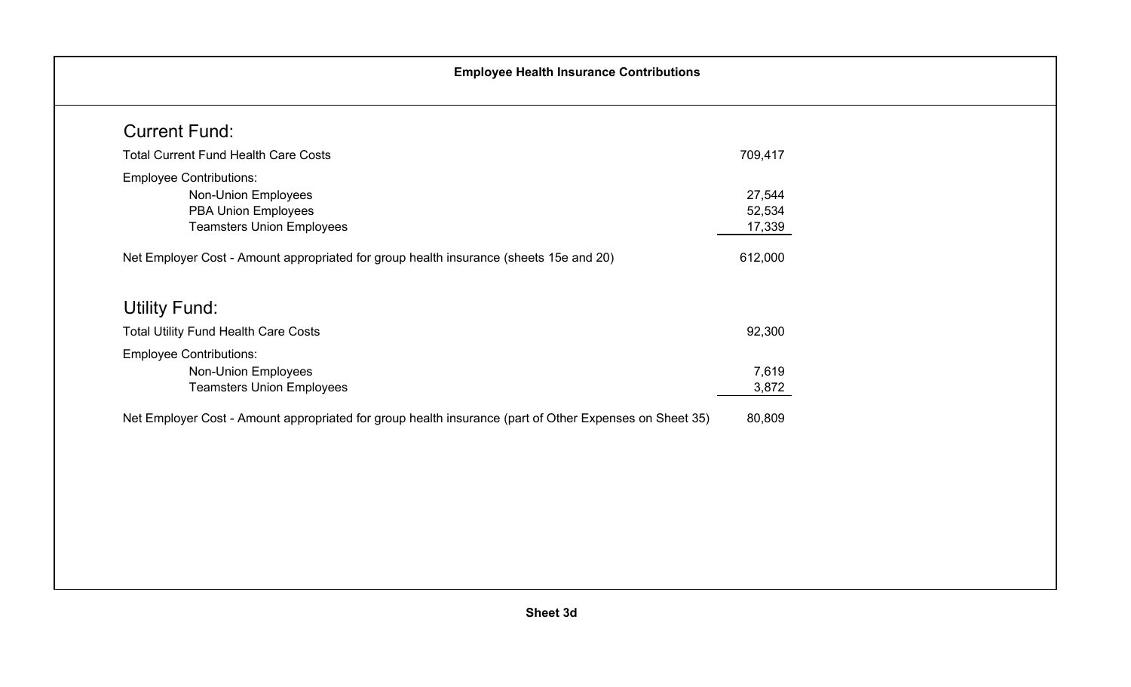| <b>Total Current Fund Health Care Costs</b>                                            | 709,417 |
|----------------------------------------------------------------------------------------|---------|
|                                                                                        |         |
| <b>Employee Contributions:</b>                                                         |         |
| Non-Union Employees                                                                    | 27,544  |
| <b>PBA Union Employees</b>                                                             | 52,534  |
| <b>Teamsters Union Employees</b>                                                       | 17,339  |
|                                                                                        |         |
| Net Employer Cost - Amount appropriated for group health insurance (sheets 15e and 20) | 612,000 |
| <b>Utility Fund:</b>                                                                   |         |
| <b>Total Utility Fund Health Care Costs</b>                                            | 92,300  |
| <b>Employee Contributions:</b>                                                         |         |
| Non-Union Employees                                                                    | 7,619   |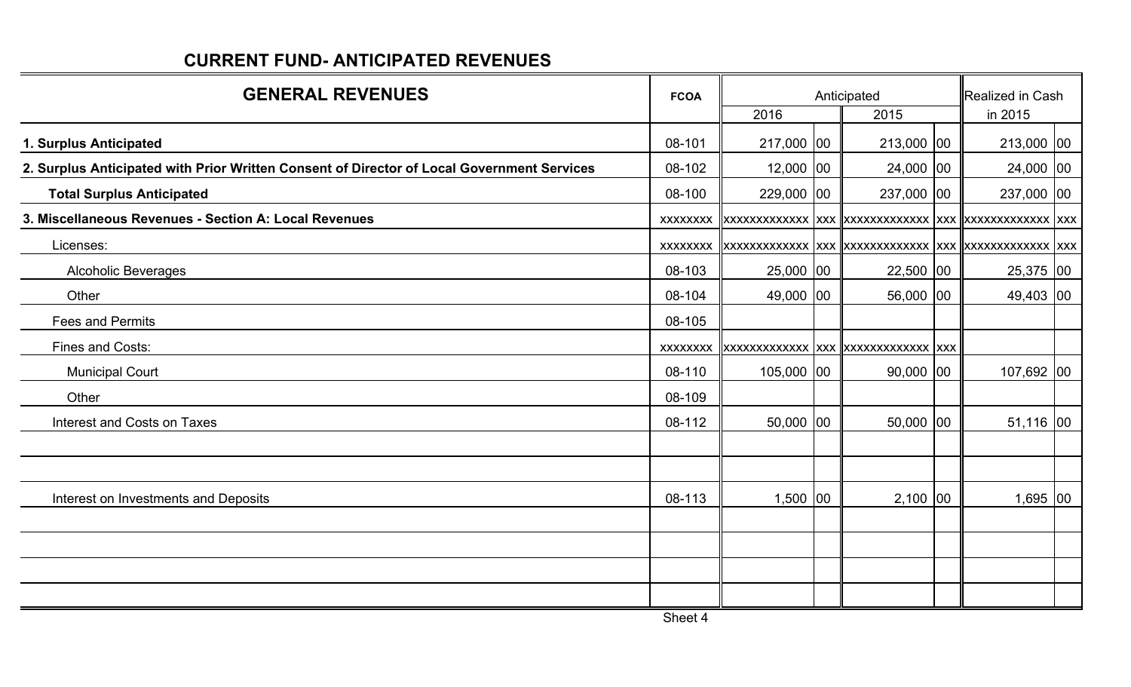| <b>GENERAL REVENUES</b>                                                                    |                 | Anticipated | Realized in Cash                        |              |  |
|--------------------------------------------------------------------------------------------|-----------------|-------------|-----------------------------------------|--------------|--|
|                                                                                            |                 | 2016        | 2015                                    | in 2015      |  |
| 1. Surplus Anticipated                                                                     | 08-101          | 217,000 00  | 213,000 00                              | 213,000 00   |  |
| 2. Surplus Anticipated with Prior Written Consent of Director of Local Government Services | 08-102          | $12,000$ 00 | 24,000 00                               | 24,000 00    |  |
| <b>Total Surplus Anticipated</b>                                                           | 08-100          | 229,000 00  | 237,000 00                              | 237,000 00   |  |
| 3. Miscellaneous Revenues - Section A: Local Revenues                                      | <b>XXXXXXXX</b> |             |                                         |              |  |
| Licenses:                                                                                  | XXXXXXXX        |             |                                         |              |  |
| <b>Alcoholic Beverages</b>                                                                 | 08-103          | 25,000 00   | 22,500 00                               | 25,375 00    |  |
| Other                                                                                      | 08-104          | 49,000 00   | 56,000 00                               | 49,403 00    |  |
| <b>Fees and Permits</b>                                                                    | 08-105          |             |                                         |              |  |
| Fines and Costs:                                                                           | <b>XXXXXXXX</b> |             | xxxxxxxxxxxxx  xxx   xxxxxxxxxxxxx  xxx |              |  |
| <b>Municipal Court</b>                                                                     | 08-110          | 105,000 00  | $90,000$ 00                             | $107,692$ 00 |  |
| Other                                                                                      | 08-109          |             |                                         |              |  |
| Interest and Costs on Taxes                                                                | 08-112          | 50,000 00   | 50,000 00                               | $51,116$ 00  |  |
|                                                                                            |                 |             |                                         |              |  |
|                                                                                            |                 |             |                                         |              |  |
| Interest on Investments and Deposits                                                       | 08-113          | $1,500$ 00  | $2,100$ 00                              | $1,695$ 00   |  |
|                                                                                            |                 |             |                                         |              |  |
|                                                                                            |                 |             |                                         |              |  |
|                                                                                            |                 |             |                                         |              |  |
|                                                                                            |                 |             |                                         |              |  |

# **CURRENT FUND- ANTICIPATED REVENUES**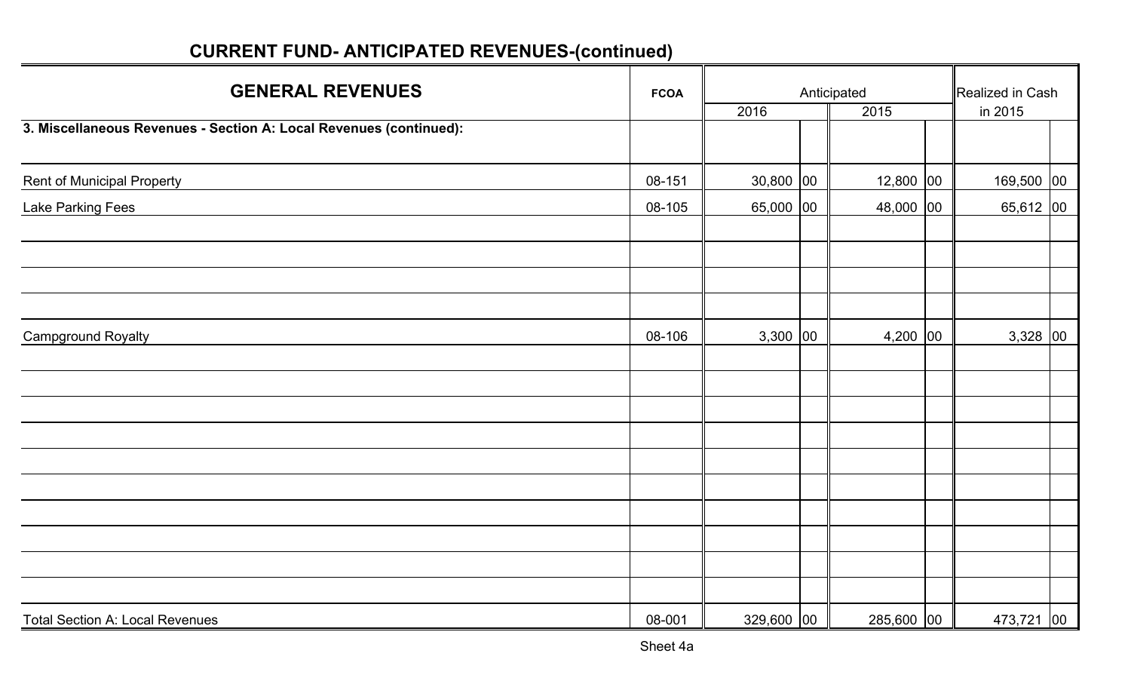| <b>GENERAL REVENUES</b>                                            | <b>FCOA</b> |             | Anticipated |  | Realized in Cash |  |  |
|--------------------------------------------------------------------|-------------|-------------|-------------|--|------------------|--|--|
|                                                                    |             | 2016        | 2015        |  | in 2015          |  |  |
| 3. Miscellaneous Revenues - Section A: Local Revenues (continued): |             |             |             |  |                  |  |  |
| <b>Rent of Municipal Property</b>                                  | 08-151      | $30,800$ 00 | $12,800$ 00 |  | 169,500 00       |  |  |
| Lake Parking Fees                                                  | 08-105      | 65,000 00   | 48,000 00   |  | $65,612$ 00      |  |  |
|                                                                    |             |             |             |  |                  |  |  |
|                                                                    |             |             |             |  |                  |  |  |
|                                                                    |             |             |             |  |                  |  |  |
|                                                                    |             |             |             |  |                  |  |  |
| <b>Campground Royalty</b>                                          | 08-106      | $3,300$ 00  | $4,200$ 00  |  | $3,328$ 00       |  |  |
|                                                                    |             |             |             |  |                  |  |  |
|                                                                    |             |             |             |  |                  |  |  |
|                                                                    |             |             |             |  |                  |  |  |
|                                                                    |             |             |             |  |                  |  |  |
|                                                                    |             |             |             |  |                  |  |  |
|                                                                    |             |             |             |  |                  |  |  |
|                                                                    |             |             |             |  |                  |  |  |
|                                                                    |             |             |             |  |                  |  |  |
|                                                                    |             |             |             |  |                  |  |  |
|                                                                    |             |             |             |  |                  |  |  |
| <b>Total Section A: Local Revenues</b>                             | 08-001      | 329,600 00  | 285,600 00  |  | 473,721 00       |  |  |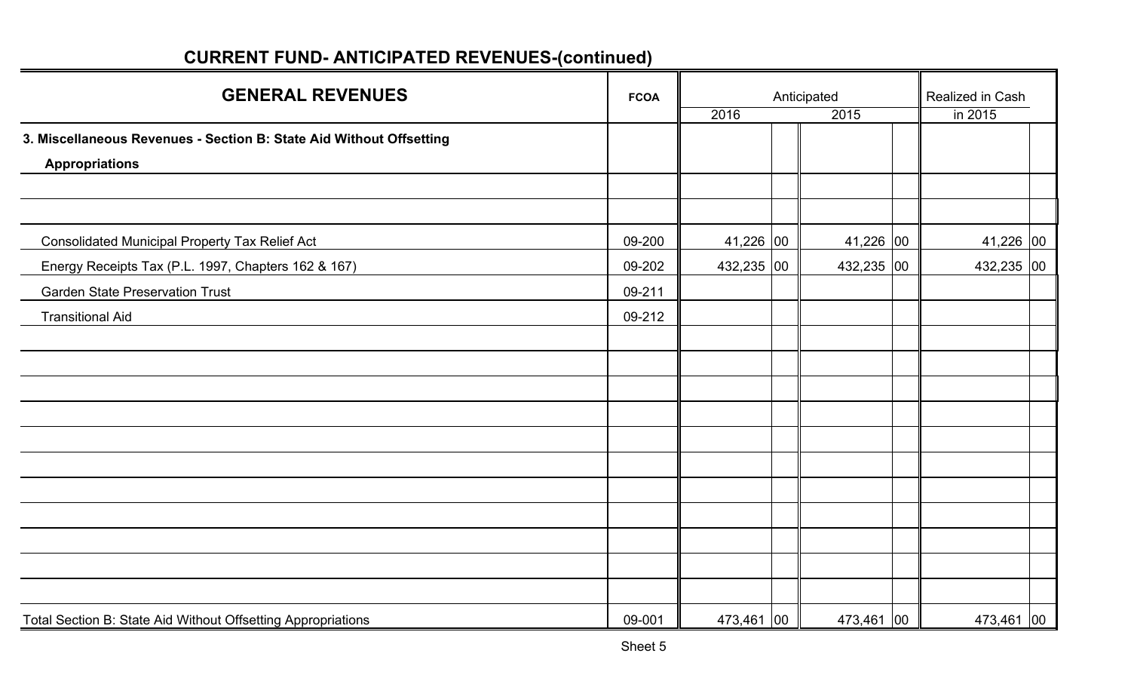| <b>GENERAL REVENUES</b>                                             | <b>FCOA</b> |            | Anticipated |               |  | Realized in Cash |  |  |
|---------------------------------------------------------------------|-------------|------------|-------------|---------------|--|------------------|--|--|
|                                                                     |             | 2016       |             | 2015          |  | in 2015          |  |  |
| 3. Miscellaneous Revenues - Section B: State Aid Without Offsetting |             |            |             |               |  |                  |  |  |
| <b>Appropriations</b>                                               |             |            |             |               |  |                  |  |  |
|                                                                     |             |            |             |               |  |                  |  |  |
|                                                                     |             |            |             |               |  |                  |  |  |
| <b>Consolidated Municipal Property Tax Relief Act</b>               | 09-200      | 41,226 00  |             | 41,226 $ 00 $ |  | 41,226 00        |  |  |
| Energy Receipts Tax (P.L. 1997, Chapters 162 & 167)                 | 09-202      | 432,235 00 |             | 432,235 00    |  | 432,235 00       |  |  |
| <b>Garden State Preservation Trust</b>                              | 09-211      |            |             |               |  |                  |  |  |
| <b>Transitional Aid</b>                                             | 09-212      |            |             |               |  |                  |  |  |
|                                                                     |             |            |             |               |  |                  |  |  |
|                                                                     |             |            |             |               |  |                  |  |  |
|                                                                     |             |            |             |               |  |                  |  |  |
|                                                                     |             |            |             |               |  |                  |  |  |
|                                                                     |             |            |             |               |  |                  |  |  |
|                                                                     |             |            |             |               |  |                  |  |  |
|                                                                     |             |            |             |               |  |                  |  |  |
|                                                                     |             |            |             |               |  |                  |  |  |
|                                                                     |             |            |             |               |  |                  |  |  |
|                                                                     |             |            |             |               |  |                  |  |  |
|                                                                     |             |            |             |               |  |                  |  |  |
| Total Section B: State Aid Without Offsetting Appropriations        | 09-001      | 473,461 00 |             | 473,461 00    |  | 473,461 00       |  |  |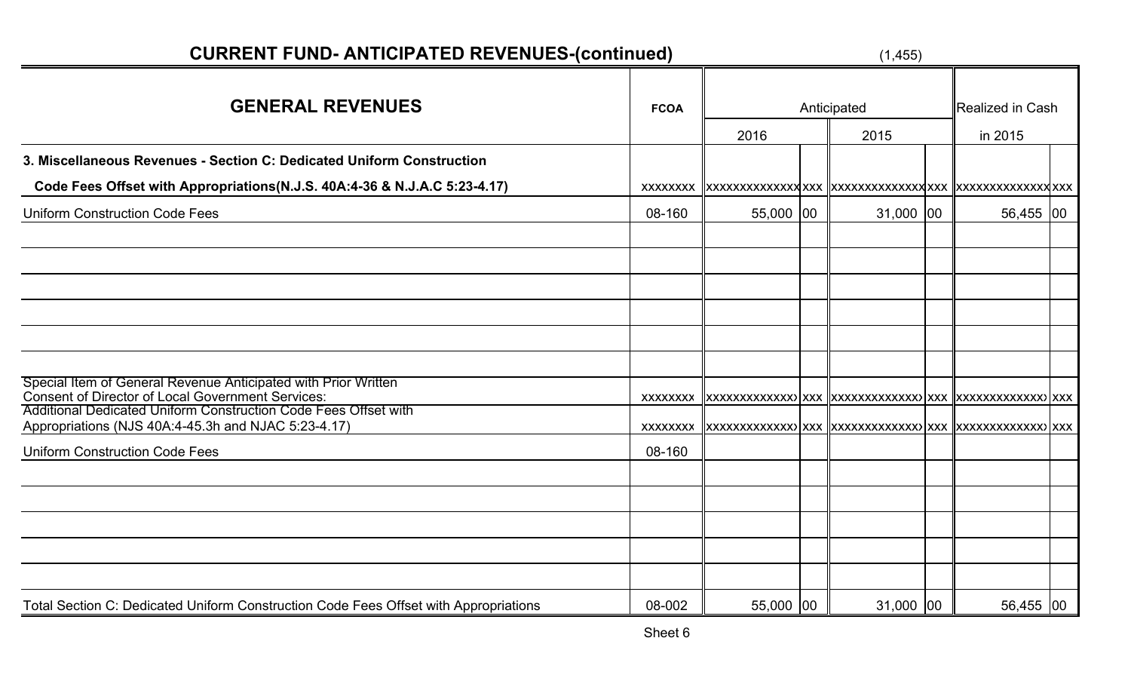| <b>GENERAL REVENUES</b>                                                                                                                                                                | <b>FCOA</b> | 2016      | Anticipated<br>2015 | Realized in Cash<br>in 2015 |  |
|----------------------------------------------------------------------------------------------------------------------------------------------------------------------------------------|-------------|-----------|---------------------|-----------------------------|--|
| 3. Miscellaneous Revenues - Section C: Dedicated Uniform Construction                                                                                                                  |             |           |                     |                             |  |
| Code Fees Offset with Appropriations (N.J.S. 40A:4-36 & N.J.A.C 5:23-4.17)                                                                                                             | XXXXXXXX    |           |                     |                             |  |
| <b>Uniform Construction Code Fees</b>                                                                                                                                                  | 08-160      | 55,000 00 | 31,000 00           | 56,455 00                   |  |
|                                                                                                                                                                                        |             |           |                     |                             |  |
|                                                                                                                                                                                        |             |           |                     |                             |  |
|                                                                                                                                                                                        |             |           |                     |                             |  |
| Special Item of General Revenue Anticipated with Prior Written<br>Consent of Director of Local Government Services:<br>Additional Dedicated Uniform Construction Code Fees Offset with | XXXXXXXX    |           |                     |                             |  |
| Appropriations (NJS 40A:4-45.3h and NJAC 5:23-4.17)                                                                                                                                    | XXXXXXXX    |           |                     |                             |  |
| <b>Uniform Construction Code Fees</b>                                                                                                                                                  | 08-160      |           |                     |                             |  |
|                                                                                                                                                                                        |             |           |                     |                             |  |
|                                                                                                                                                                                        |             |           |                     |                             |  |
|                                                                                                                                                                                        |             |           |                     |                             |  |
| Total Section C: Dedicated Uniform Construction Code Fees Offset with Appropriations                                                                                                   | 08-002      | 55,000 00 | $31,000$ 00         | 56,455 00                   |  |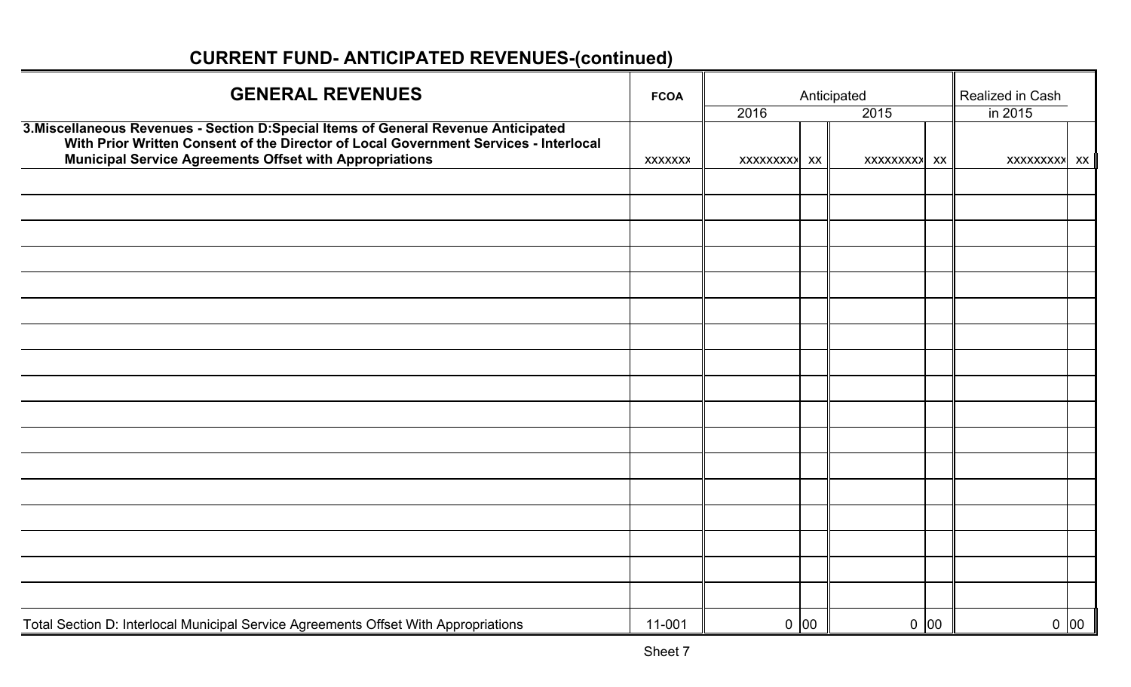| <b>GENERAL REVENUES</b>                                                                                                                                                     | <b>FCOA</b>    | Anticipated  |      |              |      | Realized in Cash<br>in 2015 |      |  |
|-----------------------------------------------------------------------------------------------------------------------------------------------------------------------------|----------------|--------------|------|--------------|------|-----------------------------|------|--|
| 3. Miscellaneous Revenues - Section D: Special Items of General Revenue Anticipated<br>With Prior Written Consent of the Director of Local Government Services - Interlocal |                | 2016         |      | 2015         |      |                             |      |  |
| <b>Municipal Service Agreements Offset with Appropriations</b>                                                                                                              | <b>XXXXXXX</b> | XXXXXXXXX XX |      | XXXXXXXXX XX |      | XXXXXXXXX XX                |      |  |
|                                                                                                                                                                             |                |              |      |              |      |                             |      |  |
|                                                                                                                                                                             |                |              |      |              |      |                             |      |  |
|                                                                                                                                                                             |                |              |      |              |      |                             |      |  |
|                                                                                                                                                                             |                |              |      |              |      |                             |      |  |
|                                                                                                                                                                             |                |              |      |              |      |                             |      |  |
|                                                                                                                                                                             |                |              |      |              |      |                             |      |  |
|                                                                                                                                                                             |                |              |      |              |      |                             |      |  |
|                                                                                                                                                                             |                |              |      |              |      |                             |      |  |
|                                                                                                                                                                             |                |              |      |              |      |                             |      |  |
|                                                                                                                                                                             |                |              |      |              |      |                             |      |  |
|                                                                                                                                                                             |                |              |      |              |      |                             |      |  |
|                                                                                                                                                                             |                |              |      |              |      |                             |      |  |
|                                                                                                                                                                             |                |              |      |              |      |                             |      |  |
|                                                                                                                                                                             |                |              |      |              |      |                             |      |  |
|                                                                                                                                                                             |                |              |      |              |      |                             |      |  |
|                                                                                                                                                                             |                |              |      |              |      |                             |      |  |
|                                                                                                                                                                             |                |              |      |              |      |                             |      |  |
| Total Section D: Interlocal Municipal Service Agreements Offset With Appropriations                                                                                         | 11-001         |              | 0 00 |              | 0 00 |                             | 0 00 |  |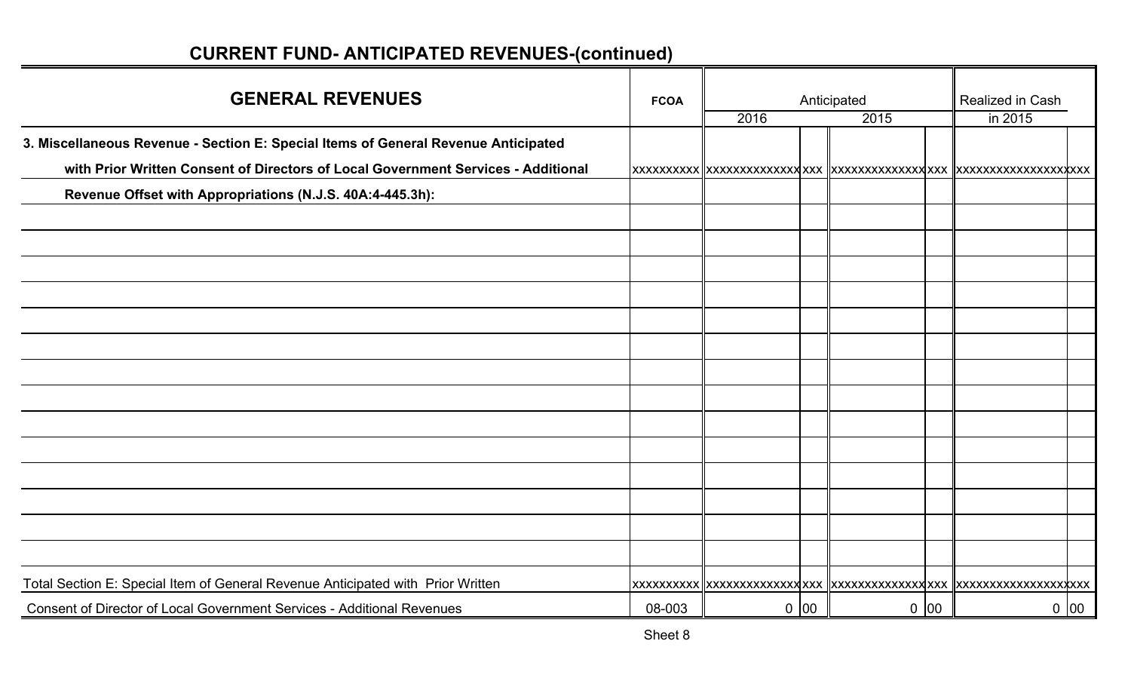| <b>GENERAL REVENUES</b>                                                            | <b>FCOA</b> |      |        | Anticipated |      | Realized in Cash |  |
|------------------------------------------------------------------------------------|-------------|------|--------|-------------|------|------------------|--|
|                                                                                    |             | 2016 |        | 2015        |      | in 2015          |  |
| 3. Miscellaneous Revenue - Section E: Special Items of General Revenue Anticipated |             |      |        |             |      |                  |  |
| with Prior Written Consent of Directors of Local Government Services - Additional  |             |      |        |             |      |                  |  |
| Revenue Offset with Appropriations (N.J.S. 40A:4-445.3h):                          |             |      |        |             |      |                  |  |
|                                                                                    |             |      |        |             |      |                  |  |
|                                                                                    |             |      |        |             |      |                  |  |
|                                                                                    |             |      |        |             |      |                  |  |
|                                                                                    |             |      |        |             |      |                  |  |
|                                                                                    |             |      |        |             |      |                  |  |
|                                                                                    |             |      |        |             |      |                  |  |
|                                                                                    |             |      |        |             |      |                  |  |
|                                                                                    |             |      |        |             |      |                  |  |
|                                                                                    |             |      |        |             |      |                  |  |
|                                                                                    |             |      |        |             |      |                  |  |
|                                                                                    |             |      |        |             |      |                  |  |
|                                                                                    |             |      |        |             |      |                  |  |
|                                                                                    |             |      |        |             |      |                  |  |
|                                                                                    |             |      |        |             |      |                  |  |
| Total Section E: Special Item of General Revenue Anticipated with Prior Written    |             |      |        |             |      |                  |  |
| Consent of Director of Local Government Services - Additional Revenues             | 08-003      |      | $0$ 00 |             | 0 00 | 0 00             |  |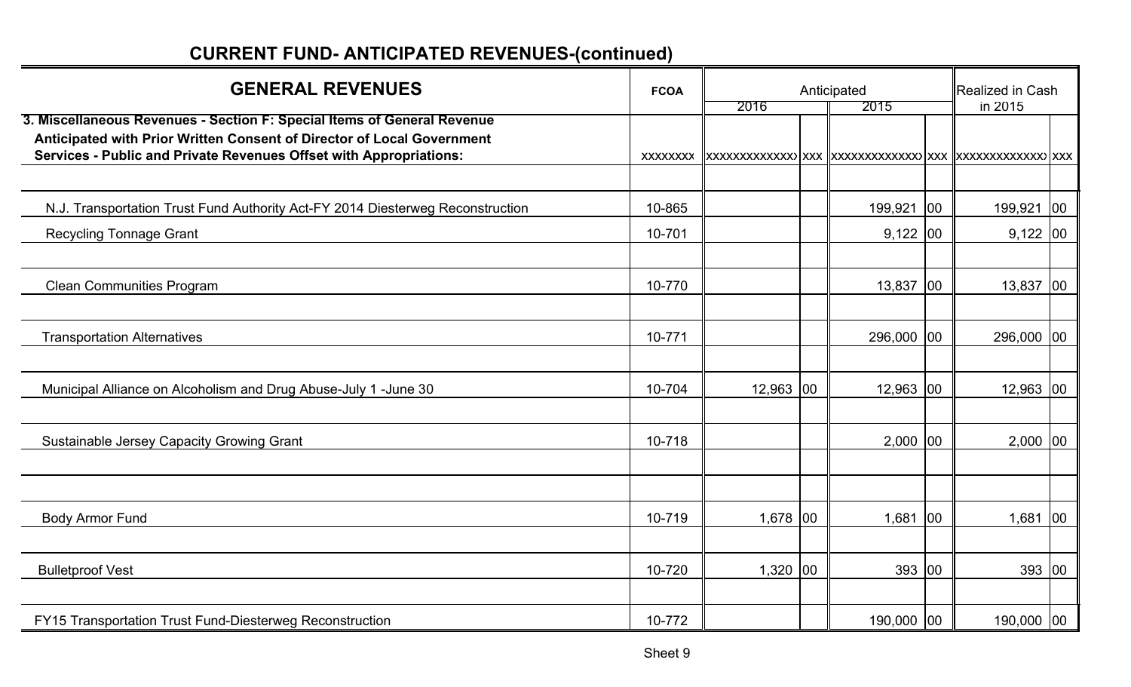| <b>GENERAL REVENUES</b>                                                                                                                                                                                                 | <b>FCOA</b> |             | Anticipated | Realized in Cash |              |
|-------------------------------------------------------------------------------------------------------------------------------------------------------------------------------------------------------------------------|-------------|-------------|-------------|------------------|--------------|
| 3. Miscellaneous Revenues - Section F: Special Items of General Revenue<br>Anticipated with Prior Written Consent of Director of Local Government<br>Services - Public and Private Revenues Offset with Appropriations: | XXXXXXX     | 2016        | 2015        | in 2015          |              |
|                                                                                                                                                                                                                         |             |             |             |                  |              |
| N.J. Transportation Trust Fund Authority Act-FY 2014 Diesterweg Reconstruction                                                                                                                                          | 10-865      |             | 199,921 00  | 199,921          | 00           |
| <b>Recycling Tonnage Grant</b>                                                                                                                                                                                          | 10-701      |             | $9,122$ 00  | $9,122$ 00       |              |
|                                                                                                                                                                                                                         |             |             |             |                  |              |
| <b>Clean Communities Program</b>                                                                                                                                                                                        | 10-770      |             | 13,837 00   | 13,837           | 00           |
| <b>Transportation Alternatives</b>                                                                                                                                                                                      | 10-771      |             | 296,000 00  | 296,000          | $ 00\rangle$ |
| Municipal Alliance on Alcoholism and Drug Abuse-July 1 -June 30                                                                                                                                                         | 10-704      | $12,963$ 00 | $12,963$ 00 | 12,963           | $ 00\rangle$ |
| <b>Sustainable Jersey Capacity Growing Grant</b>                                                                                                                                                                        | 10-718      |             | $2,000$ 00  | $2,000$ 00       |              |
|                                                                                                                                                                                                                         |             |             |             |                  |              |
| <b>Body Armor Fund</b>                                                                                                                                                                                                  | 10-719      | 1,678 00    | 1,681 00    | 1,681            | 00           |
| <b>Bulletproof Vest</b>                                                                                                                                                                                                 | 10-720      | $1,320$ 00  | 393 00      | 393              | 00           |
| FY15 Transportation Trust Fund-Diesterweg Reconstruction                                                                                                                                                                | 10-772      |             | 190,000 00  | 190,000 00       |              |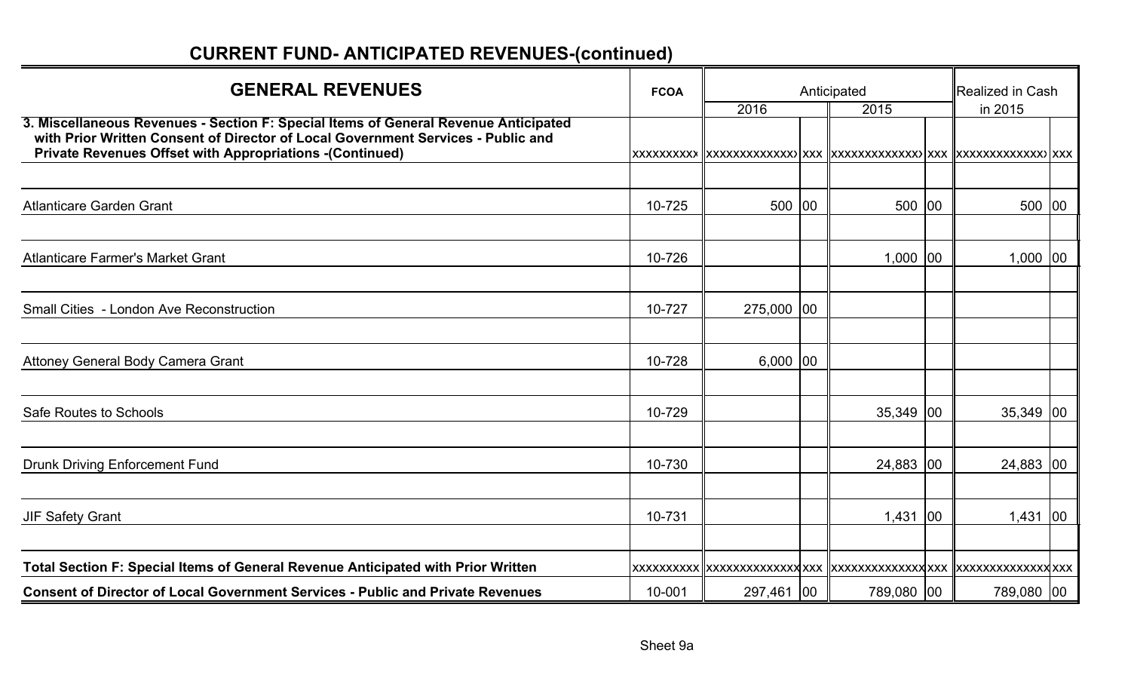| <b>GENERAL REVENUES</b>                                                                                                                                                                                                                    | <b>FCOA</b>         |            | Anticipated | Realized in Cash |              |
|--------------------------------------------------------------------------------------------------------------------------------------------------------------------------------------------------------------------------------------------|---------------------|------------|-------------|------------------|--------------|
|                                                                                                                                                                                                                                            |                     | 2016       | 2015        | in 2015          |              |
| 3. Miscellaneous Revenues - Section F: Special Items of General Revenue Anticipated<br>with Prior Written Consent of Director of Local Government Services - Public and<br><b>Private Revenues Offset with Appropriations -(Continued)</b> | <b>XXXXXXXXX</b>    |            |             |                  |              |
| <b>Atlanticare Garden Grant</b>                                                                                                                                                                                                            | 10-725              | 500 00     | 500 00      | 500              | 00           |
| <b>Atlanticare Farmer's Market Grant</b>                                                                                                                                                                                                   | 10-726              |            | $1,000$ 00  | 1,000            | 00           |
| <b>Small Cities - London Ave Reconstruction</b>                                                                                                                                                                                            | 10-727              | 275,000 00 |             |                  |              |
| Attoney General Body Camera Grant                                                                                                                                                                                                          | 10-728              | $6,000$ 00 |             |                  |              |
| Safe Routes to Schools                                                                                                                                                                                                                     | 10-729              |            | 35,349 00   | 35,349           | $ 00\rangle$ |
| <b>Drunk Driving Enforcement Fund</b>                                                                                                                                                                                                      | 10-730              |            | 24,883 00   | 24,883 00        |              |
| <b>JIF Safety Grant</b>                                                                                                                                                                                                                    | 10-731              |            | 1,431 00    | 1,431            | $ 00\rangle$ |
| Total Section F: Special Items of General Revenue Anticipated with Prior Written<br><b>Consent of Director of Local Government Services - Public and Private Revenues</b>                                                                  | XXXXXXXXX<br>10-001 | 297,461 00 | 789,080 00  | 789,080 00       |              |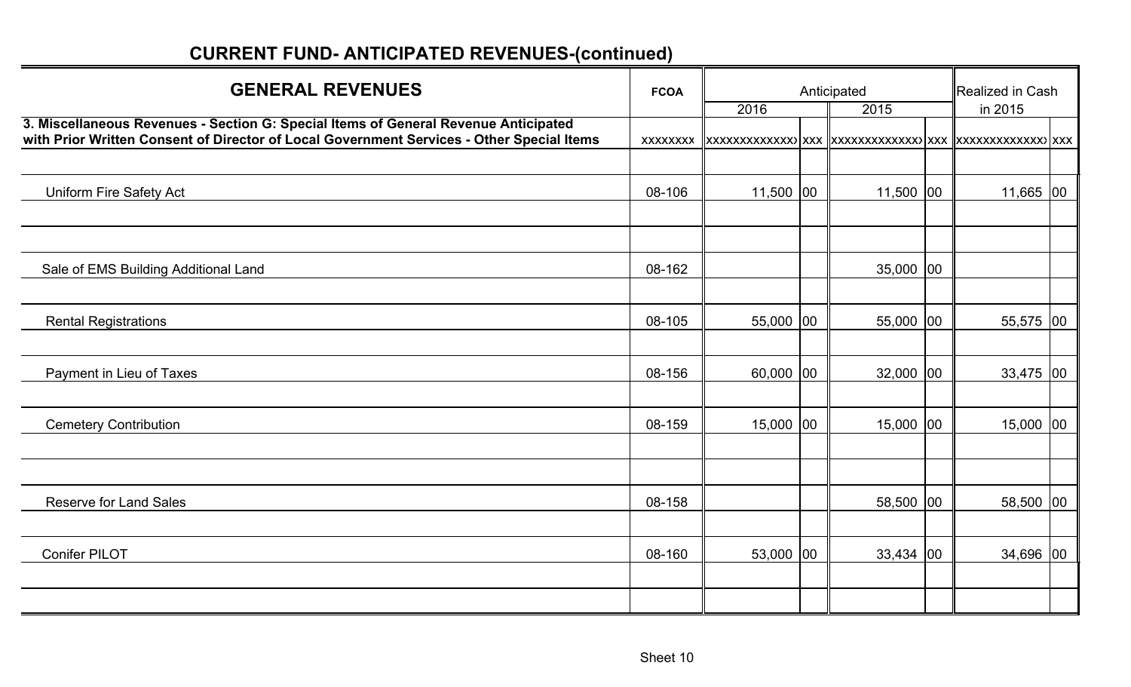| <b>GENERAL REVENUES</b>                                                                                                                                                          | <b>FCOA</b> | 2016        | Anticipated<br>2015 | Realized in Cash<br>in 2015 |  |
|----------------------------------------------------------------------------------------------------------------------------------------------------------------------------------|-------------|-------------|---------------------|-----------------------------|--|
| 3. Miscellaneous Revenues - Section G: Special Items of General Revenue Anticipated<br>with Prior Written Consent of Director of Local Government Services - Other Special Items | XXXXXXX     |             |                     |                             |  |
|                                                                                                                                                                                  |             |             |                     |                             |  |
| <b>Uniform Fire Safety Act</b>                                                                                                                                                   | 08-106      | $11,500$ 00 | 11,500 00           | $11,665$ 00                 |  |
|                                                                                                                                                                                  |             |             |                     |                             |  |
|                                                                                                                                                                                  |             |             |                     |                             |  |
| Sale of EMS Building Additional Land                                                                                                                                             | 08-162      |             | $35,000$ 00         |                             |  |
|                                                                                                                                                                                  |             |             |                     |                             |  |
| <b>Rental Registrations</b>                                                                                                                                                      | 08-105      | 55,000 00   | 55,000 00           | 55,575 00                   |  |
|                                                                                                                                                                                  |             |             |                     |                             |  |
| Payment in Lieu of Taxes                                                                                                                                                         | 08-156      | $60,000$ 00 | $32,000$ 00         | $33,475$ 00                 |  |
|                                                                                                                                                                                  |             |             |                     |                             |  |
| <b>Cemetery Contribution</b>                                                                                                                                                     | 08-159      | 15,000 00   | 15,000 00           | 15,000 00                   |  |
|                                                                                                                                                                                  |             |             |                     |                             |  |
|                                                                                                                                                                                  |             |             |                     |                             |  |
| <b>Reserve for Land Sales</b>                                                                                                                                                    | 08-158      |             | 58,500 00           | 58,500 00                   |  |
|                                                                                                                                                                                  |             |             |                     |                             |  |
| <b>Conifer PILOT</b>                                                                                                                                                             | 08-160      | 53,000 00   | $33,434$ 00         | 34,696 00                   |  |
|                                                                                                                                                                                  |             |             |                     |                             |  |
|                                                                                                                                                                                  |             |             |                     |                             |  |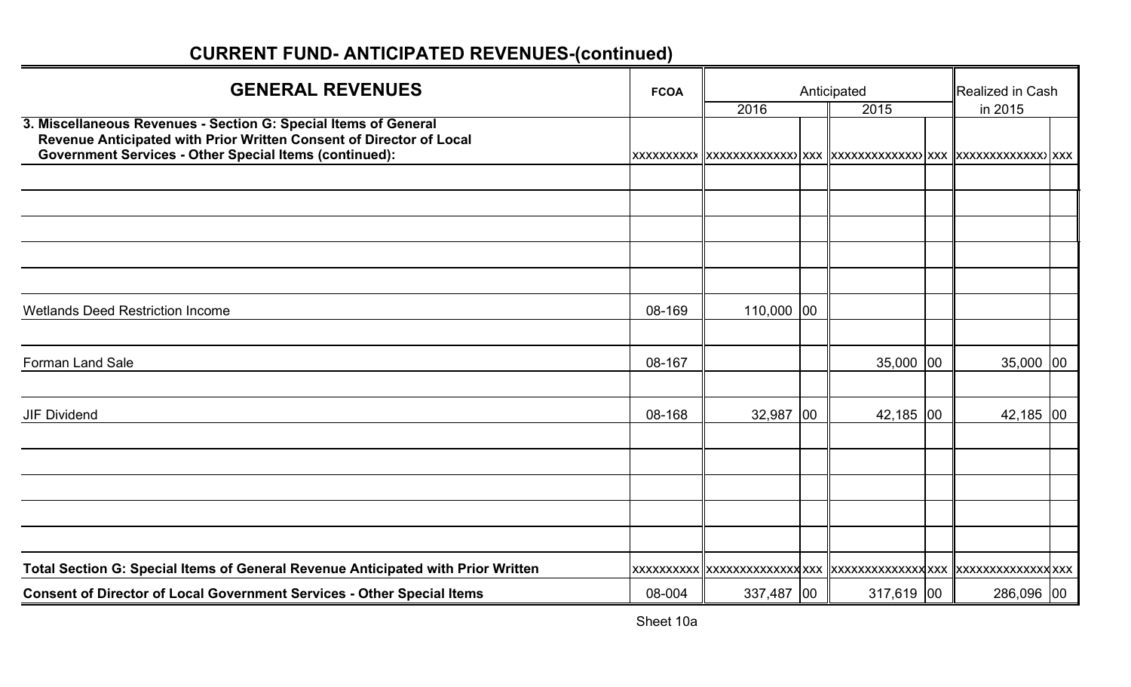| <b>GENERAL REVENUES</b>                                                                                                                                                                                 | <b>FCOA</b> | Anticipated  | Realized in Cash |             |  |
|---------------------------------------------------------------------------------------------------------------------------------------------------------------------------------------------------------|-------------|--------------|------------------|-------------|--|
|                                                                                                                                                                                                         |             | 2016         | 2015             | in 2015     |  |
| 3. Miscellaneous Revenues - Section G: Special Items of General<br>Revenue Anticipated with Prior Written Consent of Director of Local<br><b>Government Services - Other Special Items (continued):</b> | XXXXXXXXX   |              |                  |             |  |
|                                                                                                                                                                                                         |             |              |                  |             |  |
|                                                                                                                                                                                                         |             |              |                  |             |  |
|                                                                                                                                                                                                         |             |              |                  |             |  |
|                                                                                                                                                                                                         |             |              |                  |             |  |
|                                                                                                                                                                                                         |             |              |                  |             |  |
| <b>Wetlands Deed Restriction Income</b>                                                                                                                                                                 | 08-169      | $110,000$ 00 |                  |             |  |
|                                                                                                                                                                                                         |             |              |                  |             |  |
| <b>Forman Land Sale</b>                                                                                                                                                                                 | 08-167      |              | $35,000$ 00      | $35,000$ 00 |  |
| <b>JIF Dividend</b>                                                                                                                                                                                     | 08-168      | $32,987$ 00  | 42,185 00        | $42,185$ 00 |  |
|                                                                                                                                                                                                         |             |              |                  |             |  |
|                                                                                                                                                                                                         |             |              |                  |             |  |
|                                                                                                                                                                                                         |             |              |                  |             |  |
|                                                                                                                                                                                                         |             |              |                  |             |  |
|                                                                                                                                                                                                         |             |              |                  |             |  |
| Total Section G: Special Items of General Revenue Anticipated with Prior Written                                                                                                                        |             |              |                  |             |  |
| <b>Consent of Director of Local Government Services - Other Special Items</b>                                                                                                                           | 08-004      | 337,487 00   | $317,619$ 00     | 286,096 00  |  |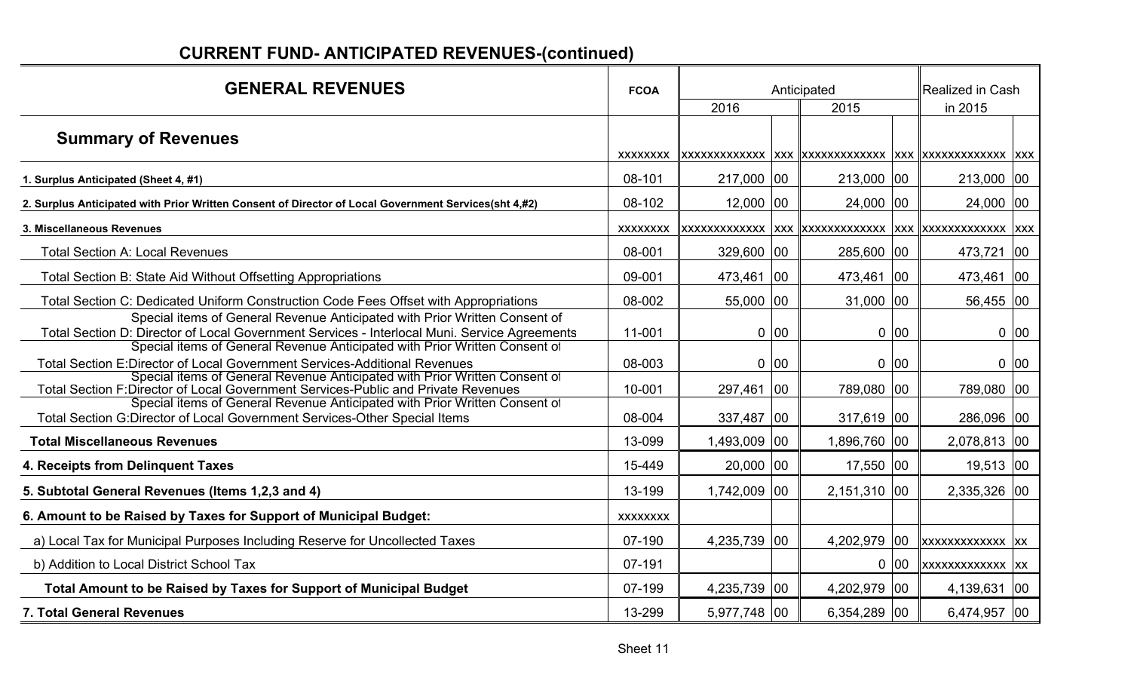| <b>GENERAL REVENUES</b>                                                                                                                                                    | <b>FCOA</b>     |              |      | Anticipated  |      | Realized in Cash |      |
|----------------------------------------------------------------------------------------------------------------------------------------------------------------------------|-----------------|--------------|------|--------------|------|------------------|------|
|                                                                                                                                                                            |                 | 2016         |      | 2015         |      | in 2015          |      |
| <b>Summary of Revenues</b>                                                                                                                                                 |                 |              |      |              |      |                  |      |
| 1. Surplus Anticipated (Sheet 4, #1)                                                                                                                                       | 08-101          | 217,000 00   |      | 213,000 00   |      | 213,000 00       |      |
| 2. Surplus Anticipated with Prior Written Consent of Director of Local Government Services(sht 4,#2)                                                                       | 08-102          | $12,000$  00 |      | 24,000 00    |      | 24,000 00        |      |
| 3. Miscellaneous Revenues                                                                                                                                                  | XXXXXXXX        |              |      |              |      |                  |      |
| <b>Total Section A: Local Revenues</b>                                                                                                                                     | 08-001          | $329,600$ 00 |      | 285,600 00   |      | 473,721 00       |      |
| Total Section B: State Aid Without Offsetting Appropriations                                                                                                               | 09-001          | 473,461 00   |      | 473,461 00   |      | 473,461 00       |      |
| Total Section C: Dedicated Uniform Construction Code Fees Offset with Appropriations                                                                                       | 08-002          | 55,000 00    |      | $31,000$ 00  |      | 56,455 00        |      |
| Special items of General Revenue Anticipated with Prior Written Consent of<br>Total Section D: Director of Local Government Services - Interlocal Muni. Service Agreements | 11-001          |              | 0 00 |              | 0 00 |                  | 0 00 |
| Special items of General Revenue Anticipated with Prior Written Consent of<br>Total Section E:Director of Local Government Services-Additional Revenues                    | 08-003          |              | 0 00 |              | 0 00 |                  | 0 00 |
| Special items of General Revenue Anticipated with Prior Written Consent of<br>Total Section F:Director of Local Government Services-Public and Private Revenues            | 10-001          | 297,461 00   |      | 789,080 00   |      | 789,080 00       |      |
| Special items of General Revenue Anticipated with Prior Written Consent of<br>Total Section G:Director of Local Government Services-Other Special Items                    | 08-004          | 337,487   00 |      | 317,619 00   |      | 286,096 00       |      |
| <b>Total Miscellaneous Revenues</b>                                                                                                                                        | 13-099          | 1,493,009 00 |      | 1,896,760 00 |      | 2,078,813 00     |      |
| 4. Receipts from Delinquent Taxes                                                                                                                                          | 15-449          | $20,000$ 00  |      | $17,550$ 00  |      | 19,513 00        |      |
| 5. Subtotal General Revenues (Items 1,2,3 and 4)                                                                                                                           | 13-199          | 1,742,009 00 |      | 2,151,310 00 |      | 2,335,326 00     |      |
| 6. Amount to be Raised by Taxes for Support of Municipal Budget:                                                                                                           | <b>XXXXXXXX</b> |              |      |              |      |                  |      |
| a) Local Tax for Municipal Purposes Including Reserve for Uncollected Taxes                                                                                                | 07-190          | 4,235,739 00 |      | 4,202,979 00 |      | xxxxxxxxxxxx xx  |      |
| b) Addition to Local District School Tax                                                                                                                                   | 07-191          |              |      |              | 0 00 | XXXXXXXXXXXXX XX |      |
| Total Amount to be Raised by Taxes for Support of Municipal Budget                                                                                                         | 07-199          | 4,235,739 00 |      | 4,202,979 00 |      | 4,139,631 00     |      |
| <b>7. Total General Revenues</b>                                                                                                                                           | 13-299          | 5,977,748 00 |      | 6,354,289 00 |      | 6,474,957 00     |      |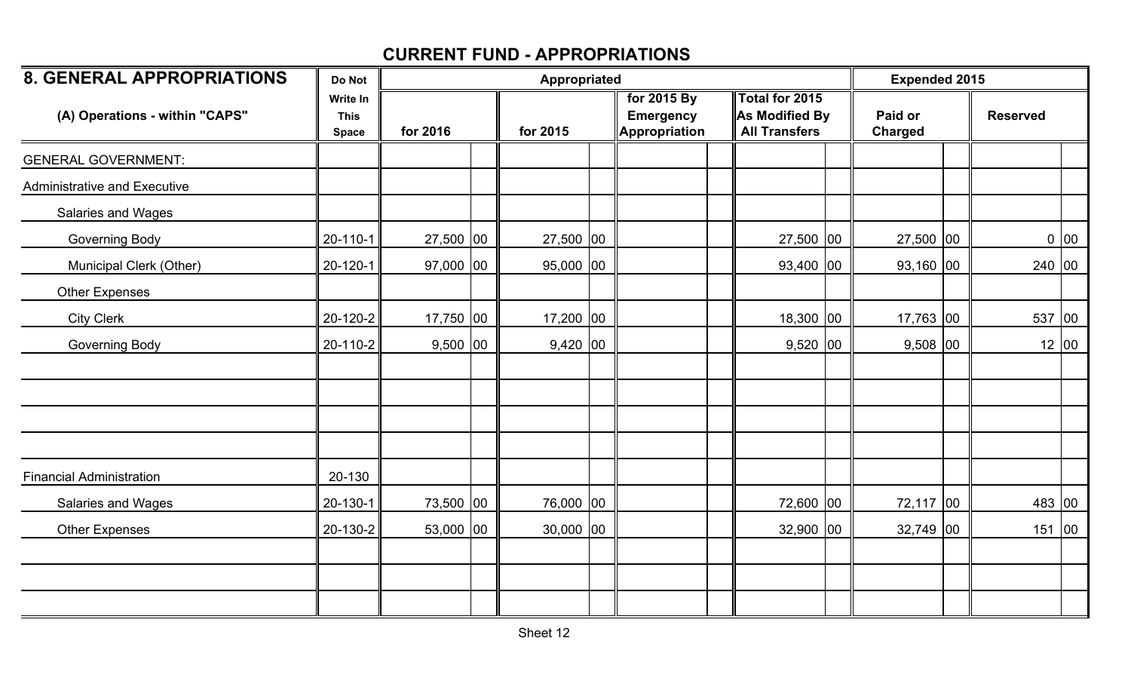| <b>8. GENERAL APPROPRIATIONS</b>    | Do Not                                         |             | Appropriated | <b>Expended 2015</b> |                                                         |                                                          |                           |  |                 |       |
|-------------------------------------|------------------------------------------------|-------------|--------------|----------------------|---------------------------------------------------------|----------------------------------------------------------|---------------------------|--|-----------------|-------|
| (A) Operations - within "CAPS"      | <b>Write In</b><br><b>This</b><br><b>Space</b> | for 2016    |              | for 2015             | for 2015 By<br><b>Emergency</b><br><b>Appropriation</b> | Total for 2015<br>As Modified By<br><b>All Transfers</b> | Paid or<br><b>Charged</b> |  | <b>Reserved</b> |       |
| <b>GENERAL GOVERNMENT:</b>          |                                                |             |              |                      |                                                         |                                                          |                           |  |                 |       |
| <b>Administrative and Executive</b> |                                                |             |              |                      |                                                         |                                                          |                           |  |                 |       |
| Salaries and Wages                  |                                                |             |              |                      |                                                         |                                                          |                           |  |                 |       |
| Governing Body                      | $20 - 110 - 1$                                 | 27,500 00   |              | 27,500 00            |                                                         | 27,500 00                                                | 27,500 00                 |  |                 | 0 00  |
| Municipal Clerk (Other)             | 20-120-1                                       | $97,000$ 00 |              | 95,000 00            |                                                         | 93,400 00                                                | $93,160$ 00               |  | 240 00          |       |
| <b>Other Expenses</b>               |                                                |             |              |                      |                                                         |                                                          |                           |  |                 |       |
| <b>City Clerk</b>                   | 20-120-2                                       | 17,750 00   |              | 17,200 00            |                                                         | 18,300 00                                                | 17,763 00                 |  | 537 00          |       |
| Governing Body                      | 20-110-2                                       | $9,500$ 00  |              | $9,420$ 00           |                                                         | $9,520$ 00                                               | $9,508$ 00                |  |                 | 12 00 |
|                                     |                                                |             |              |                      |                                                         |                                                          |                           |  |                 |       |
|                                     |                                                |             |              |                      |                                                         |                                                          |                           |  |                 |       |
| <b>Financial Administration</b>     | 20-130                                         |             |              |                      |                                                         |                                                          |                           |  |                 |       |
| Salaries and Wages                  | 20-130-1                                       | 73,500 00   |              | 76,000 00            |                                                         | 72,600 00                                                | 72,117 00                 |  | 483 00          |       |
| <b>Other Expenses</b>               | 20-130-2                                       | 53,000 00   |              | $30,000$ 00          |                                                         | 32,900 00                                                | $32,749$ 00               |  | 151             | 00    |
|                                     |                                                |             |              |                      |                                                         |                                                          |                           |  |                 |       |
|                                     |                                                |             |              |                      |                                                         |                                                          |                           |  |                 |       |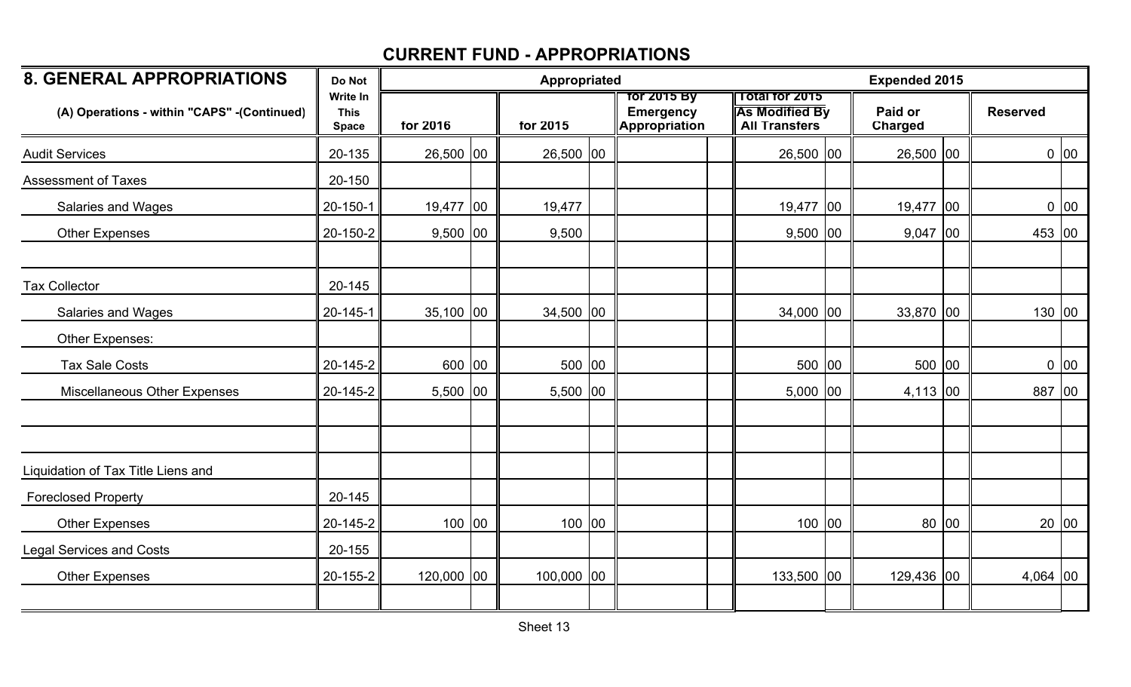| <b>8. GENERAL APPROPRIATIONS</b>            | Do Not                                  |             | Appropriated |                                                  |                                                                        | <b>Expended 2015</b>      |  |                 |      |  |
|---------------------------------------------|-----------------------------------------|-------------|--------------|--------------------------------------------------|------------------------------------------------------------------------|---------------------------|--|-----------------|------|--|
| (A) Operations - within "CAPS" -(Continued) | Write In<br><b>This</b><br><b>Space</b> | for 2016    | for 2015     | for 2015 By<br><b>Emergency</b><br>Appropriation | <b>Total for 2015</b><br><b>As Modified By</b><br><b>All Transfers</b> | Paid or<br><b>Charged</b> |  | <b>Reserved</b> |      |  |
| <b>Audit Services</b>                       | 20-135                                  | $26,500$ 00 | $26,500$ 00  |                                                  | 26,500 00                                                              | 26,500 00                 |  |                 | 0 00 |  |
| <b>Assessment of Taxes</b>                  | 20-150                                  |             |              |                                                  |                                                                        |                           |  |                 |      |  |
| Salaries and Wages                          | $20 - 150 - 1$                          | 19,477 00   | 19,477       |                                                  | 19,477 00                                                              | 19,477 00                 |  |                 | 0 00 |  |
| <b>Other Expenses</b>                       | 20-150-2                                | $9,500$ 00  | 9,500        |                                                  | $9,500$ 00                                                             | $9,047$ 00                |  | 453 00          |      |  |
| <b>Tax Collector</b>                        | 20-145                                  |             |              |                                                  |                                                                        |                           |  |                 |      |  |
| Salaries and Wages                          | $20 - 145 - 1$                          | $35,100$ 00 | $34,500$ 00  |                                                  | $34,000$ 00                                                            | 33,870 00                 |  | 130 00          |      |  |
| Other Expenses:                             |                                         |             |              |                                                  |                                                                        |                           |  |                 |      |  |
| <b>Tax Sale Costs</b>                       | 20-145-2                                | 600 00      | 500 00       |                                                  | 500 00                                                                 | 500 00                    |  |                 | 0 00 |  |
| Miscellaneous Other Expenses                | 20-145-2                                | $5,500$ 00  | 5,500 00     |                                                  | 5,000 00                                                               | $4,113$ 00                |  | 887 00          |      |  |
|                                             |                                         |             |              |                                                  |                                                                        |                           |  |                 |      |  |
| Liquidation of Tax Title Liens and          |                                         |             |              |                                                  |                                                                        |                           |  |                 |      |  |
| <b>Foreclosed Property</b>                  | 20-145                                  |             |              |                                                  |                                                                        |                           |  |                 |      |  |
| Other Expenses                              | 20-145-2                                | 100 00      | 100 00       |                                                  | 100 00                                                                 | 80 00                     |  | 20 00           |      |  |
| <b>Legal Services and Costs</b>             | 20-155                                  |             |              |                                                  |                                                                        |                           |  |                 |      |  |
| <b>Other Expenses</b>                       | 20-155-2                                | 120,000 00  | 100,000 00   |                                                  | 133,500 00                                                             | 129,436 00                |  | $4,064$ 00      |      |  |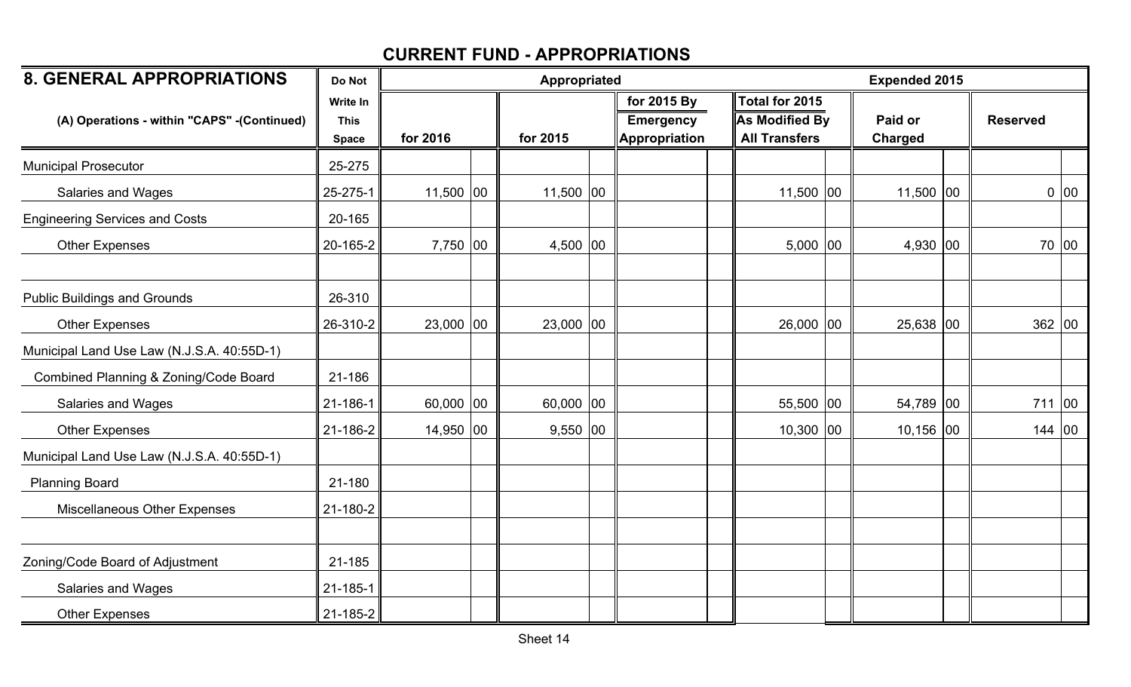| <b>8. GENERAL APPROPRIATIONS</b>            | Do Not                                  |             | Appropriated |            |  | <b>Expended 2015</b>                             |                                                                 |                           |  |                 |       |
|---------------------------------------------|-----------------------------------------|-------------|--------------|------------|--|--------------------------------------------------|-----------------------------------------------------------------|---------------------------|--|-----------------|-------|
| (A) Operations - within "CAPS" -(Continued) | Write In<br><b>This</b><br><b>Space</b> | for 2016    |              | for 2015   |  | for 2015 By<br><b>Emergency</b><br>Appropriation | Total for 2015<br><b>As Modified By</b><br><b>All Transfers</b> | Paid or<br><b>Charged</b> |  | <b>Reserved</b> |       |
| <b>Municipal Prosecutor</b>                 | 25-275                                  |             |              |            |  |                                                  |                                                                 |                           |  |                 |       |
| Salaries and Wages                          | 25-275-1                                | $11,500$ 00 |              | 11,500 00  |  |                                                  | 11,500 00                                                       | $11,500$ 00               |  |                 | 0 00  |
| <b>Engineering Services and Costs</b>       | 20-165                                  |             |              |            |  |                                                  |                                                                 |                           |  |                 |       |
| <b>Other Expenses</b>                       | 20-165-2                                | 7,750 00    |              | 4,500 00   |  |                                                  | $5,000$ 00                                                      | 4,930 $ 00$               |  |                 | 70 00 |
| <b>Public Buildings and Grounds</b>         | 26-310                                  |             |              |            |  |                                                  |                                                                 |                           |  |                 |       |
| <b>Other Expenses</b>                       | 26-310-2                                | $23,000$ 00 |              | 23,000 00  |  |                                                  | 26,000 00                                                       | 25,638 00                 |  | 362 00          |       |
| Municipal Land Use Law (N.J.S.A. 40:55D-1)  |                                         |             |              |            |  |                                                  |                                                                 |                           |  |                 |       |
| Combined Planning & Zoning/Code Board       | 21-186                                  |             |              |            |  |                                                  |                                                                 |                           |  |                 |       |
| <b>Salaries and Wages</b>                   | 21-186-1                                | $60,000$ 00 |              | 60,000 00  |  |                                                  | 55,500 00                                                       | 54,789 00                 |  | 711             | 00    |
| <b>Other Expenses</b>                       | 21-186-2                                | 14,950 00   |              | $9,550$ 00 |  |                                                  | $10,300$ 00                                                     | 10,156 00                 |  | 144 00          |       |
| Municipal Land Use Law (N.J.S.A. 40:55D-1)  |                                         |             |              |            |  |                                                  |                                                                 |                           |  |                 |       |
| <b>Planning Board</b>                       | 21-180                                  |             |              |            |  |                                                  |                                                                 |                           |  |                 |       |
| Miscellaneous Other Expenses                | 21-180-2                                |             |              |            |  |                                                  |                                                                 |                           |  |                 |       |
| Zoning/Code Board of Adjustment             | 21-185                                  |             |              |            |  |                                                  |                                                                 |                           |  |                 |       |
| Salaries and Wages                          | $21 - 185 - 1$                          |             |              |            |  |                                                  |                                                                 |                           |  |                 |       |
| <b>Other Expenses</b>                       | $21 - 185 - 2$                          |             |              |            |  |                                                  |                                                                 |                           |  |                 |       |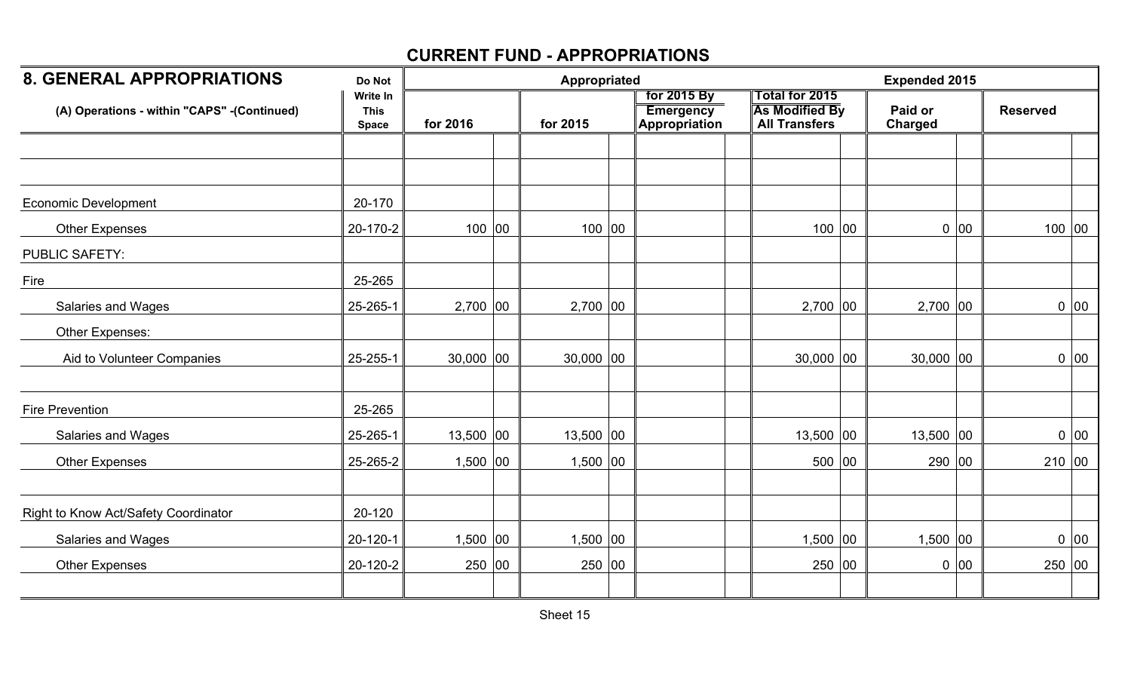| <b>8. GENERAL APPROPRIATIONS</b>             | Do Not                                  |             | Appropriated |             |               | <b>Expended 2015</b> |                                                                 |                    |      |                 |
|----------------------------------------------|-----------------------------------------|-------------|--------------|-------------|---------------|----------------------|-----------------------------------------------------------------|--------------------|------|-----------------|
| (A) Operations - within "CAPS" - (Continued) | Write In<br><b>This</b><br><b>Space</b> | for 2016    |              | for 2015    | Appropriation |                      | Total for 2015<br><b>As Modified By</b><br><b>All Transfers</b> | Paid or<br>Charged |      | <b>Reserved</b> |
|                                              |                                         |             |              |             |               |                      |                                                                 |                    |      |                 |
|                                              |                                         |             |              |             |               |                      |                                                                 |                    |      |                 |
| <b>Economic Development</b>                  | 20-170                                  |             |              |             |               |                      |                                                                 |                    |      |                 |
| <b>Other Expenses</b>                        | 20-170-2                                | 100 00      |              | 100 00      |               |                      | 100 00                                                          |                    | 0 00 | 100 00          |
| <b>PUBLIC SAFETY:</b>                        |                                         |             |              |             |               |                      |                                                                 |                    |      |                 |
| Fire                                         | 25-265                                  |             |              |             |               |                      |                                                                 |                    |      |                 |
| Salaries and Wages                           | 25-265-1                                | $2,700$ 00  |              | $2,700$ 00  |               |                      | $2,700$ 00                                                      | $2,700$ 00         |      | 0 00            |
| Other Expenses:                              |                                         |             |              |             |               |                      |                                                                 |                    |      |                 |
| Aid to Volunteer Companies                   | 25-255-1                                | $30,000$ 00 |              | $30,000$ 00 |               |                      | $30,000$ 00                                                     | $30,000$ 00        |      | 0 00            |
| <b>Fire Prevention</b>                       | 25-265                                  |             |              |             |               |                      |                                                                 |                    |      |                 |
| Salaries and Wages                           | 25-265-1                                | $13,500$ 00 |              | $13,500$ 00 |               |                      | $13,500$ 00                                                     | $13,500$ 00        |      | 0 00            |
| <b>Other Expenses</b>                        | 25-265-2                                | $1,500$ 00  |              | $1,500$ 00  |               |                      | 500 00                                                          | 290 00             |      | 210 00          |
|                                              |                                         |             |              |             |               |                      |                                                                 |                    |      |                 |
| Right to Know Act/Safety Coordinator         | 20-120                                  |             |              |             |               |                      |                                                                 |                    |      |                 |
| Salaries and Wages                           | $20 - 120 - 1$                          | $1,500$ 00  |              | $1,500$ 00  |               |                      | $1,500$ 00                                                      | $1,500$ 00         |      | 0 00            |
| <b>Other Expenses</b>                        | 20-120-2                                | 250 00      |              | 250 00      |               |                      | 250 00                                                          |                    | 0 00 | 250 00          |
|                                              |                                         |             |              |             |               |                      |                                                                 |                    |      |                 |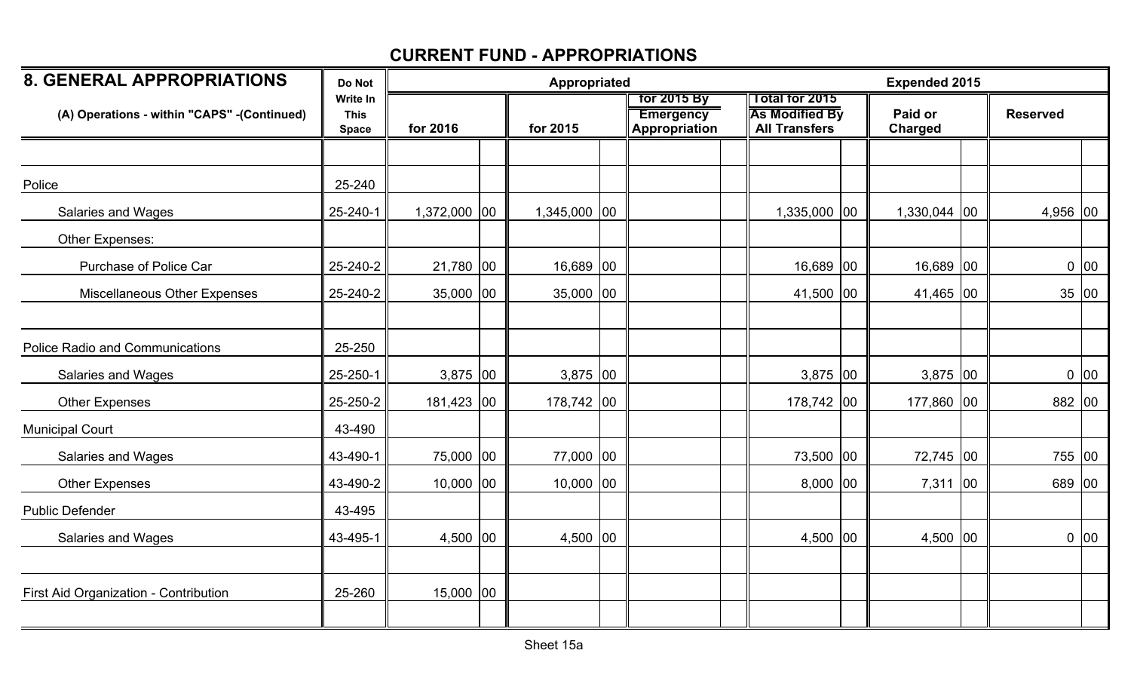| <b>8. GENERAL APPROPRIATIONS</b>             | Do Not                                  |              | Appropriated |  |                                                         |                                                                        |  | <b>Expended 2015</b> |  |                 |      |  |
|----------------------------------------------|-----------------------------------------|--------------|--------------|--|---------------------------------------------------------|------------------------------------------------------------------------|--|----------------------|--|-----------------|------|--|
| (A) Operations - within "CAPS" - (Continued) | Write In<br><b>This</b><br><b>Space</b> | for 2016     | for 2015     |  | for 2015 By<br><b>Emergency</b><br><b>Appropriation</b> | <b>Total for 2015</b><br><b>As Modified By</b><br><b>All Transfers</b> |  | Paid or<br>Charged   |  | <b>Reserved</b> |      |  |
|                                              |                                         |              |              |  |                                                         |                                                                        |  |                      |  |                 |      |  |
| Police                                       | 25-240                                  |              |              |  |                                                         |                                                                        |  |                      |  |                 |      |  |
| Salaries and Wages                           | 25-240-1                                | 1,372,000 00 | 1,345,000 00 |  |                                                         | 1,335,000 00                                                           |  | 1,330,044 00         |  | $4,956$ 00      |      |  |
| Other Expenses:                              |                                         |              |              |  |                                                         |                                                                        |  |                      |  |                 |      |  |
| <b>Purchase of Police Car</b>                | 25-240-2                                | 21,780 00    | 16,689 00    |  |                                                         | 16,689 00                                                              |  | 16,689 00            |  |                 | 0 00 |  |
| Miscellaneous Other Expenses                 | 25-240-2                                | $35,000$ 00  | $35,000$ 00  |  |                                                         | 41,500 00                                                              |  | 41,465 00            |  | 35 00           |      |  |
|                                              |                                         |              |              |  |                                                         |                                                                        |  |                      |  |                 |      |  |
| <b>Police Radio and Communications</b>       | 25-250                                  |              |              |  |                                                         |                                                                        |  |                      |  |                 |      |  |
| Salaries and Wages                           | 25-250-1                                | $3,875$ 00   | $3,875$ 00   |  |                                                         | 3,875 00                                                               |  | 3,875 00             |  |                 | 0 00 |  |
| <b>Other Expenses</b>                        | 25-250-2                                | 181,423 00   | 178,742 00   |  |                                                         | 178,742 00                                                             |  | 177,860 00           |  | 882 00          |      |  |
| <b>Municipal Court</b>                       | 43-490                                  |              |              |  |                                                         |                                                                        |  |                      |  |                 |      |  |
| Salaries and Wages                           | 43-490-1                                | 75,000 00    | 77,000 00    |  |                                                         | 73,500 00                                                              |  | 72,745 00            |  | 755 00          |      |  |
| <b>Other Expenses</b>                        | 43-490-2                                | $10,000$ 00  | $10,000$ 00  |  |                                                         | $8,000$ 00                                                             |  | 7,311 00             |  | 689 00          |      |  |
| <b>Public Defender</b>                       | 43-495                                  |              |              |  |                                                         |                                                                        |  |                      |  |                 |      |  |
| Salaries and Wages                           | 43-495-1                                | 4,500 00     | 4,500 00     |  |                                                         | 4,500 00                                                               |  | $4,500$ 00           |  |                 | 0 00 |  |
|                                              |                                         |              |              |  |                                                         |                                                                        |  |                      |  |                 |      |  |
| First Aid Organization - Contribution        | 25-260                                  | $15,000$ 00  |              |  |                                                         |                                                                        |  |                      |  |                 |      |  |
|                                              |                                         |              |              |  |                                                         |                                                                        |  |                      |  |                 |      |  |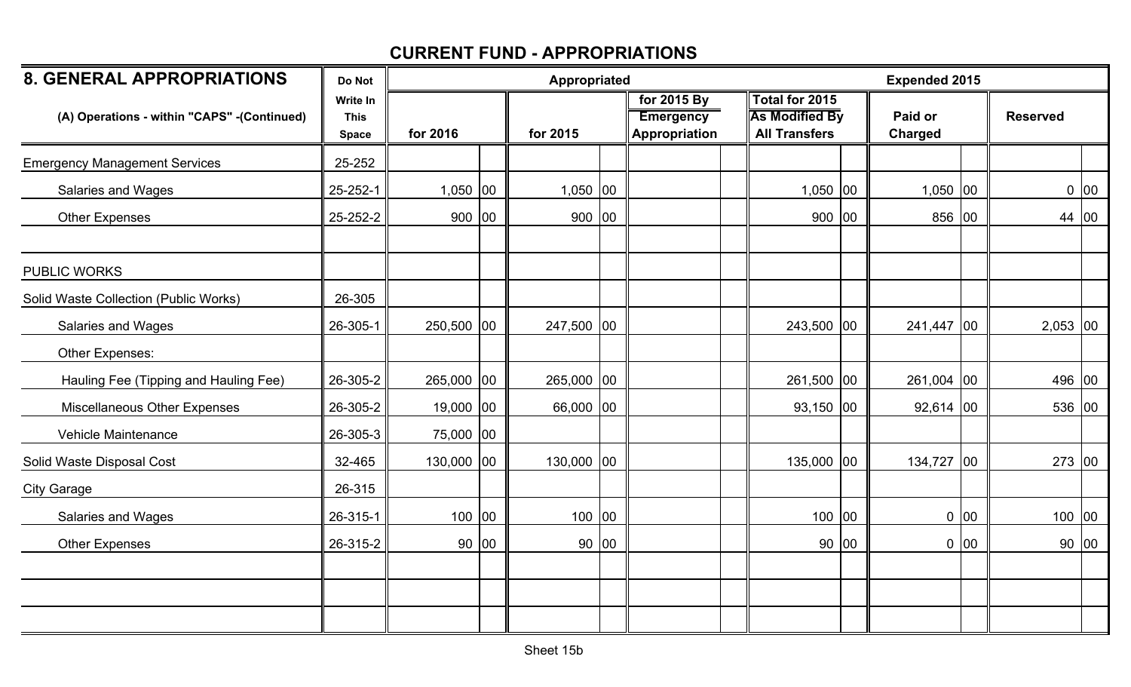| <b>8. GENERAL APPROPRIATIONS</b>             | Do Not                                  |             | Appropriated |            |       | <b>Expended 2015</b>                             |                                                                 |       |                    |              |                 |       |
|----------------------------------------------|-----------------------------------------|-------------|--------------|------------|-------|--------------------------------------------------|-----------------------------------------------------------------|-------|--------------------|--------------|-----------------|-------|
| (A) Operations - within "CAPS" - (Continued) | Write In<br><b>This</b><br><b>Space</b> | for 2016    |              | for 2015   |       | for 2015 By<br><b>Emergency</b><br>Appropriation | Total for 2015<br><b>As Modified By</b><br><b>All Transfers</b> |       | Paid or<br>Charged |              | <b>Reserved</b> |       |
| <b>Emergency Management Services</b>         | 25-252                                  |             |              |            |       |                                                  |                                                                 |       |                    |              |                 |       |
| Salaries and Wages                           | 25-252-1                                | $1,050$ 00  |              | $1,050$ 00 |       |                                                  | $1,050$ 00                                                      |       | $1,050$ 00         |              |                 | 0 00  |
| <b>Other Expenses</b>                        | 25-252-2                                | 900 00      |              | 900   00   |       |                                                  | 900 00                                                          |       | 856 00             |              | 44 00           |       |
| <b>PUBLIC WORKS</b>                          |                                         |             |              |            |       |                                                  |                                                                 |       |                    |              |                 |       |
| Solid Waste Collection (Public Works)        | 26-305                                  |             |              |            |       |                                                  |                                                                 |       |                    |              |                 |       |
| Salaries and Wages                           | 26-305-1                                | 250,500 00  |              | 247,500 00 |       |                                                  | 243,500 00                                                      |       | 241,447            | $ 00\rangle$ | $2,053$ 00      |       |
| Other Expenses:                              |                                         |             |              |            |       |                                                  |                                                                 |       |                    |              |                 |       |
| Hauling Fee (Tipping and Hauling Fee)        | 26-305-2                                | 265,000 00  |              | 265,000 00 |       |                                                  | 261,500 00                                                      |       | 261,004 00         |              | 496 00          |       |
| Miscellaneous Other Expenses                 | 26-305-2                                | $19,000$ 00 |              | 66,000 00  |       |                                                  | $93,150$ 00                                                     |       | $92,614$ 00        |              | 536 00          |       |
| <b>Vehicle Maintenance</b>                   | 26-305-3                                | 75,000 00   |              |            |       |                                                  |                                                                 |       |                    |              |                 |       |
| Solid Waste Disposal Cost                    | 32-465                                  | 130,000 00  |              | 130,000 00 |       |                                                  | 135,000 00                                                      |       | 134,727 00         |              | 273 00          |       |
| <b>City Garage</b>                           | 26-315                                  |             |              |            |       |                                                  |                                                                 |       |                    |              |                 |       |
| Salaries and Wages                           | 26-315-1                                | 100 00      |              | 100 00     |       |                                                  | $100$ 00                                                        |       |                    | 0 00         | 100   00        |       |
| <b>Other Expenses</b>                        | 26-315-2                                |             | 90 00        |            | 90 00 |                                                  |                                                                 | 90 00 |                    | 0 00         |                 | 90 00 |
|                                              |                                         |             |              |            |       |                                                  |                                                                 |       |                    |              |                 |       |
|                                              |                                         |             |              |            |       |                                                  |                                                                 |       |                    |              |                 |       |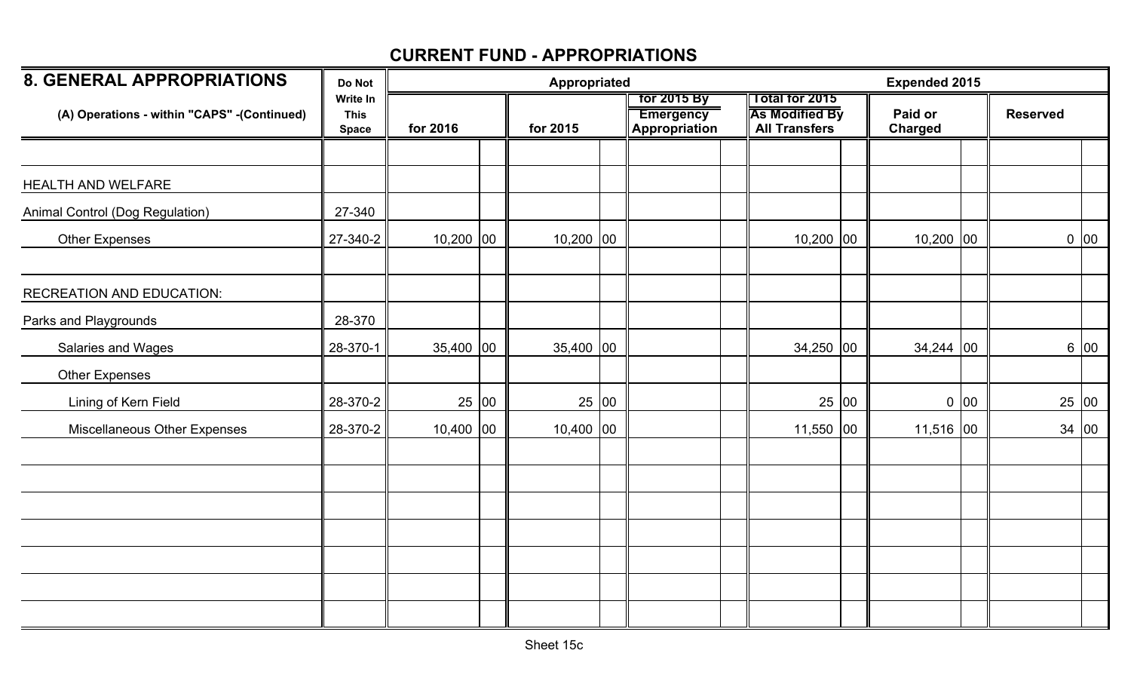| <b>8. GENERAL APPROPRIATIONS</b>             | Do Not                                  |             |       | Appropriated |                                                  |                                                                 |       | <b>Expended 2015</b> |      |                 |       |
|----------------------------------------------|-----------------------------------------|-------------|-------|--------------|--------------------------------------------------|-----------------------------------------------------------------|-------|----------------------|------|-----------------|-------|
| (A) Operations - within "CAPS" - (Continued) | Write In<br><b>This</b><br><b>Space</b> | for 2016    |       | for 2015     | tor 2015 By<br><b>Emergency</b><br>Appropriation | Total for 2015<br><b>As Modified By</b><br><b>All Transfers</b> |       | Paid or<br>Charged   |      | <b>Reserved</b> |       |
|                                              |                                         |             |       |              |                                                  |                                                                 |       |                      |      |                 |       |
| HEALTH AND WELFARE                           |                                         |             |       |              |                                                  |                                                                 |       |                      |      |                 |       |
| Animal Control (Dog Regulation)              | 27-340                                  |             |       |              |                                                  |                                                                 |       |                      |      |                 |       |
| Other Expenses                               | 27-340-2                                | $10,200$ 00 |       | $10,200$ 00  |                                                  | $10,200$ 00                                                     |       | $10,200$ 00          |      |                 | 0 00  |
| <b>RECREATION AND EDUCATION:</b>             |                                         |             |       |              |                                                  |                                                                 |       |                      |      |                 |       |
| Parks and Playgrounds                        | 28-370                                  |             |       |              |                                                  |                                                                 |       |                      |      |                 |       |
| Salaries and Wages                           | 28-370-1                                | 35,400 00   |       | 35,400 00    |                                                  | $34,250$ 00                                                     |       | $34,244$ 00          |      |                 | 6 00  |
| <b>Other Expenses</b>                        |                                         |             |       |              |                                                  |                                                                 |       |                      |      |                 |       |
| Lining of Kern Field                         | 28-370-2                                |             | 25 00 | 25 00        |                                                  |                                                                 | 25 00 |                      | 0 00 |                 | 25 00 |
| Miscellaneous Other Expenses                 | 28-370-2                                | $10,400$ 00 |       | $10,400$ 00  |                                                  | $11,550$ 00                                                     |       | $11,516$ 00          |      |                 | 34 00 |
|                                              |                                         |             |       |              |                                                  |                                                                 |       |                      |      |                 |       |
|                                              |                                         |             |       |              |                                                  |                                                                 |       |                      |      |                 |       |
|                                              |                                         |             |       |              |                                                  |                                                                 |       |                      |      |                 |       |
|                                              |                                         |             |       |              |                                                  |                                                                 |       |                      |      |                 |       |
|                                              |                                         |             |       |              |                                                  |                                                                 |       |                      |      |                 |       |
|                                              |                                         |             |       |              |                                                  |                                                                 |       |                      |      |                 |       |
|                                              |                                         |             |       |              |                                                  |                                                                 |       |                      |      |                 |       |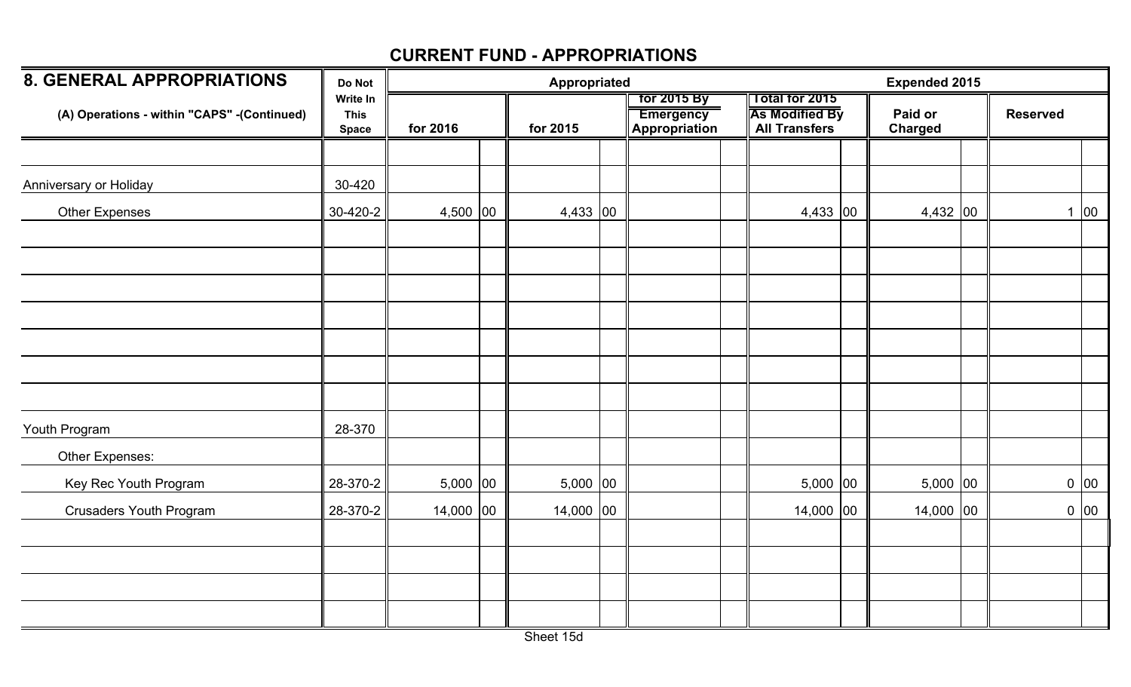| <b>8. GENERAL APPROPRIATIONS</b>            | Do Not                                  |              | Appropriated |                                                  |                                                                 | <b>Expended 2015</b>      |                 |                  |
|---------------------------------------------|-----------------------------------------|--------------|--------------|--------------------------------------------------|-----------------------------------------------------------------|---------------------------|-----------------|------------------|
| (A) Operations - within "CAPS" -(Continued) | Write In<br><b>This</b><br><b>Space</b> | for 2016     | for 2015     | for 2015 By<br><b>Emergency</b><br>Appropriation | Total for 2015<br><b>As Modified By</b><br><b>All Transfers</b> | Paid or<br><b>Charged</b> | <b>Reserved</b> |                  |
|                                             |                                         |              |              |                                                  |                                                                 |                           |                 |                  |
| Anniversary or Holiday                      | 30-420                                  |              |              |                                                  |                                                                 |                           |                 |                  |
| <b>Other Expenses</b>                       | 30-420-2                                | 4,500 $ 00 $ | $4,433$ 00   |                                                  | $4,433$ 00                                                      | 4,432 00                  |                 | $1\overline{00}$ |
|                                             |                                         |              |              |                                                  |                                                                 |                           |                 |                  |
|                                             |                                         |              |              |                                                  |                                                                 |                           |                 |                  |
|                                             |                                         |              |              |                                                  |                                                                 |                           |                 |                  |
|                                             |                                         |              |              |                                                  |                                                                 |                           |                 |                  |
|                                             |                                         |              |              |                                                  |                                                                 |                           |                 |                  |
|                                             |                                         |              |              |                                                  |                                                                 |                           |                 |                  |
| Youth Program                               | 28-370                                  |              |              |                                                  |                                                                 |                           |                 |                  |
| Other Expenses:                             |                                         |              |              |                                                  |                                                                 |                           |                 |                  |
| Key Rec Youth Program                       | 28-370-2                                | $5,000$ 00   | $5,000$ 00   |                                                  | $5,000$ 00                                                      | $5,000$ 00                |                 | 0 00             |
| <b>Crusaders Youth Program</b>              | 28-370-2                                | $14,000$ 00  | 14,000 00    |                                                  | $14,000$ 00                                                     | 14,000 00                 |                 | 0 00             |
|                                             |                                         |              |              |                                                  |                                                                 |                           |                 |                  |
|                                             |                                         |              |              |                                                  |                                                                 |                           |                 |                  |
|                                             |                                         |              |              |                                                  |                                                                 |                           |                 |                  |
|                                             |                                         |              |              |                                                  |                                                                 |                           |                 |                  |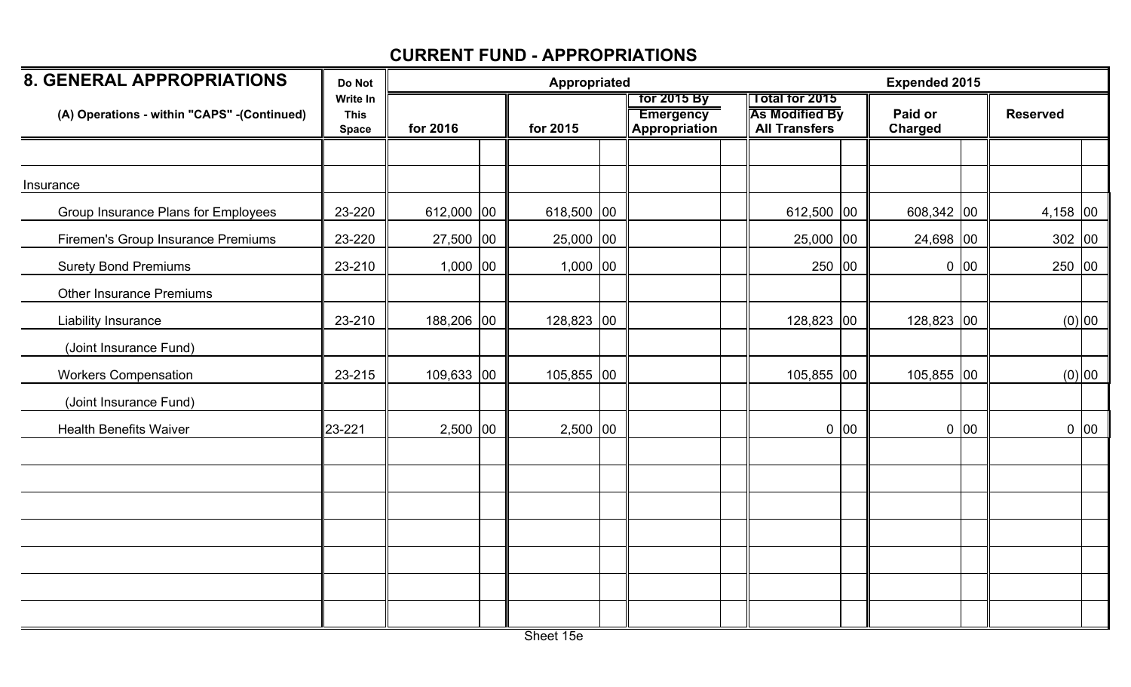| <b>8. GENERAL APPROPRIATIONS</b>            | Do Not                                  |              | Appropriated |                                                         |                                                                        |      | <b>Expended 2015</b>      |      |                 |        |
|---------------------------------------------|-----------------------------------------|--------------|--------------|---------------------------------------------------------|------------------------------------------------------------------------|------|---------------------------|------|-----------------|--------|
| (A) Operations - within "CAPS" -(Continued) | Write In<br><b>This</b><br><b>Space</b> | for 2016     | for 2015     | <b>for 2015 By</b><br><b>Emergency</b><br>Appropriation | <b>Total for 2015</b><br><b>As Modified By</b><br><b>All Transfers</b> |      | Paid or<br><b>Charged</b> |      | <b>Reserved</b> |        |
|                                             |                                         |              |              |                                                         |                                                                        |      |                           |      |                 |        |
| Insurance                                   |                                         |              |              |                                                         |                                                                        |      |                           |      |                 |        |
| Group Insurance Plans for Employees         | 23-220                                  | 612,000 00   | 618,500 00   |                                                         | 612,500 00                                                             |      | 608,342 00                |      | $4,158$ 00      |        |
| Firemen's Group Insurance Premiums          | 23-220                                  | $27,500$ 00  | 25,000 00    |                                                         | 25,000 00                                                              |      | 24,698 00                 |      | 302 00          |        |
| <b>Surety Bond Premiums</b>                 | 23-210                                  | $1,000$ 00   | $1,000$ 00   |                                                         | 250 00                                                                 |      |                           | 0 00 | 250 00          |        |
| <b>Other Insurance Premiums</b>             |                                         |              |              |                                                         |                                                                        |      |                           |      |                 |        |
| Liability Insurance                         | 23-210                                  | 188,206 00   | $128,823$ 00 |                                                         | 128,823 00                                                             |      | 128,823 00                |      |                 | (0) 00 |
| (Joint Insurance Fund)                      |                                         |              |              |                                                         |                                                                        |      |                           |      |                 |        |
| <b>Workers Compensation</b>                 | 23-215                                  | $109,633$ 00 | $105,855$ 00 |                                                         | 105,855 00                                                             |      | 105,855 00                |      |                 | (0) 00 |
| (Joint Insurance Fund)                      |                                         |              |              |                                                         |                                                                        |      |                           |      |                 |        |
| <b>Health Benefits Waiver</b>               | 23-221                                  | $2,500$ 00   | $2,500$ 00   |                                                         |                                                                        | 0 00 |                           | 0 00 |                 | 0 00   |
|                                             |                                         |              |              |                                                         |                                                                        |      |                           |      |                 |        |
|                                             |                                         |              |              |                                                         |                                                                        |      |                           |      |                 |        |
|                                             |                                         |              |              |                                                         |                                                                        |      |                           |      |                 |        |
|                                             |                                         |              |              |                                                         |                                                                        |      |                           |      |                 |        |
|                                             |                                         |              |              |                                                         |                                                                        |      |                           |      |                 |        |
|                                             |                                         |              |              |                                                         |                                                                        |      |                           |      |                 |        |
|                                             |                                         |              |              |                                                         |                                                                        |      |                           |      |                 |        |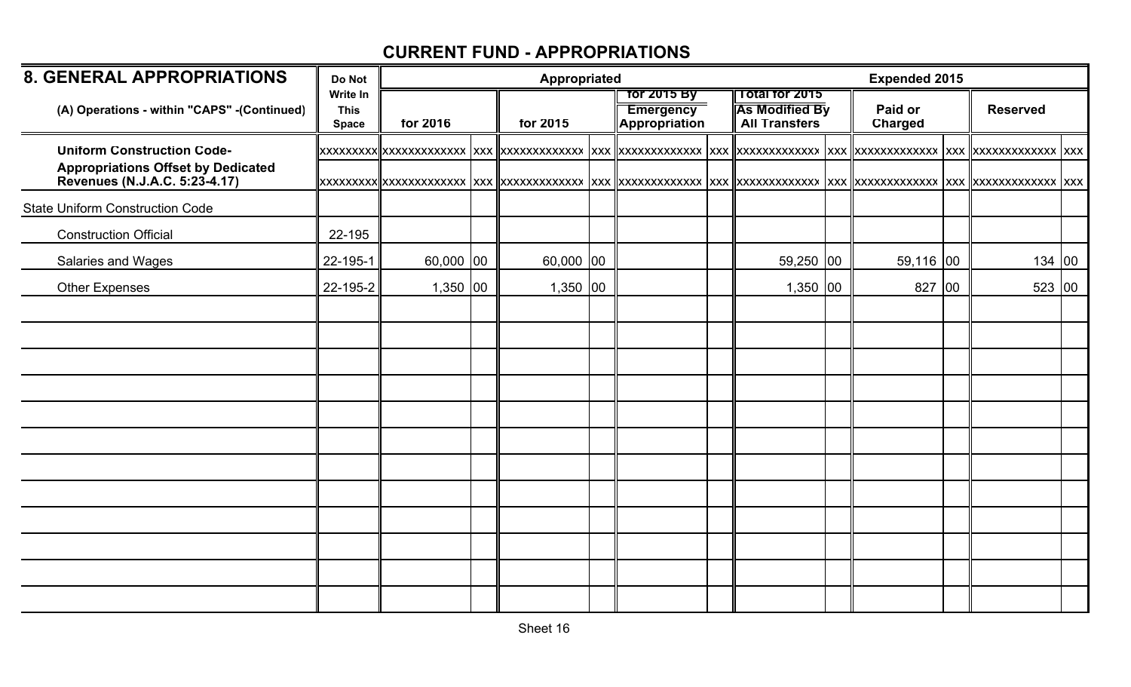| <b>8. GENERAL APPROPRIATIONS</b>                                           | Do Not                                  |            | <b>Appropriated</b> |            |  | <b>Expended 2015</b>                                    |                                                                             |                           |                 |  |
|----------------------------------------------------------------------------|-----------------------------------------|------------|---------------------|------------|--|---------------------------------------------------------|-----------------------------------------------------------------------------|---------------------------|-----------------|--|
| (A) Operations - within "CAPS" - (Continued)                               | Write In<br><b>This</b><br><b>Space</b> | for 2016   |                     | for 2015   |  | <b>Tor 2015 By</b><br><b>Emergency</b><br>Appropriation | $\sqrt{10}$ Total for 2015<br><b>As Modified By</b><br><b>All Transfers</b> | Paid or<br><b>Charged</b> | <b>Reserved</b> |  |
| <b>Uniform Construction Code-</b>                                          |                                         |            |                     |            |  |                                                         |                                                                             |                           |                 |  |
| <b>Appropriations Offset by Dedicated</b><br>Revenues (N.J.A.C. 5:23-4.17) |                                         |            |                     |            |  |                                                         |                                                                             |                           |                 |  |
| <b>State Uniform Construction Code</b>                                     |                                         |            |                     |            |  |                                                         |                                                                             |                           |                 |  |
| <b>Construction Official</b>                                               | 22-195                                  |            |                     |            |  |                                                         |                                                                             |                           |                 |  |
| Salaries and Wages                                                         | 22-195-1                                | 60,000 00  |                     | 60,000 00  |  |                                                         | 59,250 00                                                                   | $59,116$ 00               | 134 00          |  |
| <b>Other Expenses</b>                                                      | 22-195-2                                | $1,350$ 00 |                     | $1,350$ 00 |  |                                                         | $1,350$ 00                                                                  | 827 00                    | 523 00          |  |
|                                                                            |                                         |            |                     |            |  |                                                         |                                                                             |                           |                 |  |
|                                                                            |                                         |            |                     |            |  |                                                         |                                                                             |                           |                 |  |
|                                                                            |                                         |            |                     |            |  |                                                         |                                                                             |                           |                 |  |
|                                                                            |                                         |            |                     |            |  |                                                         |                                                                             |                           |                 |  |
|                                                                            |                                         |            |                     |            |  |                                                         |                                                                             |                           |                 |  |
|                                                                            |                                         |            |                     |            |  |                                                         |                                                                             |                           |                 |  |
|                                                                            |                                         |            |                     |            |  |                                                         |                                                                             |                           |                 |  |
|                                                                            |                                         |            |                     |            |  |                                                         |                                                                             |                           |                 |  |
|                                                                            |                                         |            |                     |            |  |                                                         |                                                                             |                           |                 |  |
|                                                                            |                                         |            |                     |            |  |                                                         |                                                                             |                           |                 |  |
|                                                                            |                                         |            |                     |            |  |                                                         |                                                                             |                           |                 |  |
|                                                                            |                                         |            |                     |            |  |                                                         |                                                                             |                           |                 |  |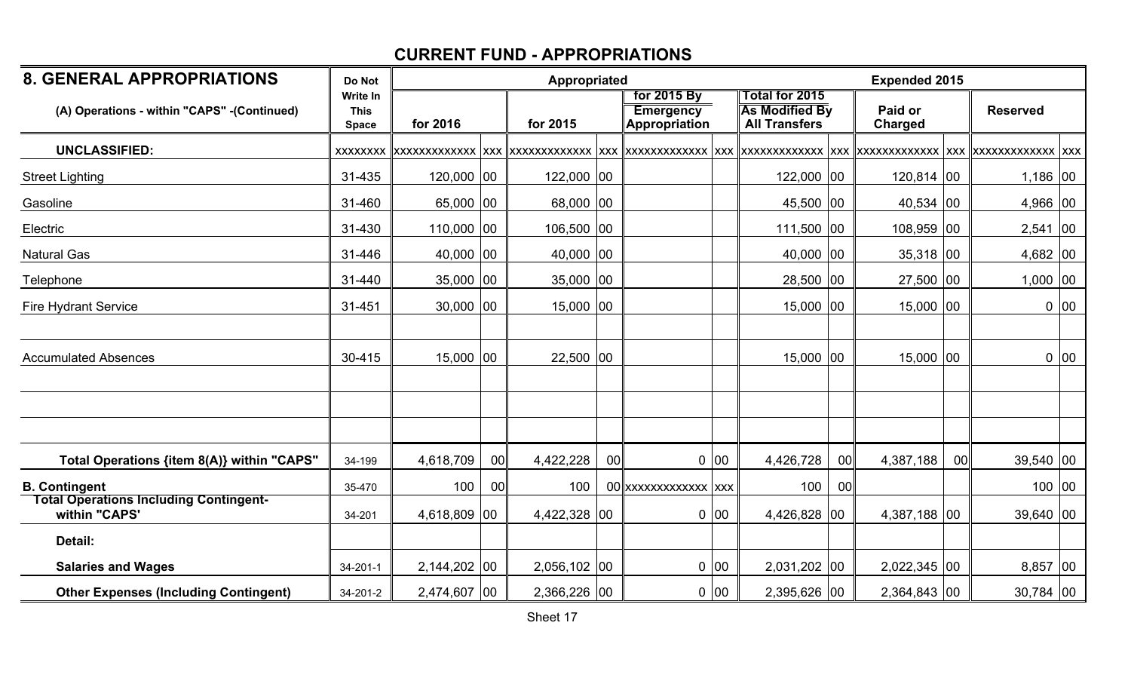| <b>8. GENERAL APPROPRIATIONS</b>                               | Do Not                                         |              |              | Appropriated  |    |                                                         |        |                                                                        | <b>Expended 2015</b> |                           |    |                 |      |
|----------------------------------------------------------------|------------------------------------------------|--------------|--------------|---------------|----|---------------------------------------------------------|--------|------------------------------------------------------------------------|----------------------|---------------------------|----|-----------------|------|
| (A) Operations - within "CAPS" - (Continued)                   | <b>Write In</b><br><b>This</b><br><b>Space</b> | for 2016     |              | for 2015      |    | for 2015 By<br><b>Emergency</b><br><b>Appropriation</b> |        | <b>Total for 2015</b><br><b>As Modified By</b><br><b>All Transfers</b> |                      | Paid or<br><b>Charged</b> |    | <b>Reserved</b> |      |
| <b>UNCLASSIFIED:</b>                                           | XXXXXXX                                        |              |              |               |    |                                                         |        |                                                                        |                      |                           |    |                 |      |
| <b>Street Lighting</b>                                         | 31-435                                         | 120,000 00   |              | 122,000 00    |    |                                                         |        | 122,000 00                                                             |                      | 120,814 00                |    | $1,186$ 00      |      |
| Gasoline                                                       | 31-460                                         | 65,000 00    |              | 68,000 00     |    |                                                         |        | 45,500 00                                                              |                      | 40,534 00                 |    | 4,966 00        |      |
| Electric                                                       | 31-430                                         | 110,000 00   |              | 106,500 00    |    |                                                         |        | $111,500$ 00                                                           |                      | 108,959 00                |    | $2,541$ 00      |      |
| <b>Natural Gas</b>                                             | 31-446                                         | 40,000 00    |              | 40,000 $ 00 $ |    |                                                         |        | $40,000$ 00                                                            |                      | $35,318$ 00               |    | $4,682$ 00      |      |
| Telephone                                                      | 31-440                                         | 35,000 00    |              | $35,000$  00  |    |                                                         |        | 28,500 00                                                              |                      | 27,500 00                 |    | $1,000$ 00      |      |
| <b>Fire Hydrant Service</b>                                    | 31-451                                         | 30,000 00    |              | $15,000$ 00   |    |                                                         |        | 15,000 00                                                              |                      | $15,000$ 00               |    |                 | 0 00 |
|                                                                |                                                |              |              |               |    |                                                         |        |                                                                        |                      |                           |    |                 |      |
| <b>Accumulated Absences</b>                                    | 30-415                                         | 15,000 00    |              | $22,500$ 00   |    |                                                         |        | $15,000$ 00                                                            |                      | 15,000 00                 |    |                 | 0 00 |
|                                                                |                                                |              |              |               |    |                                                         |        |                                                                        |                      |                           |    |                 |      |
|                                                                |                                                |              |              |               |    |                                                         |        |                                                                        |                      |                           |    |                 |      |
|                                                                |                                                |              |              |               |    |                                                         |        |                                                                        |                      |                           |    |                 |      |
| Total Operations {item 8(A)} within "CAPS"                     | 34-199                                         | 4,618,709    | 00           | 4,422,228     | 00 |                                                         | 0 00   | 4,426,728                                                              | 00                   | 4,387,188                 | 00 | $39,540$ 00     |      |
| <b>B. Contingent</b>                                           | 35-470                                         | 100          | 00           | 100           |    | 00 xxxxxxxxxxxxx xxx                                    |        | 100                                                                    | 00                   |                           |    | 100 00          |      |
| <b>Total Operations Including Contingent-</b><br>within "CAPS' | 34-201                                         | 4,618,809    | $ 00\rangle$ | 4,422,328 00  |    |                                                         | 0 00   | 4,426,828 00                                                           |                      | 4,387,188 00              |    | $39,640$ 00     |      |
| Detail:                                                        |                                                |              |              |               |    |                                                         |        |                                                                        |                      |                           |    |                 |      |
| <b>Salaries and Wages</b>                                      | $34 - 201 - 1$                                 | 2,144,202 00 |              | 2,056,102 00  |    |                                                         | $0$ 00 | 2,031,202 00                                                           |                      | 2,022,345 00              |    | $8,857$ 00      |      |
| <b>Other Expenses (Including Contingent)</b>                   | 34-201-2                                       | 2,474,607 00 |              | 2,366,226 00  |    |                                                         | $0$ 00 | 2,395,626 00                                                           |                      | 2,364,843 00              |    | $30,784$ 00     |      |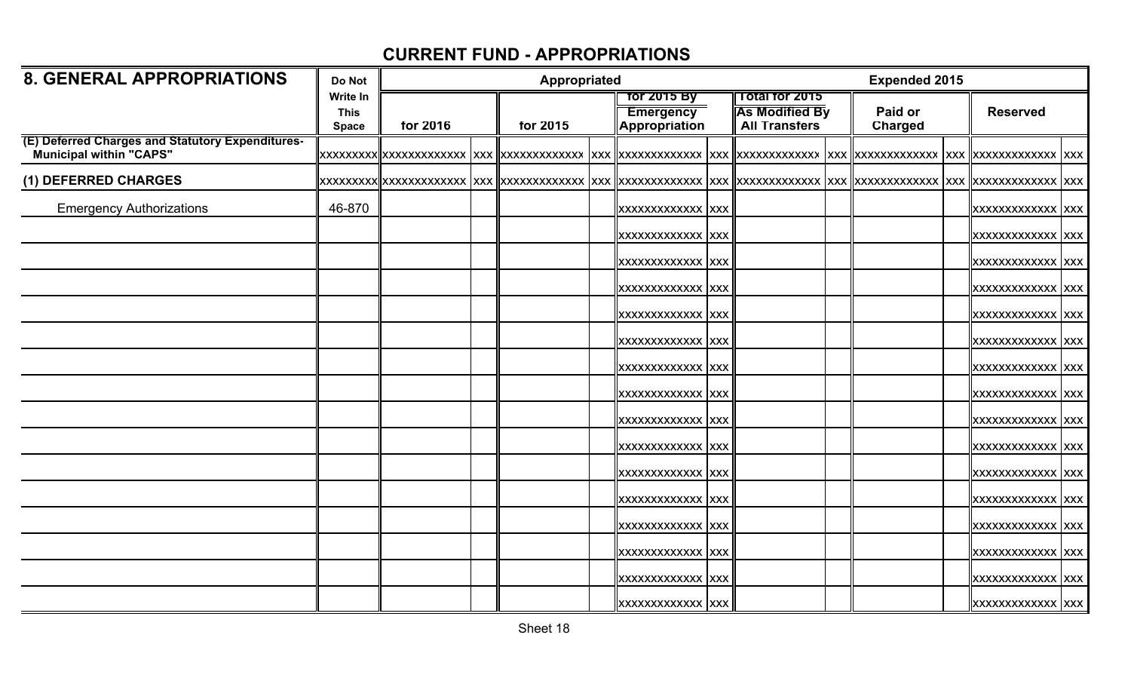| <b>8. GENERAL APPROPRIATIONS</b>                                                   | Do Not                                  |          | Appropriated |          |  |                                                                |  |                                                                             | <b>Expended 2015</b>      |                          |  |
|------------------------------------------------------------------------------------|-----------------------------------------|----------|--------------|----------|--|----------------------------------------------------------------|--|-----------------------------------------------------------------------------|---------------------------|--------------------------|--|
|                                                                                    | Write In<br><b>This</b><br><b>Space</b> | for 2016 |              | for 2015 |  | <b>Tor 2015 By</b><br><b>Emergency</b><br><b>Appropriation</b> |  | $\sqrt{10}$ Total for 2015<br><b>As Modified By</b><br><b>All Transfers</b> | Paid or<br><b>Charged</b> | <b>Reserved</b>          |  |
| (E) Deferred Charges and Statutory Expenditures-<br><b>Municipal within "CAPS"</b> |                                         |          |              |          |  |                                                                |  |                                                                             |                           |                          |  |
| (1) DEFERRED CHARGES                                                               |                                         |          |              |          |  |                                                                |  |                                                                             |                           |                          |  |
| <b>Emergency Authorizations</b>                                                    | 46-870                                  |          |              |          |  | XXXXXXXXXXXXX XXX                                              |  |                                                                             |                           | <b>XXXXXXXXXXXXX XXX</b> |  |
|                                                                                    |                                         |          |              |          |  | XXXXXXXXXXXXX XXX                                              |  |                                                                             |                           | <b>XXXXXXXXXXXXX XXX</b> |  |
|                                                                                    |                                         |          |              |          |  | XXXXXXXXXXXXX XXX                                              |  |                                                                             |                           | <b>XXXXXXXXXXXXX XXX</b> |  |
|                                                                                    |                                         |          |              |          |  | XXXXXXXXXXXXX XXX                                              |  |                                                                             |                           | XXXXXXXXXXXXX XXX        |  |
|                                                                                    |                                         |          |              |          |  | XXXXXXXXXXXXX XXX                                              |  |                                                                             |                           | <b>XXXXXXXXXXXXX XXX</b> |  |
|                                                                                    |                                         |          |              |          |  | XXXXXXXXXXXXX XXX                                              |  |                                                                             |                           | <b>XXXXXXXXXXXXX XXX</b> |  |
|                                                                                    |                                         |          |              |          |  | XXXXXXXXXXXXX XXX                                              |  |                                                                             |                           | <b>XXXXXXXXXXXXX XXX</b> |  |
|                                                                                    |                                         |          |              |          |  | XXXXXXXXXXXXX XXX                                              |  |                                                                             |                           | <b>XXXXXXXXXXXXX XXX</b> |  |
|                                                                                    |                                         |          |              |          |  | XXXXXXXXXXXXX XXX                                              |  |                                                                             |                           | <b>XXXXXXXXXXXXX XXX</b> |  |
|                                                                                    |                                         |          |              |          |  | XXXXXXXXXXXXX XXX                                              |  |                                                                             |                           | XXXXXXXXXXXXX XXX        |  |
|                                                                                    |                                         |          |              |          |  | XXXXXXXXXXXXX XXX                                              |  |                                                                             |                           | <b>XXXXXXXXXXXXX XXX</b> |  |
|                                                                                    |                                         |          |              |          |  | XXXXXXXXXXXXX XXX                                              |  |                                                                             |                           | XXXXXXXXXXXXX XXX        |  |
|                                                                                    |                                         |          |              |          |  | XXXXXXXXXXXXX XXX                                              |  |                                                                             |                           | <b>XXXXXXXXXXXXX XXX</b> |  |
|                                                                                    |                                         |          |              |          |  | XXXXXXXXXXXXX XXX                                              |  |                                                                             |                           | <b>XXXXXXXXXXXXX XXX</b> |  |
|                                                                                    |                                         |          |              |          |  | XXXXXXXXXXXXX XXX                                              |  |                                                                             |                           | XXXXXXXXXXXXX XXX        |  |
|                                                                                    |                                         |          |              |          |  | <b>XXXXXXXXXXXXX XXX</b>                                       |  |                                                                             |                           | <b>XXXXXXXXXXXXX XXX</b> |  |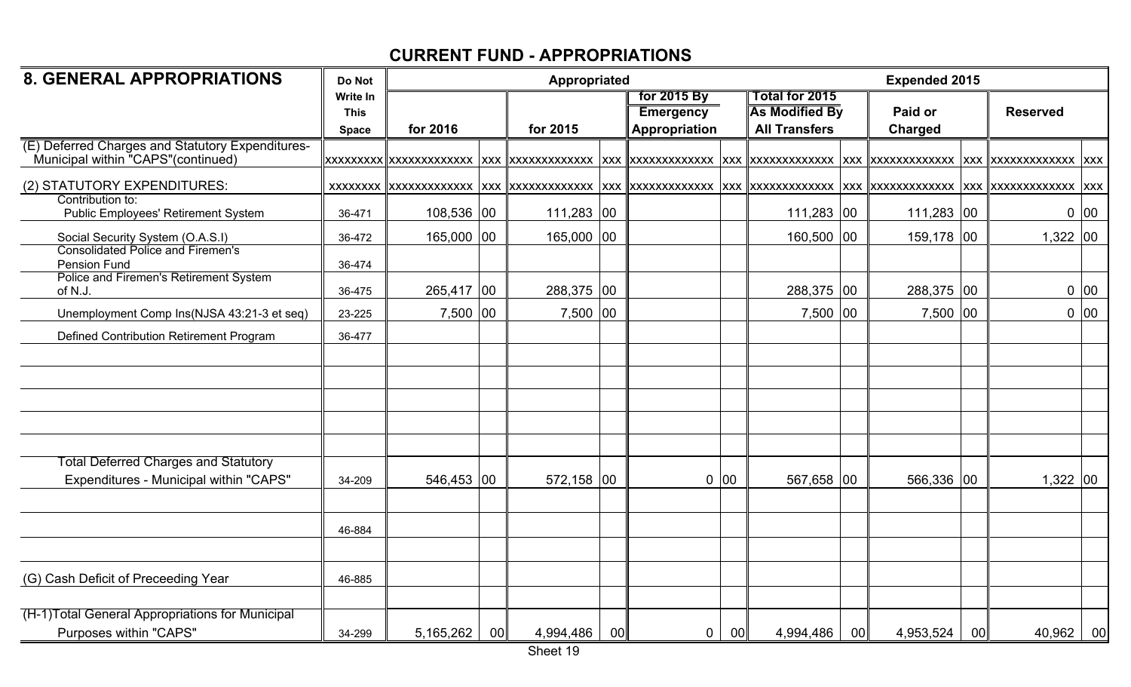| <b>8. GENERAL APPROPRIATIONS</b>                                                       | Do Not          |            |                 | Appropriated |    |                  |      |                       |                 | <b>Expended 2015</b> |                 |                 |      |
|----------------------------------------------------------------------------------------|-----------------|------------|-----------------|--------------|----|------------------|------|-----------------------|-----------------|----------------------|-----------------|-----------------|------|
|                                                                                        | <b>Write In</b> |            |                 |              |    | for 2015 By      |      | Total for 2015        |                 |                      |                 |                 |      |
|                                                                                        | <b>This</b>     |            |                 |              |    | <b>Emergency</b> |      | <b>As Modified By</b> |                 | Paid or              |                 | <b>Reserved</b> |      |
|                                                                                        | <b>Space</b>    | for 2016   |                 | for 2015     |    | Appropriation    |      | <b>All Transfers</b>  |                 | <b>Charged</b>       |                 |                 |      |
| (E) Deferred Charges and Statutory Expenditures-<br>Municipal within "CAPS"(continued) |                 |            |                 |              |    |                  |      |                       |                 |                      |                 |                 |      |
| (2) STATUTORY EXPENDITURES:                                                            |                 |            |                 |              |    |                  |      |                       |                 |                      |                 |                 |      |
| Contribution to:<br>Public Employees' Retirement System                                | 36-471          | 108,536 00 |                 | 111,283 00   |    |                  |      | $111,283$ 00          |                 | $111,283$ 00         |                 |                 | 0 00 |
| Social Security System (O.A.S.I)                                                       | 36-472          | 165,000 00 |                 | 165,000 00   |    |                  |      | 160,500 00            |                 | 159,178 00           |                 | $1,322$ 00      |      |
| <b>Consolidated Police and Firemen's</b><br>Pension Fund                               | 36-474          |            |                 |              |    |                  |      |                       |                 |                      |                 |                 |      |
| Police and Firemen's Retirement System<br>of N.J.                                      | 36-475          | 265,417 00 |                 | 288,375 00   |    |                  |      | 288,375 00            |                 | 288,375 00           |                 |                 | 0 00 |
| Unemployment Comp Ins(NJSA 43:21-3 et seq)                                             | 23-225          | 7,500 00   |                 | 7,500 00     |    |                  |      | 7,500 00              |                 | 7,500 00             |                 |                 | 0 00 |
| Defined Contribution Retirement Program                                                | 36-477          |            |                 |              |    |                  |      |                       |                 |                      |                 |                 |      |
|                                                                                        |                 |            |                 |              |    |                  |      |                       |                 |                      |                 |                 |      |
|                                                                                        |                 |            |                 |              |    |                  |      |                       |                 |                      |                 |                 |      |
|                                                                                        |                 |            |                 |              |    |                  |      |                       |                 |                      |                 |                 |      |
|                                                                                        |                 |            |                 |              |    |                  |      |                       |                 |                      |                 |                 |      |
| <b>Total Deferred Charges and Statutory</b>                                            |                 |            |                 |              |    |                  |      |                       |                 |                      |                 |                 |      |
| Expenditures - Municipal within "CAPS"                                                 | 34-209          | 546,453 00 |                 | 572,158 00   |    |                  | 0 00 | 567,658 00            |                 | 566,336 00           |                 | $1,322$ 00      |      |
|                                                                                        |                 |            |                 |              |    |                  |      |                       |                 |                      |                 |                 |      |
|                                                                                        | 46-884          |            |                 |              |    |                  |      |                       |                 |                      |                 |                 |      |
|                                                                                        |                 |            |                 |              |    |                  |      |                       |                 |                      |                 |                 |      |
| (G) Cash Deficit of Preceeding Year                                                    | 46-885          |            |                 |              |    |                  |      |                       |                 |                      |                 |                 |      |
|                                                                                        |                 |            |                 |              |    |                  |      |                       |                 |                      |                 |                 |      |
| (H-1)Total General Appropriations for Municipal<br>Purposes within "CAPS"              | 34-299          | 5,165,262  | 00 <sup>1</sup> | 4,994,486    | 00 | $\mathbf 0$      | 00   | 4,994,486             | 00 <sub>l</sub> | 4,953,524            | 00 <sub>l</sub> | 40,962          | 00   |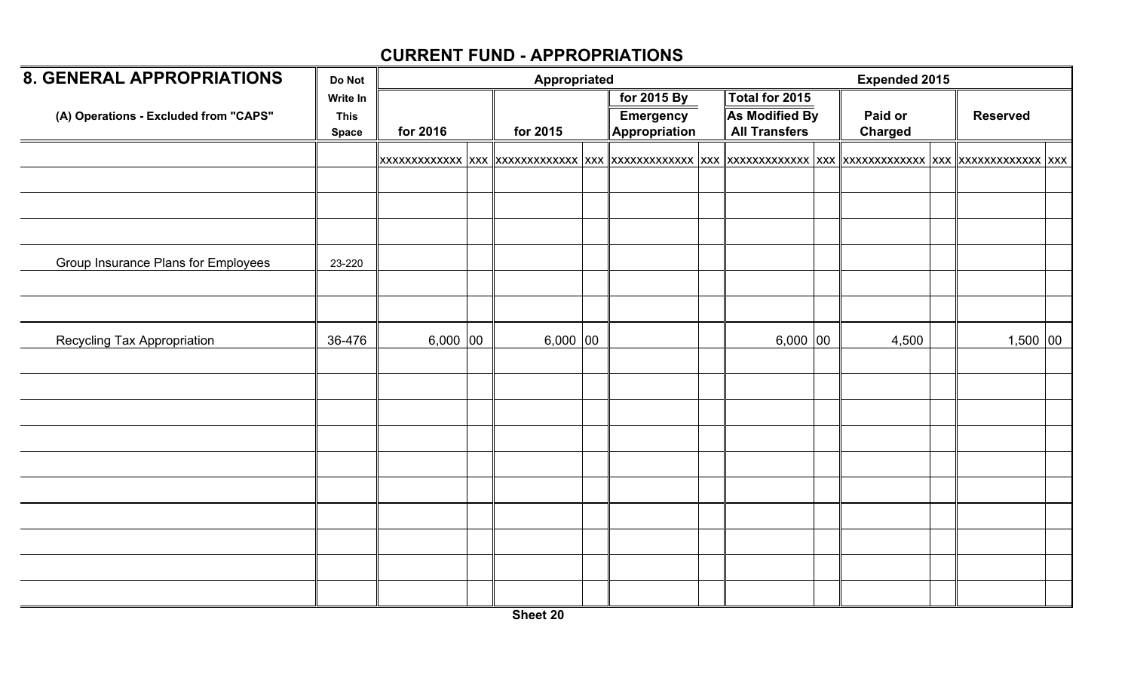| <b>8. GENERAL APPROPRIATIONS</b>           | Do Not                                  |            | Appropriated |                                                  |                                                                 | <b>Expended 2015</b> |                 |  |
|--------------------------------------------|-----------------------------------------|------------|--------------|--------------------------------------------------|-----------------------------------------------------------------|----------------------|-----------------|--|
| (A) Operations - Excluded from "CAPS"      | Write In<br><b>This</b><br><b>Space</b> | for 2016   | for 2015     | for 2015 By<br><b>Emergency</b><br>Appropriation | Total for 2015<br><b>As Modified By</b><br><b>All Transfers</b> | Paid or<br>Charged   | <b>Reserved</b> |  |
|                                            |                                         |            |              |                                                  |                                                                 |                      |                 |  |
|                                            |                                         |            |              |                                                  |                                                                 |                      |                 |  |
|                                            |                                         |            |              |                                                  |                                                                 |                      |                 |  |
| <b>Group Insurance Plans for Employees</b> | 23-220                                  |            |              |                                                  |                                                                 |                      |                 |  |
|                                            |                                         |            |              |                                                  |                                                                 |                      |                 |  |
|                                            |                                         |            |              |                                                  |                                                                 |                      |                 |  |
| Recycling Tax Appropriation                | 36-476                                  | $6,000$ 00 | $6,000$ 00   |                                                  | $6,000$ 00                                                      | 4,500                | $1,500$ 00      |  |
|                                            |                                         |            |              |                                                  |                                                                 |                      |                 |  |
|                                            |                                         |            |              |                                                  |                                                                 |                      |                 |  |
|                                            |                                         |            |              |                                                  |                                                                 |                      |                 |  |
|                                            |                                         |            |              |                                                  |                                                                 |                      |                 |  |
|                                            |                                         |            |              |                                                  |                                                                 |                      |                 |  |
|                                            |                                         |            |              |                                                  |                                                                 |                      |                 |  |
|                                            |                                         |            |              |                                                  |                                                                 |                      |                 |  |
|                                            |                                         |            |              |                                                  |                                                                 |                      |                 |  |
|                                            |                                         |            |              |                                                  |                                                                 |                      |                 |  |
|                                            |                                         |            |              |                                                  |                                                                 |                      |                 |  |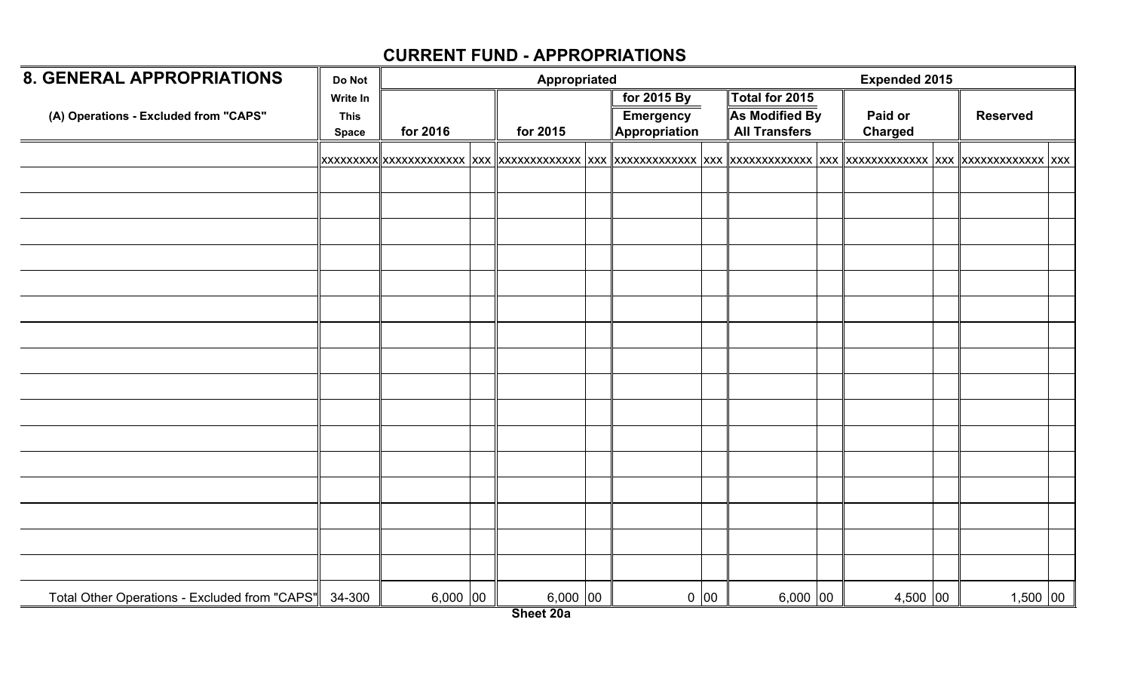| <b>8. GENERAL APPROPRIATIONS</b>                     | Do Not                                  |            | Appropriated |                                                  |      |                                                                 | <b>Expended 2015</b>      |                 |  |
|------------------------------------------------------|-----------------------------------------|------------|--------------|--------------------------------------------------|------|-----------------------------------------------------------------|---------------------------|-----------------|--|
| (A) Operations - Excluded from "CAPS"                | Write In<br><b>This</b><br><b>Space</b> | for 2016   | for 2015     | for 2015 By<br><b>Emergency</b><br>Appropriation |      | Total for 2015<br><b>As Modified By</b><br><b>All Transfers</b> | Paid or<br><b>Charged</b> | <b>Reserved</b> |  |
|                                                      |                                         |            |              |                                                  |      |                                                                 |                           |                 |  |
|                                                      |                                         |            |              |                                                  |      |                                                                 |                           |                 |  |
|                                                      |                                         |            |              |                                                  |      |                                                                 |                           |                 |  |
|                                                      |                                         |            |              |                                                  |      |                                                                 |                           |                 |  |
|                                                      |                                         |            |              |                                                  |      |                                                                 |                           |                 |  |
|                                                      |                                         |            |              |                                                  |      |                                                                 |                           |                 |  |
|                                                      |                                         |            |              |                                                  |      |                                                                 |                           |                 |  |
|                                                      |                                         |            |              |                                                  |      |                                                                 |                           |                 |  |
|                                                      |                                         |            |              |                                                  |      |                                                                 |                           |                 |  |
|                                                      |                                         |            |              |                                                  |      |                                                                 |                           |                 |  |
|                                                      |                                         |            |              |                                                  |      |                                                                 |                           |                 |  |
|                                                      |                                         |            |              |                                                  |      |                                                                 |                           |                 |  |
|                                                      |                                         |            |              |                                                  |      |                                                                 |                           |                 |  |
|                                                      |                                         |            |              |                                                  |      |                                                                 |                           |                 |  |
|                                                      |                                         |            |              |                                                  |      |                                                                 |                           |                 |  |
|                                                      |                                         |            |              |                                                  |      |                                                                 |                           |                 |  |
|                                                      |                                         |            |              |                                                  |      |                                                                 |                           |                 |  |
| Total Other Operations - Excluded from "CAPS" 34-300 |                                         | $6,000$ 00 | $6,000$ 00   |                                                  | 0 00 | $6,000$ 00                                                      | 4,500 00                  | $1,500$ 00      |  |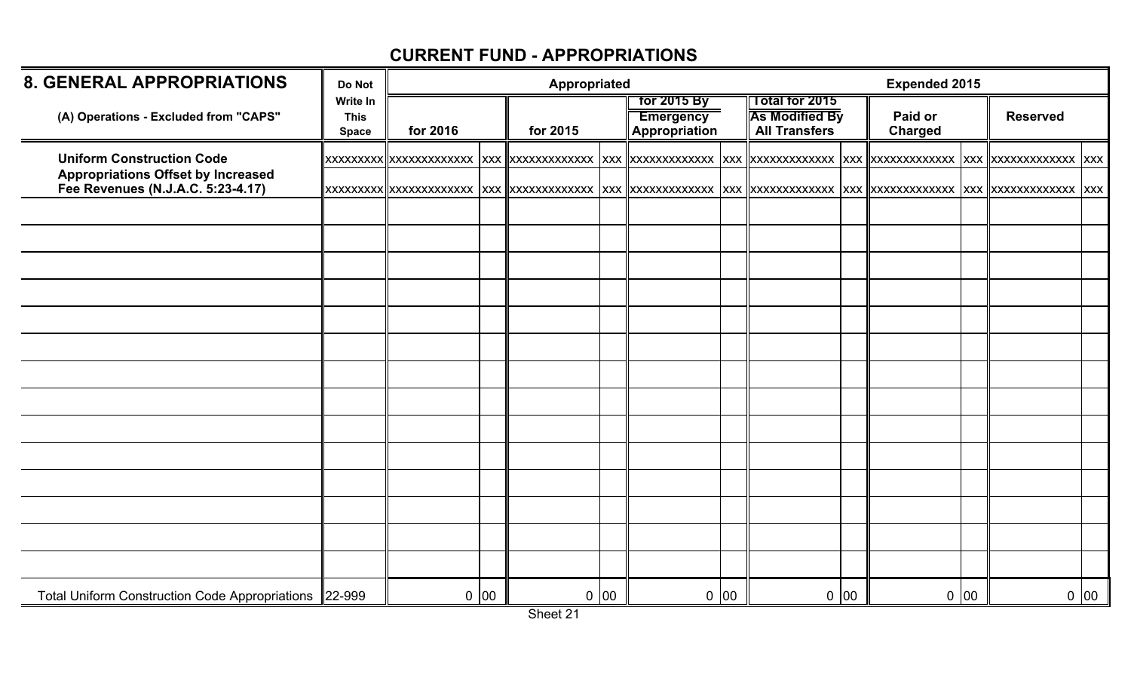| <b>8. GENERAL APPROPRIATIONS</b>                                               | Do Not                                         |          |      | Appropriated |      |                                                         |      |                                                                 |              | <b>Expended 2015</b>      |            |                       |      |
|--------------------------------------------------------------------------------|------------------------------------------------|----------|------|--------------|------|---------------------------------------------------------|------|-----------------------------------------------------------------|--------------|---------------------------|------------|-----------------------|------|
| (A) Operations - Excluded from "CAPS"                                          | <b>Write In</b><br><b>This</b><br><b>Space</b> | for 2016 |      | for 2015     |      | <b>Tor 2015 By</b><br><b>Emergency</b><br>Appropriation |      | Total for 2015<br><b>As Modified By</b><br><b>All Transfers</b> |              | Paid or<br><b>Charged</b> |            | <b>Reserved</b>       |      |
| <b>Uniform Construction Code</b>                                               |                                                |          |      |              |      |                                                         |      |                                                                 |              |                           | <b>XXX</b> | XXXXXXXXXXXXX XXX     |      |
| <b>Appropriations Offset by Increased</b><br>Fee Revenues (N.J.A.C. 5:23-4.17) |                                                |          |      |              |      |                                                         |      |                                                                 |              |                           |            | XXX XXXXXXXXXXXXX XXX |      |
|                                                                                |                                                |          |      |              |      |                                                         |      |                                                                 |              |                           |            |                       |      |
|                                                                                |                                                |          |      |              |      |                                                         |      |                                                                 |              |                           |            |                       |      |
|                                                                                |                                                |          |      |              |      |                                                         |      |                                                                 |              |                           |            |                       |      |
|                                                                                |                                                |          |      |              |      |                                                         |      |                                                                 |              |                           |            |                       |      |
|                                                                                |                                                |          |      |              |      |                                                         |      |                                                                 |              |                           |            |                       |      |
|                                                                                |                                                |          |      |              |      |                                                         |      |                                                                 |              |                           |            |                       |      |
|                                                                                |                                                |          |      |              |      |                                                         |      |                                                                 |              |                           |            |                       |      |
|                                                                                |                                                |          |      |              |      |                                                         |      |                                                                 |              |                           |            |                       |      |
|                                                                                |                                                |          |      |              |      |                                                         |      |                                                                 |              |                           |            |                       |      |
|                                                                                |                                                |          |      |              |      |                                                         |      |                                                                 |              |                           |            |                       |      |
|                                                                                |                                                |          |      |              |      |                                                         |      |                                                                 |              |                           |            |                       |      |
|                                                                                |                                                |          |      |              |      |                                                         |      |                                                                 |              |                           |            |                       |      |
|                                                                                |                                                |          |      |              |      |                                                         |      |                                                                 |              |                           |            |                       |      |
|                                                                                |                                                |          |      |              |      |                                                         |      |                                                                 |              |                           |            |                       |      |
| Total Uniform Construction Code Appropriations 22-999                          |                                                |          | 0 00 |              | 0 00 |                                                         | 0 00 | $\mathbf 0$                                                     | $ 00\rangle$ |                           | 0 00       |                       | 0 00 |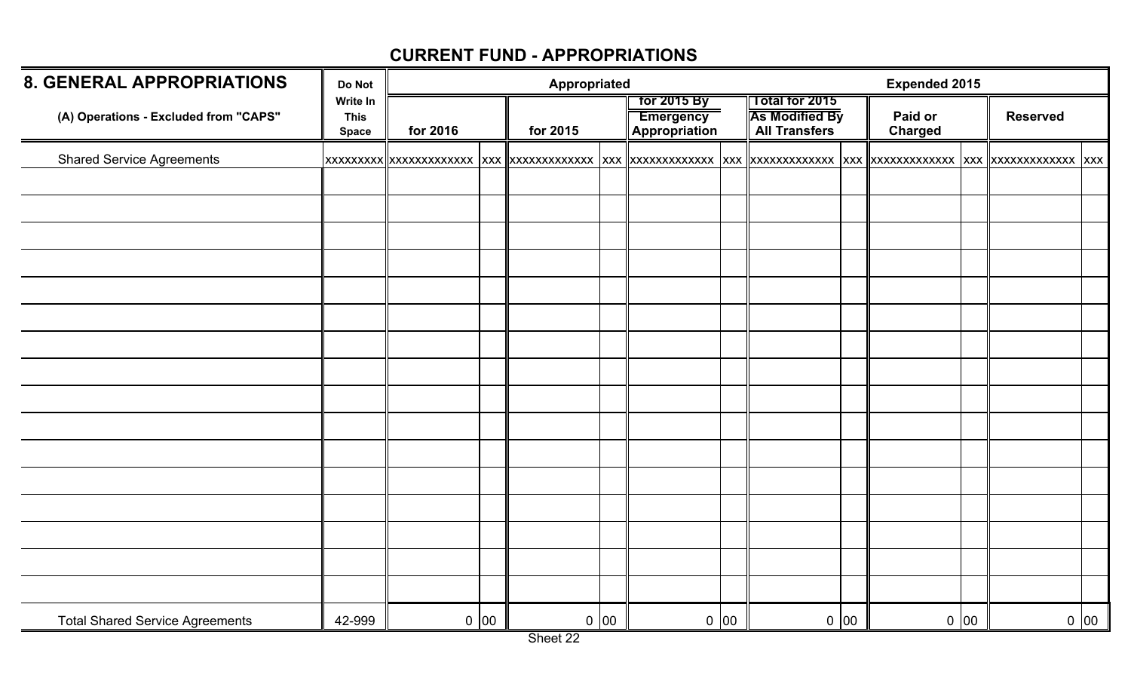| <b>8. GENERAL APPROPRIATIONS</b>       | Do Not                                  |          |      | <b>Appropriated</b> |      |                                                  |      |                                                                        |      | <b>Expended 2015</b>      |      |                 |         |
|----------------------------------------|-----------------------------------------|----------|------|---------------------|------|--------------------------------------------------|------|------------------------------------------------------------------------|------|---------------------------|------|-----------------|---------|
| (A) Operations - Excluded from "CAPS"  | Write In<br><b>This</b><br><b>Space</b> | for 2016 |      | for 2015            |      | for 2015 By<br><b>Emergency</b><br>Appropriation |      | <b>Total for 2015</b><br><b>As Modified By</b><br><b>All Transfers</b> |      | Paid or<br><b>Charged</b> |      | <b>Reserved</b> |         |
| <b>Shared Service Agreements</b>       |                                         |          |      |                     |      |                                                  |      |                                                                        |      |                           |      |                 |         |
|                                        |                                         |          |      |                     |      |                                                  |      |                                                                        |      |                           |      |                 |         |
|                                        |                                         |          |      |                     |      |                                                  |      |                                                                        |      |                           |      |                 |         |
|                                        |                                         |          |      |                     |      |                                                  |      |                                                                        |      |                           |      |                 |         |
|                                        |                                         |          |      |                     |      |                                                  |      |                                                                        |      |                           |      |                 |         |
|                                        |                                         |          |      |                     |      |                                                  |      |                                                                        |      |                           |      |                 |         |
|                                        |                                         |          |      |                     |      |                                                  |      |                                                                        |      |                           |      |                 |         |
|                                        |                                         |          |      |                     |      |                                                  |      |                                                                        |      |                           |      |                 |         |
|                                        |                                         |          |      |                     |      |                                                  |      |                                                                        |      |                           |      |                 |         |
|                                        |                                         |          |      |                     |      |                                                  |      |                                                                        |      |                           |      |                 |         |
|                                        |                                         |          |      |                     |      |                                                  |      |                                                                        |      |                           |      |                 |         |
|                                        |                                         |          |      |                     |      |                                                  |      |                                                                        |      |                           |      |                 |         |
|                                        |                                         |          |      |                     |      |                                                  |      |                                                                        |      |                           |      |                 |         |
|                                        |                                         |          |      |                     |      |                                                  |      |                                                                        |      |                           |      |                 |         |
|                                        |                                         |          |      |                     |      |                                                  |      |                                                                        |      |                           |      |                 |         |
|                                        |                                         |          |      |                     |      |                                                  |      |                                                                        |      |                           |      |                 |         |
|                                        |                                         |          |      |                     |      |                                                  |      |                                                                        |      |                           |      |                 |         |
| <b>Total Shared Service Agreements</b> | 42-999                                  |          | 0 00 |                     | 0 00 |                                                  | 0 00 |                                                                        | 0 00 |                           | 0 00 |                 | $0\ 00$ |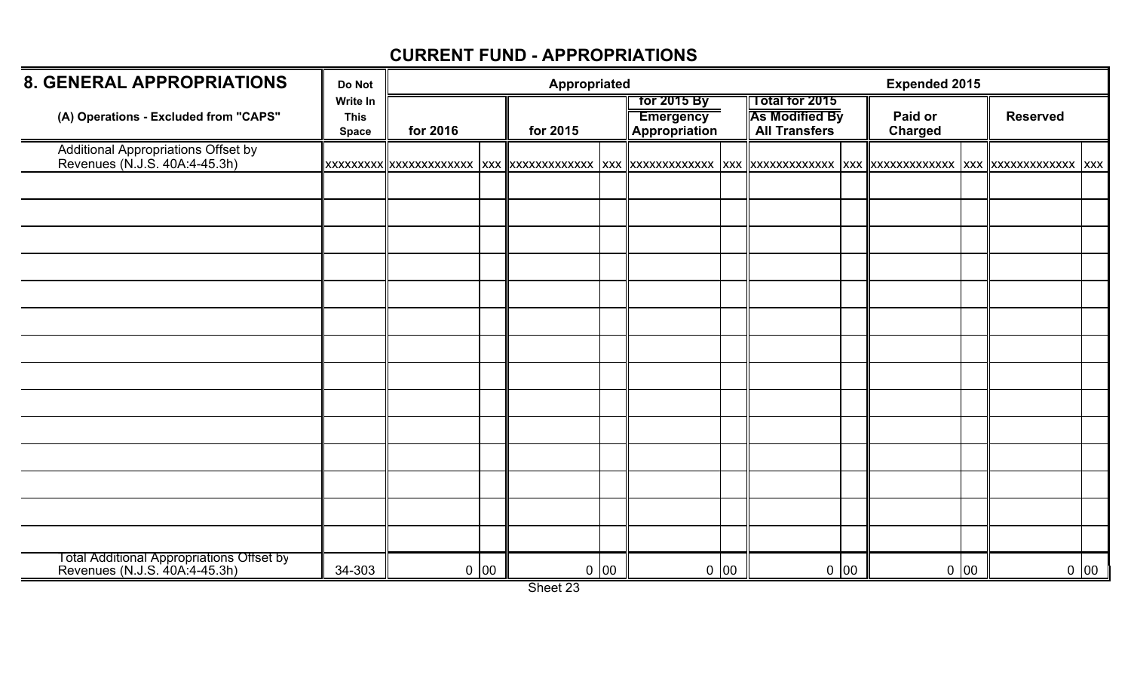| <b>8. GENERAL APPROPRIATIONS</b>                                           | Do Not                                  |          |      | Appropriated |      |                                                  |        |                                                                 |      | <b>Expended 2015</b>      |      |                 |      |
|----------------------------------------------------------------------------|-----------------------------------------|----------|------|--------------|------|--------------------------------------------------|--------|-----------------------------------------------------------------|------|---------------------------|------|-----------------|------|
| (A) Operations - Excluded from "CAPS"                                      | Write In<br><b>This</b><br><b>Space</b> | for 2016 |      | for 2015     |      | for 2015 By<br><b>Emergency</b><br>Appropriation |        | Total for 2015<br><b>As Modified By</b><br><b>All Transfers</b> |      | Paid or<br><b>Charged</b> |      | <b>Reserved</b> |      |
| Additional Appropriations Offset by<br>Revenues (N.J.S. 40A:4-45.3h)       |                                         |          |      |              |      |                                                  |        |                                                                 |      |                           |      |                 |      |
|                                                                            |                                         |          |      |              |      |                                                  |        |                                                                 |      |                           |      |                 |      |
|                                                                            |                                         |          |      |              |      |                                                  |        |                                                                 |      |                           |      |                 |      |
|                                                                            |                                         |          |      |              |      |                                                  |        |                                                                 |      |                           |      |                 |      |
|                                                                            |                                         |          |      |              |      |                                                  |        |                                                                 |      |                           |      |                 |      |
|                                                                            |                                         |          |      |              |      |                                                  |        |                                                                 |      |                           |      |                 |      |
|                                                                            |                                         |          |      |              |      |                                                  |        |                                                                 |      |                           |      |                 |      |
|                                                                            |                                         |          |      |              |      |                                                  |        |                                                                 |      |                           |      |                 |      |
|                                                                            |                                         |          |      |              |      |                                                  |        |                                                                 |      |                           |      |                 |      |
|                                                                            |                                         |          |      |              |      |                                                  |        |                                                                 |      |                           |      |                 |      |
|                                                                            |                                         |          |      |              |      |                                                  |        |                                                                 |      |                           |      |                 |      |
|                                                                            |                                         |          |      |              |      |                                                  |        |                                                                 |      |                           |      |                 |      |
|                                                                            |                                         |          |      |              |      |                                                  |        |                                                                 |      |                           |      |                 |      |
|                                                                            |                                         |          |      |              |      |                                                  |        |                                                                 |      |                           |      |                 |      |
| Total Additional Appropriations Offset by<br>Revenues (N.J.S. 40A:4-45.3h) | 34-303                                  |          | 0 00 |              | 0 00 |                                                  | $0$ 00 |                                                                 | 0 00 |                           | 0 00 |                 | 0 00 |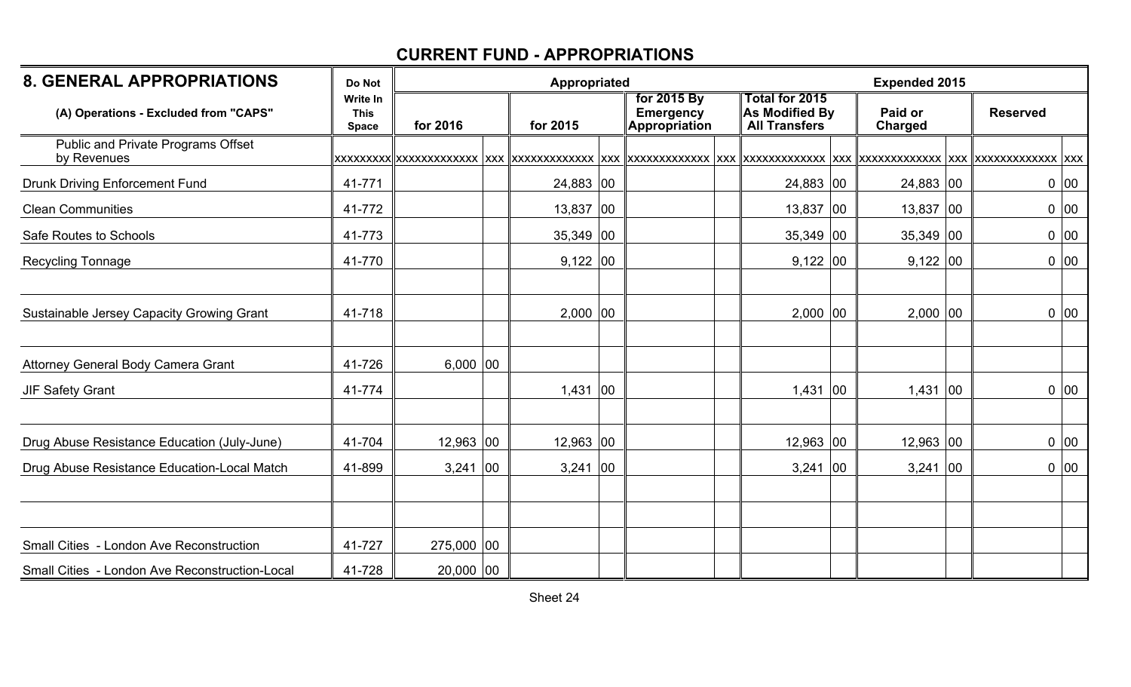| <b>8. GENERAL APPROPRIATIONS</b>                  | Appropriated<br><b>Expended 2015</b><br>Do Not |             |              |             |  |                                                  |  |                                                          |    |                           |                 |
|---------------------------------------------------|------------------------------------------------|-------------|--------------|-------------|--|--------------------------------------------------|--|----------------------------------------------------------|----|---------------------------|-----------------|
| (A) Operations - Excluded from "CAPS"             | <b>Write In</b><br><b>This</b><br><b>Space</b> | for 2016    |              | for 2015    |  | for 2015 By<br><b>Emergency</b><br>Appropriation |  | Total for 2015<br>As Modified By<br><b>All Transfers</b> |    | Paid or<br><b>Charged</b> | <b>Reserved</b> |
| Public and Private Programs Offset<br>by Revenues |                                                |             |              |             |  |                                                  |  |                                                          |    |                           |                 |
| <b>Drunk Driving Enforcement Fund</b>             | 41-771                                         |             |              | 24,883 00   |  |                                                  |  | 24,883 00                                                |    | 24,883 00                 | 0 00            |
| <b>Clean Communities</b>                          | 41-772                                         |             |              | $13,837$ 00 |  |                                                  |  | $13,837$ 00                                              |    | $13,837$ 00               | 0 00            |
| Safe Routes to Schools                            | 41-773                                         |             |              | $35,349$ 00 |  |                                                  |  | $35,349$ 00                                              |    | $35,349$ 00               | 0 00            |
| Recycling Tonnage                                 | 41-770                                         |             |              | $9,122$ 00  |  |                                                  |  | $9,122$ 00                                               |    | $9,122$ 00                | 0 00            |
| Sustainable Jersey Capacity Growing Grant         | 41-718                                         |             |              | $2,000$ 00  |  |                                                  |  | $2,000$ 00                                               |    | $2,000$ 00                | 0 00            |
| Attorney General Body Camera Grant                | 41-726                                         | $6,000$ 00  |              |             |  |                                                  |  |                                                          |    |                           |                 |
| <b>JIF Safety Grant</b>                           | 41-774                                         |             |              | $1,431$ 00  |  |                                                  |  | $1,431$ 00                                               |    | $ 00\rangle$<br>1,431     | 0 00            |
| Drug Abuse Resistance Education (July-June)       | 41-704                                         | $12,963$ 00 |              | $12,963$ 00 |  |                                                  |  | $12,963$ 00                                              |    | $12,963$ 00               | 0 00            |
| Drug Abuse Resistance Education-Local Match       | 41-899                                         | 3,241       | $ 00\rangle$ | $3,241$ 00  |  |                                                  |  | 3,241                                                    | 00 | 3,241<br>$ 00\rangle$     | 0 00            |
|                                                   |                                                |             |              |             |  |                                                  |  |                                                          |    |                           |                 |
| Small Cities - London Ave Reconstruction          | 41-727                                         | 275,000 00  |              |             |  |                                                  |  |                                                          |    |                           |                 |
| Small Cities - London Ave Reconstruction-Local    | 41-728                                         | $20,000$ 00 |              |             |  |                                                  |  |                                                          |    |                           |                 |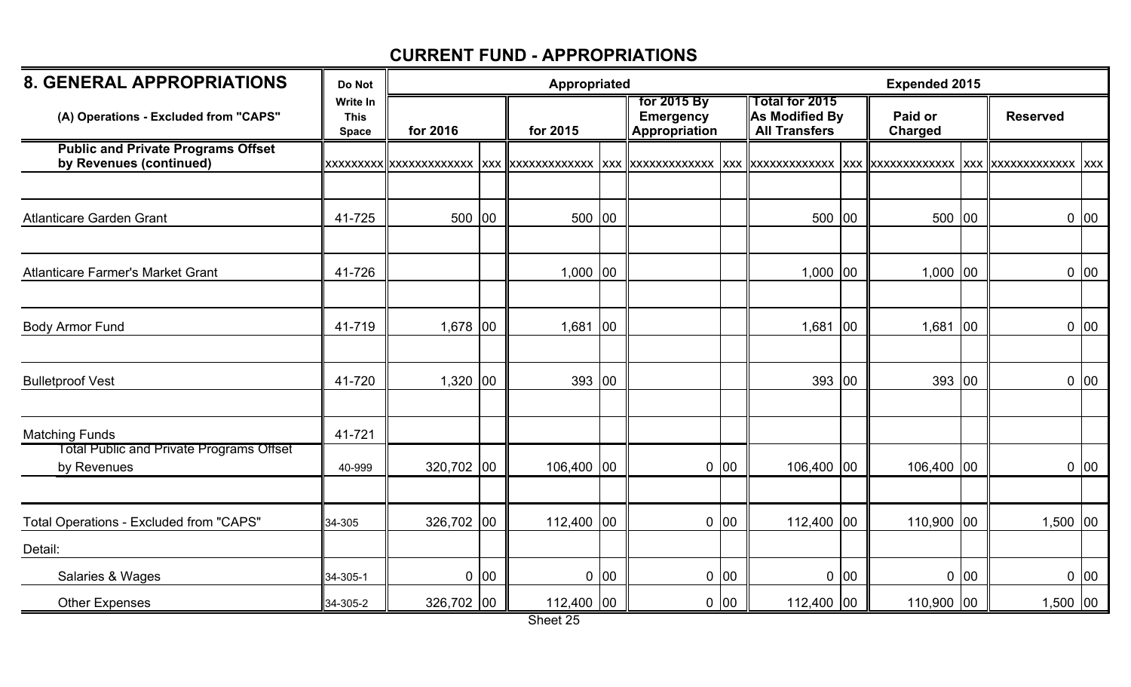| <b>8. GENERAL APPROPRIATIONS</b>                                     | Do Not                                         |            | <b>Appropriated</b> |            | <b>Expended 2015</b> |                                                  |        |                                                                 |        |                           |              |                          |             |
|----------------------------------------------------------------------|------------------------------------------------|------------|---------------------|------------|----------------------|--------------------------------------------------|--------|-----------------------------------------------------------------|--------|---------------------------|--------------|--------------------------|-------------|
| (A) Operations - Excluded from "CAPS"                                | <b>Write In</b><br><b>This</b><br><b>Space</b> | for 2016   |                     | for 2015   |                      | for 2015 By<br><b>Emergency</b><br>Appropriation |        | <b>Total for 2015</b><br>As Modified By<br><b>All Transfers</b> |        | Paid or<br><b>Charged</b> |              | <b>Reserved</b>          |             |
| <b>Public and Private Programs Offset</b><br>by Revenues (continued) |                                                |            |                     |            |                      |                                                  |        |                                                                 |        |                           | <b>XXX</b>   | <b>XXXXXXXXXXXXX</b> XXX |             |
|                                                                      |                                                |            |                     |            |                      |                                                  |        |                                                                 |        |                           |              |                          |             |
| <b>Atlanticare Garden Grant</b>                                      | 41-725                                         | 500 00     |                     | 500 00     |                      |                                                  |        | 500 00                                                          |        | 500 00                    |              |                          | 0 00        |
|                                                                      |                                                |            |                     |            |                      |                                                  |        |                                                                 |        |                           |              |                          |             |
| <b>Atlanticare Farmer's Market Grant</b>                             | 41-726                                         |            |                     | $1,000$ 00 |                      |                                                  |        | $1,000$ 00                                                      |        | $1,000$ 00                |              |                          | 0 00        |
|                                                                      |                                                |            |                     |            |                      |                                                  |        |                                                                 |        |                           |              |                          |             |
| <b>Body Armor Fund</b>                                               | 41-719                                         | $1,678$ 00 |                     | 1,681      | $ 00\rangle$         |                                                  |        | 1,681                                                           | 100    | 1,681                     | $ 00\rangle$ |                          | 0 00        |
|                                                                      |                                                |            |                     |            |                      |                                                  |        |                                                                 |        |                           |              |                          |             |
| <b>Bulletproof Vest</b>                                              | 41-720                                         | $1,320$ 00 |                     | 393 00     |                      |                                                  |        | 393 00                                                          |        | 393 00                    |              |                          | 0 00        |
|                                                                      |                                                |            |                     |            |                      |                                                  |        |                                                                 |        |                           |              |                          |             |
| <b>Matching Funds</b>                                                | 41-721                                         |            |                     |            |                      |                                                  |        |                                                                 |        |                           |              |                          |             |
| <b>Total Public and Private Programs Offset</b><br>by Revenues       | 40-999                                         | 320,702 00 |                     | 106,400 00 |                      |                                                  | $0$ 00 | 106,400 00                                                      |        | 106,400 00                |              |                          | $0\vert 00$ |
|                                                                      |                                                |            |                     |            |                      |                                                  |        |                                                                 |        |                           |              |                          |             |
| Total Operations - Excluded from "CAPS"                              | 34-305                                         | 326,702 00 |                     | 112,400 00 |                      |                                                  | 0 00   | 112,400 00                                                      |        | 110,900 00                |              | $1,500$ 00               |             |
| Detail:                                                              |                                                |            |                     |            |                      |                                                  |        |                                                                 |        |                           |              |                          |             |
| Salaries & Wages                                                     | 34-305-1                                       |            | 0 00                |            | 0 00                 |                                                  | $0$ 00 |                                                                 | $0$ 00 |                           | 0 00         |                          | 0 00        |
| <b>Other Expenses</b>                                                | 34-305-2                                       | 326,702 00 |                     | 112,400 00 |                      |                                                  | 0 00   | 112,400 00                                                      |        | 110,900 00                |              | $1,500$ 00               |             |

Sheet 25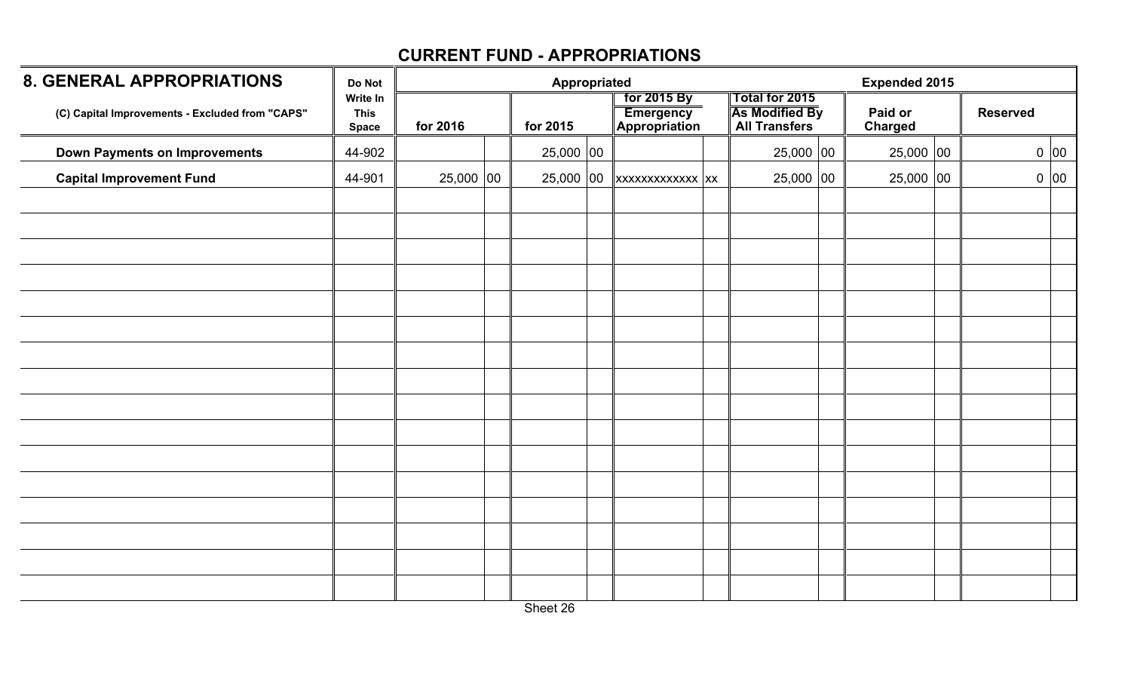| <b>8. GENERAL APPROPRIATIONS</b>                | Do Not                                  |             | Appropriated | <b>Expended 2015</b>                             |                                                                        |                    |                 |      |
|-------------------------------------------------|-----------------------------------------|-------------|--------------|--------------------------------------------------|------------------------------------------------------------------------|--------------------|-----------------|------|
| (C) Capital Improvements - Excluded from "CAPS" | Write In<br><b>This</b><br><b>Space</b> | for 2016    | for 2015     | <b>Tor 2015 By</b><br>Emergency<br>Appropriation | <b>Total for 2015</b><br><b>As Modified By</b><br><b>All Transfers</b> | Paid or<br>Charged | <b>Reserved</b> |      |
| <b>Down Payments on Improvements</b>            | 44-902                                  |             | $25,000$ 00  |                                                  | 25,000 00                                                              | 25,000 00          |                 | 0 00 |
| <b>Capital Improvement Fund</b>                 | 44-901                                  | $25,000$ 00 | $25,000$ 00  | $\ $ xxxxxxxxxxxx $\ $ xx                        | $25,000$ 00                                                            | 25,000 00          |                 | 0 00 |
|                                                 |                                         |             |              |                                                  |                                                                        |                    |                 |      |
|                                                 |                                         |             |              |                                                  |                                                                        |                    |                 |      |
|                                                 |                                         |             |              |                                                  |                                                                        |                    |                 |      |
|                                                 |                                         |             |              |                                                  |                                                                        |                    |                 |      |
|                                                 |                                         |             |              |                                                  |                                                                        |                    |                 |      |
|                                                 |                                         |             |              |                                                  |                                                                        |                    |                 |      |
|                                                 |                                         |             |              |                                                  |                                                                        |                    |                 |      |
|                                                 |                                         |             |              |                                                  |                                                                        |                    |                 |      |
|                                                 |                                         |             |              |                                                  |                                                                        |                    |                 |      |
|                                                 |                                         |             |              |                                                  |                                                                        |                    |                 |      |
|                                                 |                                         |             |              |                                                  |                                                                        |                    |                 |      |
|                                                 |                                         |             |              |                                                  |                                                                        |                    |                 |      |
|                                                 |                                         |             |              |                                                  |                                                                        |                    |                 |      |
|                                                 |                                         |             |              |                                                  |                                                                        |                    |                 |      |
|                                                 |                                         |             |              |                                                  |                                                                        |                    |                 |      |
|                                                 |                                         |             |              |                                                  |                                                                        |                    |                 |      |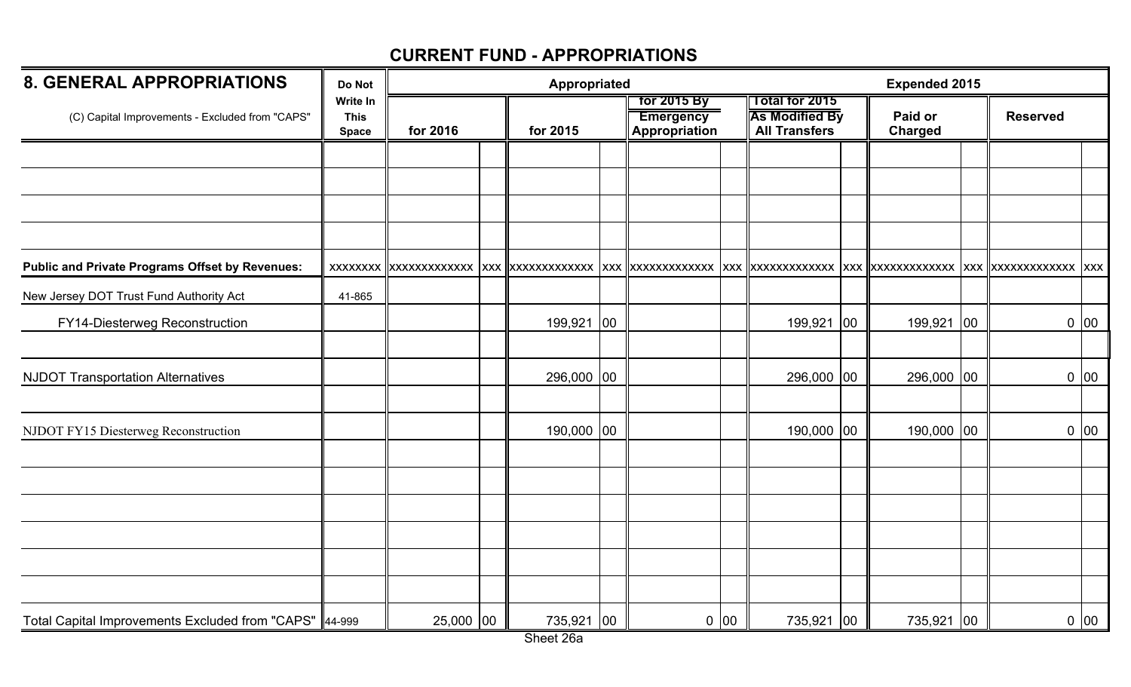| <b>8. GENERAL APPROPRIATIONS</b>                         | Do Not                                  | Appropriated |  |            |    |                                                  |      |                                                                        |              | <b>Expended 2015</b>      |                 |                   |
|----------------------------------------------------------|-----------------------------------------|--------------|--|------------|----|--------------------------------------------------|------|------------------------------------------------------------------------|--------------|---------------------------|-----------------|-------------------|
| (C) Capital Improvements - Excluded from "CAPS"          | Write In<br><b>This</b><br><b>Space</b> | for 2016     |  | for 2015   |    | for 2015 By<br><b>Emergency</b><br>Appropriation |      | <b>Total for 2015</b><br><b>As Modified By</b><br><b>All Transfers</b> |              | Paid or<br><b>Charged</b> | <b>Reserved</b> |                   |
|                                                          |                                         |              |  |            |    |                                                  |      |                                                                        |              |                           |                 |                   |
|                                                          |                                         |              |  |            |    |                                                  |      |                                                                        |              |                           |                 |                   |
|                                                          |                                         |              |  |            |    |                                                  |      |                                                                        |              |                           |                 |                   |
| <b>Public and Private Programs Offset by Revenues:</b>   |                                         |              |  |            |    |                                                  |      | XXX XXXXXXXXXXXX                                                       |              |                           |                 |                   |
| New Jersey DOT Trust Fund Authority Act                  | 41-865                                  |              |  |            |    |                                                  |      |                                                                        |              |                           |                 |                   |
| FY14-Diesterweg Reconstruction                           |                                         |              |  | 199,921    | 00 |                                                  |      | 199,921                                                                | $ 00\rangle$ | 199,921 00                |                 | 0 00              |
|                                                          |                                         |              |  |            |    |                                                  |      |                                                                        |              |                           |                 |                   |
| <b>NJDOT Transportation Alternatives</b>                 |                                         |              |  | 296,000 00 |    |                                                  |      | 296,000 00                                                             |              | 296,000 00                |                 | $0\overline{)}00$ |
| NJDOT FY15 Diesterweg Reconstruction                     |                                         |              |  | 190,000 00 |    |                                                  |      | 190,000 00                                                             |              | 190,000 00                |                 | 0 00              |
|                                                          |                                         |              |  |            |    |                                                  |      |                                                                        |              |                           |                 |                   |
|                                                          |                                         |              |  |            |    |                                                  |      |                                                                        |              |                           |                 |                   |
|                                                          |                                         |              |  |            |    |                                                  |      |                                                                        |              |                           |                 |                   |
|                                                          |                                         |              |  |            |    |                                                  |      |                                                                        |              |                           |                 |                   |
| Total Capital Improvements Excluded from "CAPS"   44-999 |                                         | 25,000 00    |  | 735,921 00 |    |                                                  | 0 00 | 735,921 00                                                             |              | 735,921 00                |                 | $0\vert 00$       |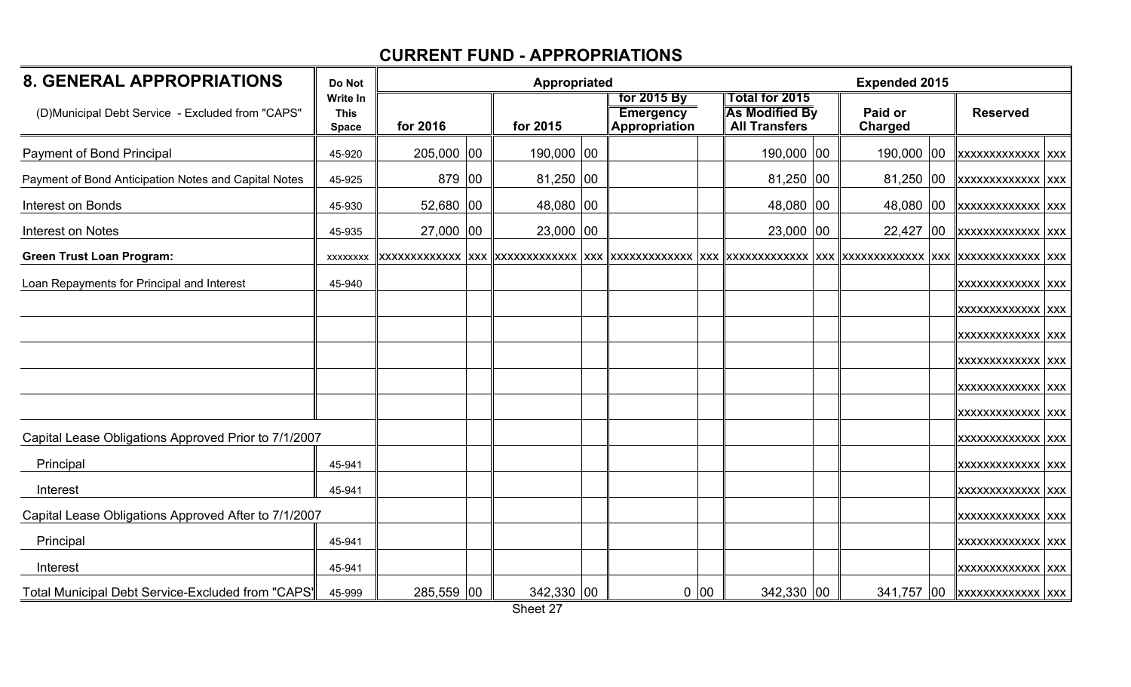| <b>8. GENERAL APPROPRIATIONS</b>                     | Do Not                                  |            | Appropriated |                                                         |      |                                                                        | <b>Expended 2015</b> |    |                                    |  |
|------------------------------------------------------|-----------------------------------------|------------|--------------|---------------------------------------------------------|------|------------------------------------------------------------------------|----------------------|----|------------------------------------|--|
| (D)Municipal Debt Service - Excluded from "CAPS"     | Write In<br><b>This</b><br><b>Space</b> | for 2016   | for 2015     | for 2015 By<br><b>Emergency</b><br><b>Appropriation</b> |      | <b>Total for 2015</b><br><b>As Modified By</b><br><b>All Transfers</b> | Paid or<br>Charged   |    | <b>Reserved</b>                    |  |
| Payment of Bond Principal                            | 45-920                                  | 205,000 00 | 190,000 00   |                                                         |      | 190,000 00                                                             | 190,000              | 00 | <b>XXXXXXXXXXXXX</b> XXX           |  |
| Payment of Bond Anticipation Notes and Capital Notes | 45-925                                  | 879 00     | 81,250 00    |                                                         |      | $81,250$ 00                                                            | 81,250               | 00 | XXXXXXXXXXXXX XXX                  |  |
| Interest on Bonds                                    | 45-930                                  | 52,680 00  | 48,080 00    |                                                         |      | 48,080 00                                                              | 48,080 00            |    | XXXXXXXXXXXXX XXX                  |  |
| Interest on Notes                                    | 45-935                                  | 27,000 00  | $23,000$ 00  |                                                         |      | $23,000$ 00                                                            | $22,427$ 00          |    | XXXXXXXXXXXXX XXX                  |  |
| <b>Green Trust Loan Program:</b>                     | <b>XXXXXXXX</b>                         |            |              |                                                         |      |                                                                        |                      |    |                                    |  |
| Loan Repayments for Principal and Interest           | 45-940                                  |            |              |                                                         |      |                                                                        |                      |    | XXXXXXXXXXXXX XXX                  |  |
|                                                      |                                         |            |              |                                                         |      |                                                                        |                      |    | <b>XXXXXXXXXXXXX XXX</b>           |  |
|                                                      |                                         |            |              |                                                         |      |                                                                        |                      |    | XXXXXXXXXXXXX XXX                  |  |
|                                                      |                                         |            |              |                                                         |      |                                                                        |                      |    | XXXXXXXXXXXXX XXX                  |  |
|                                                      |                                         |            |              |                                                         |      |                                                                        |                      |    | XXXXXXXXXXXXX XXX                  |  |
|                                                      |                                         |            |              |                                                         |      |                                                                        |                      |    | XXXXXXXXXXXXX XXX                  |  |
| Capital Lease Obligations Approved Prior to 7/1/2007 |                                         |            |              |                                                         |      |                                                                        |                      |    | <b>XXXXXXXXXXXXX</b> XXX           |  |
| Principal                                            | 45-941                                  |            |              |                                                         |      |                                                                        |                      |    | <b>XXXXXXXXXXXXX</b> XXX           |  |
| Interest                                             | 45-941                                  |            |              |                                                         |      |                                                                        |                      |    | XXXXXXXXXXXXX XXX                  |  |
| Capital Lease Obligations Approved After to 7/1/2007 |                                         |            |              |                                                         |      |                                                                        |                      |    | XXXXXXXXXXXXX XXX                  |  |
| Principal                                            | 45-941                                  |            |              |                                                         |      |                                                                        |                      |    | XXXXXXXXXXXXX XXX                  |  |
| Interest                                             | 45-941                                  |            |              |                                                         |      |                                                                        |                      |    | <b>XXXXXXXXXXXXX</b> XXX           |  |
| Total Municipal Debt Service-Excluded from "CAPS"    | 45-999                                  | 285,559 00 | 342,330 00   |                                                         | 0 00 | 342,330 00                                                             |                      |    | 341,757   00   xxxxxxxxxxxxx   xxx |  |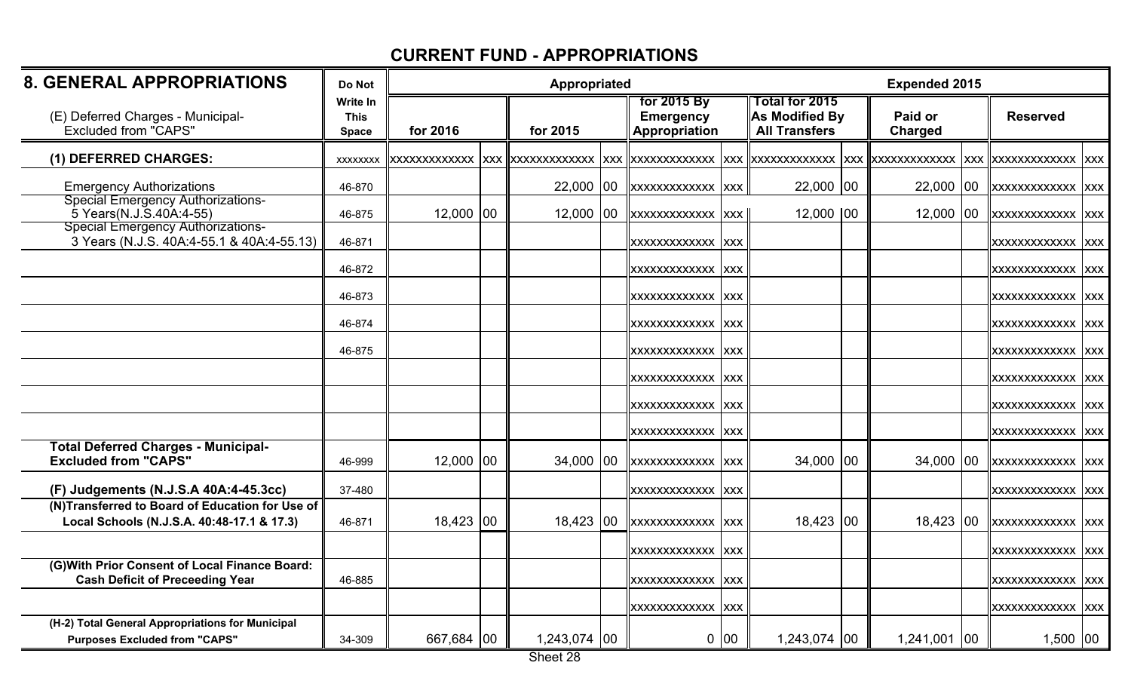| <b>8. GENERAL APPROPRIATIONS</b>                                                              | Do Not                                         |             | Appropriated                          |                                                  | <b>Expended 2015</b> |                                                                 |                           |            |                          |  |
|-----------------------------------------------------------------------------------------------|------------------------------------------------|-------------|---------------------------------------|--------------------------------------------------|----------------------|-----------------------------------------------------------------|---------------------------|------------|--------------------------|--|
| (E) Deferred Charges - Municipal-<br>Excluded from "CAPS"                                     | <b>Write In</b><br><b>This</b><br><b>Space</b> | for 2016    | for 2015                              | for 2015 By<br><b>Emergency</b><br>Appropriation |                      | Total for 2015<br><b>As Modified By</b><br><b>All Transfers</b> | Paid or<br><b>Charged</b> |            | <b>Reserved</b>          |  |
| (1) DEFERRED CHARGES:                                                                         | <b>XXXXXXXX</b>                                |             | xxxxxxxxxxxx  xxx  xxxxxxxxxxxxx  xxx | <b>XXXXXXXXXXXXX</b>                             |                      | <b>XXX XXXXXXXXXXXX</b>                                         | <b>XXX XXXXXXXXXXXXXX</b> | <b>XXX</b> | <b>XXXXXXXXXXXXX</b> XXX |  |
| <b>Emergency Authorizations</b>                                                               | 46-870                                         |             | $22,000$ 00                           | XXXXXXXXXXXXX XXX                                |                      | $22,000$ 00                                                     | $22,000$ 00               |            | <b>XXXXXXXXXXXXX</b> XXX |  |
| Special Emergency Authorizations-<br>5 Years (N.J.S.40A:4-55)                                 | 46-875                                         | $12,000$ 00 | 12,000 00                             | XXXXXXXXXXXXX XXX                                |                      | $12,000$ $ 00$                                                  | 12,000 00                 |            | XXXXXXXXXXXXX XXX        |  |
| <b>Special Emergency Authorizations-</b><br>3 Years (N.J.S. 40A:4-55.1 & 40A:4-55.13)         | 46-871                                         |             |                                       | XXXXXXXXXXXXX XXX                                |                      |                                                                 |                           |            | XXXXXXXXXXXXX XXX        |  |
|                                                                                               | 46-872                                         |             |                                       | XXXXXXXXXXXXX XXX                                |                      |                                                                 |                           |            | XXXXXXXXXXXX XXX         |  |
|                                                                                               | 46-873                                         |             |                                       | XXXXXXXXXXXXX XXX                                |                      |                                                                 |                           |            | XXXXXXXXXXXXX XXX        |  |
|                                                                                               | 46-874                                         |             |                                       | XXXXXXXXXXXX XXX                                 |                      |                                                                 |                           |            | XXXXXXXXXXXX XXX         |  |
|                                                                                               | 46-875                                         |             |                                       | XXXXXXXXXXXXX XXX                                |                      |                                                                 |                           |            | XXXXXXXXXXXXX XXX        |  |
|                                                                                               |                                                |             |                                       | XXXXXXXXXXXXX XXX                                |                      |                                                                 |                           |            | XXXXXXXXXXXXX XXX        |  |
|                                                                                               |                                                |             |                                       | XXXXXXXXXXXX XXX                                 |                      |                                                                 |                           |            | XXXXXXXXXXXXX  XXX       |  |
|                                                                                               |                                                |             |                                       | XXXXXXXXXXXXX  XXX                               |                      |                                                                 |                           |            | XXXXXXXXXXXX XXX         |  |
| <b>Total Deferred Charges - Municipal-</b><br><b>Excluded from "CAPS"</b>                     | 46-999                                         | $12,000$ 00 | 34,000 00                             | XXXXXXXXXXXXX XXX                                |                      | 34,000 00                                                       | 34,000 00                 |            | <b>XXXXXXXXXXXXX</b> XXX |  |
| (F) Judgements (N.J.S.A 40A:4-45.3cc)                                                         | 37-480                                         |             |                                       | XXXXXXXXXXXXX XXX                                |                      |                                                                 |                           |            | XXXXXXXXXXXXX XXX        |  |
| (N)Transferred to Board of Education for Use of<br>Local Schools (N.J.S.A. 40:48-17.1 & 17.3) | 46-871                                         | 18,423 00   | 18,423 00                             | XXXXXXXXXXXXX XXX                                |                      | 18,423 00                                                       | 18,423 00                 |            | <b>XXXXXXXXXXXX XXX</b>  |  |
|                                                                                               |                                                |             |                                       | XXXXXXXXXXXXX XXX                                |                      |                                                                 |                           |            | XXXXXXXXXXXXX XXX        |  |
| (G) With Prior Consent of Local Finance Board:<br><b>Cash Deficit of Preceeding Year</b>      | 46-885                                         |             |                                       | XXXXXXXXXXXXX XXX                                |                      |                                                                 |                           |            | XXXXXXXXXXXX XXX         |  |
|                                                                                               |                                                |             |                                       | XXXXXXXXXXXXX XXX                                |                      |                                                                 |                           |            | XXXXXXXXXXXXX XXX        |  |
| (H-2) Total General Appropriations for Municipal<br><b>Purposes Excluded from "CAPS"</b>      | 34-309                                         | 667,684 00  | 1,243,074 00                          |                                                  | 0 00                 | 1,243,074 00                                                    | 1,241,001 00              |            | $1,500$ 00               |  |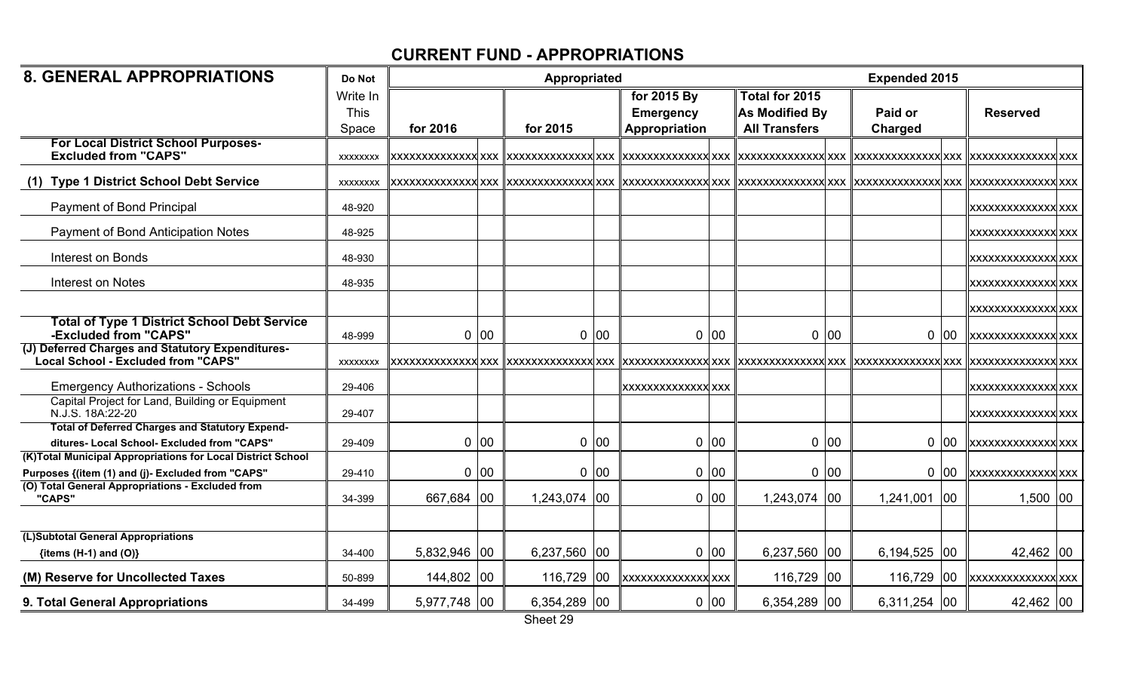| <b>8. GENERAL APPROPRIATIONS</b>                                                                      | Do Not                           |              |    | Appropriated |    |                                                  | <b>Expended 2015</b> |                                                          |      |                           |              |                              |  |
|-------------------------------------------------------------------------------------------------------|----------------------------------|--------------|----|--------------|----|--------------------------------------------------|----------------------|----------------------------------------------------------|------|---------------------------|--------------|------------------------------|--|
|                                                                                                       | Write In<br><b>This</b><br>Space | for 2016     |    | for 2015     |    | for 2015 By<br><b>Emergency</b><br>Appropriation |                      | Total for 2015<br>As Modified By<br><b>All Transfers</b> |      | Paid or<br><b>Charged</b> |              | <b>Reserved</b>              |  |
| <b>For Local District School Purposes-</b><br><b>Excluded from "CAPS"</b>                             | <b>XXXXXXXX</b>                  |              |    |              |    |                                                  |                      |                                                          |      |                           |              | <u>  xxxxxxxxxxxxxx  xxx</u> |  |
| <b>Type 1 District School Debt Service</b>                                                            | <b>XXXXXXXX</b>                  |              |    |              |    |                                                  |                      |                                                          |      |                           |              |                              |  |
| Payment of Bond Principal                                                                             | 48-920                           |              |    |              |    |                                                  |                      |                                                          |      |                           |              | <b>XXXXXXXXXXXXXX</b> XXX    |  |
| <b>Payment of Bond Anticipation Notes</b>                                                             | 48-925                           |              |    |              |    |                                                  |                      |                                                          |      |                           |              | <b>XXXXXXXXXXXXXX</b> XXX    |  |
| <b>Interest on Bonds</b>                                                                              | 48-930                           |              |    |              |    |                                                  |                      |                                                          |      |                           |              | XXXXXXXXXXXXXXX XXX          |  |
| Interest on Notes                                                                                     | 48-935                           |              |    |              |    |                                                  |                      |                                                          |      |                           |              | <b>XXXXXXXXXXXXXXX</b>       |  |
|                                                                                                       |                                  |              |    |              |    |                                                  |                      |                                                          |      |                           |              | <b>XXXXXXXXXXXXXX</b> XXX    |  |
| <b>Total of Type 1 District School Debt Service</b><br>-Excluded from "CAPS"                          | 48-999                           | 0            | 00 | 0            | 00 |                                                  | 0 00                 |                                                          | 0 00 | 0                         | 00           | <b>XXXXXXXXXXXXXXXXXXXXX</b> |  |
| (J) Deferred Charges and Statutory Expenditures-<br><b>Local School - Excluded from "CAPS"</b>        | <b>XXXXXXXX</b>                  |              |    |              |    |                                                  |                      |                                                          |      |                           |              |                              |  |
| <b>Emergency Authorizations - Schools</b>                                                             | 29-406                           |              |    |              |    | XXXXXXXXXXXXXX  XXX                              |                      |                                                          |      |                           |              | XXXXXXXXXXXXXX XXX           |  |
| Capital Project for Land, Building or Equipment<br>N.J.S. 18A:22-20                                   | 29-407                           |              |    |              |    |                                                  |                      |                                                          |      |                           |              | <b>XXXXXXXXXXXXXX</b> XXX    |  |
| <b>Total of Deferred Charges and Statutory Expend-</b><br>ditures- Local School- Excluded from "CAPS" | 29-409                           | $\mathbf{0}$ | 00 | 0            | 00 |                                                  | 0 00                 |                                                          | 0 00 |                           | 0 00         | <b>XXXXXXXXXXXXXX</b>        |  |
| (K)Total Municipal Appropriations for Local District School                                           |                                  |              |    |              |    |                                                  |                      |                                                          |      |                           |              |                              |  |
| Purposes {(item (1) and (j)- Excluded from "CAPS"                                                     | 29-410                           | $\mathbf{0}$ | 00 | 0            | 00 |                                                  | 0 00                 |                                                          | 0 00 |                           | 0 00         | xxxxxxxxxxxxxx xxx           |  |
| (O) Total General Appropriations - Excluded from<br>"CAPS"                                            | 34-399                           | 667,684 00   |    | 1,243,074 00 |    |                                                  | 0 00                 | 1,243,074 00                                             |      | 1,241,001                 | $ 00\rangle$ | $1,500$ 00                   |  |
|                                                                                                       |                                  |              |    |              |    |                                                  |                      |                                                          |      |                           |              |                              |  |
| (L)Subtotal General Appropriations                                                                    |                                  |              |    |              |    |                                                  |                      |                                                          |      |                           |              |                              |  |
| {items $(H-1)$ and $(O)$ }                                                                            | 34-400                           | 5,832,946 00 |    | 6,237,560    | 00 |                                                  | 0 00                 | 6,237,560 00                                             |      | $6,194,525$ 00            |              | 42,462 00                    |  |
| (M) Reserve for Uncollected Taxes                                                                     | 50-899                           | 144,802 00   |    | 116,729      | 00 | <b>XXXXXXXXXXXXXX</b> XXX                        |                      | 116,729 00                                               |      | 116,729                   | 00           | <b>xxxxxxxxxxxxxxx</b>       |  |
| 9. Total General Appropriations                                                                       | 34-499                           | 5,977,748 00 |    | 6,354,289 00 |    |                                                  | 0 00                 | 6,354,289 00                                             |      | $6,311,254$ 00            |              | 42,462 00                    |  |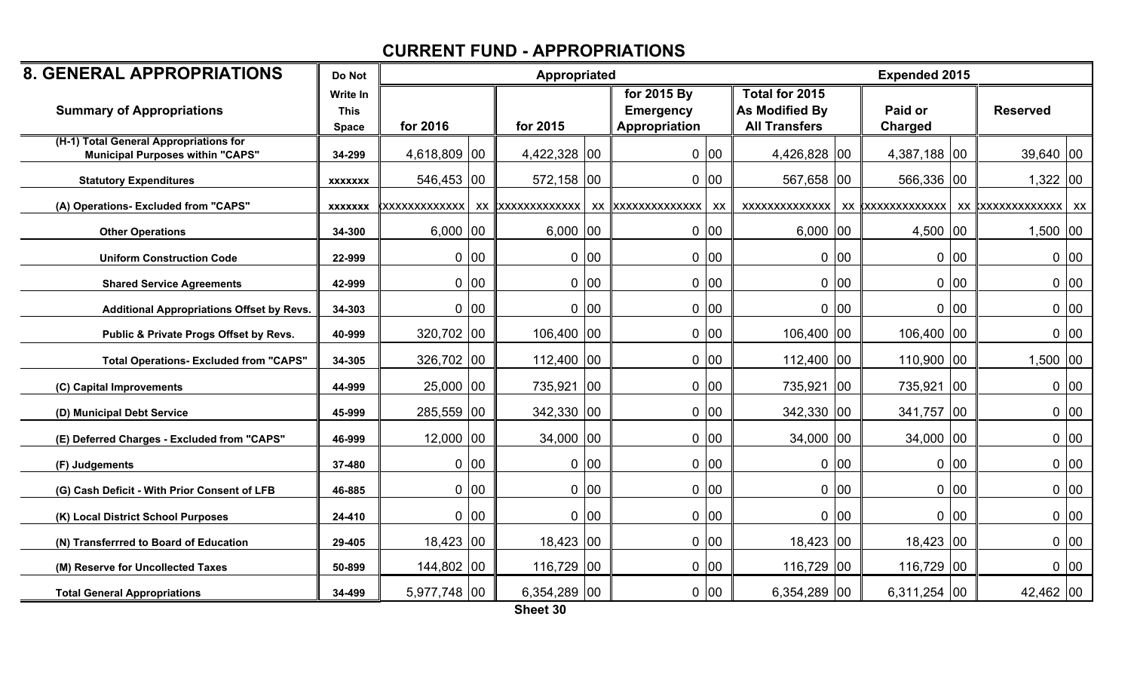| <b>8. GENERAL APPROPRIATIONS</b>                                                  | Do Not                         |                      |      | Appropriated     |      |                                 |      |                                         |              | <b>Expended 2015</b>                       |    |                 |      |
|-----------------------------------------------------------------------------------|--------------------------------|----------------------|------|------------------|------|---------------------------------|------|-----------------------------------------|--------------|--------------------------------------------|----|-----------------|------|
| <b>Summary of Appropriations</b>                                                  | <b>Write In</b><br><b>This</b> |                      |      |                  |      | for 2015 By<br><b>Emergency</b> |      | Total for 2015<br><b>As Modified By</b> |              | Paid or                                    |    | <b>Reserved</b> |      |
|                                                                                   | <b>Space</b>                   | for 2016             |      | for 2015         |      | Appropriation                   |      | <b>All Transfers</b>                    |              | Charged                                    |    |                 |      |
| (H-1) Total General Appropriations for<br><b>Municipal Purposes within "CAPS"</b> | 34-299                         | 4,618,809 00         |      | 4,422,328 00     |      |                                 | 0 00 | 4,426,828 00                            |              | 4,387,188 00                               |    | $39,640$ 00     |      |
| <b>Statutory Expenditures</b>                                                     | <b>XXXXXXX</b>                 | 546,453 00           |      | 572,158 00       |      |                                 | 0 00 | 567,658 00                              |              | 566,336 00                                 |    | $1,322$ 00      |      |
| (A) Operations- Excluded from "CAPS"                                              | <b>XXXXXXX</b>                 | <b>XXXXXXXXXXXXX</b> |      | XX XXXXXXXXXXXXX |      | XX XXXXXXXXXXXXXX               | xx   | <b>XXXXXXXXXXXXX</b>                    |              | xx  xxxxxxxxxxxxx   xx  xxxxxxxxxxxxx   xx |    |                 |      |
| <b>Other Operations</b>                                                           | 34-300                         | $6,000$ 00           |      | $6,000$ 00       |      |                                 | 0 00 | $6,000$ 00                              |              | 4,500 $ 00 $                               |    | $1,500$ 00      |      |
| <b>Uniform Construction Code</b>                                                  | 22-999                         |                      | 0 00 |                  | 0 00 |                                 | 0 00 |                                         | 0 00         | $0$ 00                                     |    |                 | 0 00 |
| <b>Shared Service Agreements</b>                                                  | 42-999                         |                      | 0 00 |                  | 0 00 |                                 | 0 00 |                                         | 0 00         | 0 00                                       |    |                 | 0 00 |
| Additional Appropriations Offset by Revs.                                         | 34-303                         |                      | 0 00 |                  | 0 00 |                                 | 0 00 |                                         | 0 00         | 0 00                                       |    |                 | 0 00 |
| Public & Private Progs Offset by Revs.                                            | 40-999                         | 320,702 00           |      | $106,400$ 00     |      |                                 | 0 00 | 106,400 00                              |              | 106,400 00                                 |    |                 | 0 00 |
| <b>Total Operations- Excluded from "CAPS"</b>                                     | 34-305                         | 326,702 00           |      | $112,400$ 00     |      |                                 | 0 00 | 112,400 00                              |              | 110,900 00                                 |    | $1,500$ 00      |      |
| (C) Capital Improvements                                                          | 44-999                         | 25,000 00            |      | 735,921 00       |      |                                 | 0 00 | 735,921                                 | $ 00\rangle$ | 735,921                                    | 00 |                 | 0 00 |
| (D) Municipal Debt Service                                                        | 45-999                         | 285,559 00           |      | 342,330 00       |      |                                 | 0 00 | 342,330 00                              |              | 341,757 00                                 |    |                 | 0 00 |
| (E) Deferred Charges - Excluded from "CAPS"                                       | 46-999                         | $12,000$ 00          |      | 34,000 00        |      |                                 | 0 00 | $34,000$ 00                             |              | 34,000 00                                  |    |                 | 0 00 |
| (F) Judgements                                                                    | 37-480                         |                      | 0 00 |                  | 0 00 |                                 | 0 00 |                                         | 0 00         | 0 00                                       |    |                 | 0 00 |
| (G) Cash Deficit - With Prior Consent of LFB                                      | 46-885                         |                      | 0 00 |                  | 0 00 |                                 | 0 00 |                                         | 0 00         | 0 00                                       |    |                 | 0 00 |
| (K) Local District School Purposes                                                | 24-410                         |                      | 0 00 |                  | 0 00 |                                 | 0 00 |                                         | 0 00         | $0$ 00                                     |    |                 | 0 00 |
| (N) Transferrred to Board of Education                                            | 29-405                         | 18,423 00            |      | $18,423$ 00      |      |                                 | 0 00 | 18,423 00                               |              | 18,423 00                                  |    |                 | 0 00 |
| (M) Reserve for Uncollected Taxes                                                 | 50-899                         | 144,802 00           |      | 116,729 00       |      |                                 | 0 00 | 116,729 00                              |              | 116,729 00                                 |    |                 | 0 00 |
| <b>Total General Appropriations</b>                                               | 34-499                         | 5,977,748 00         |      | 6,354,289 00     |      |                                 | 0 00 | 6,354,289 00                            |              | 6,311,254 00                               |    | 42,462 00       |      |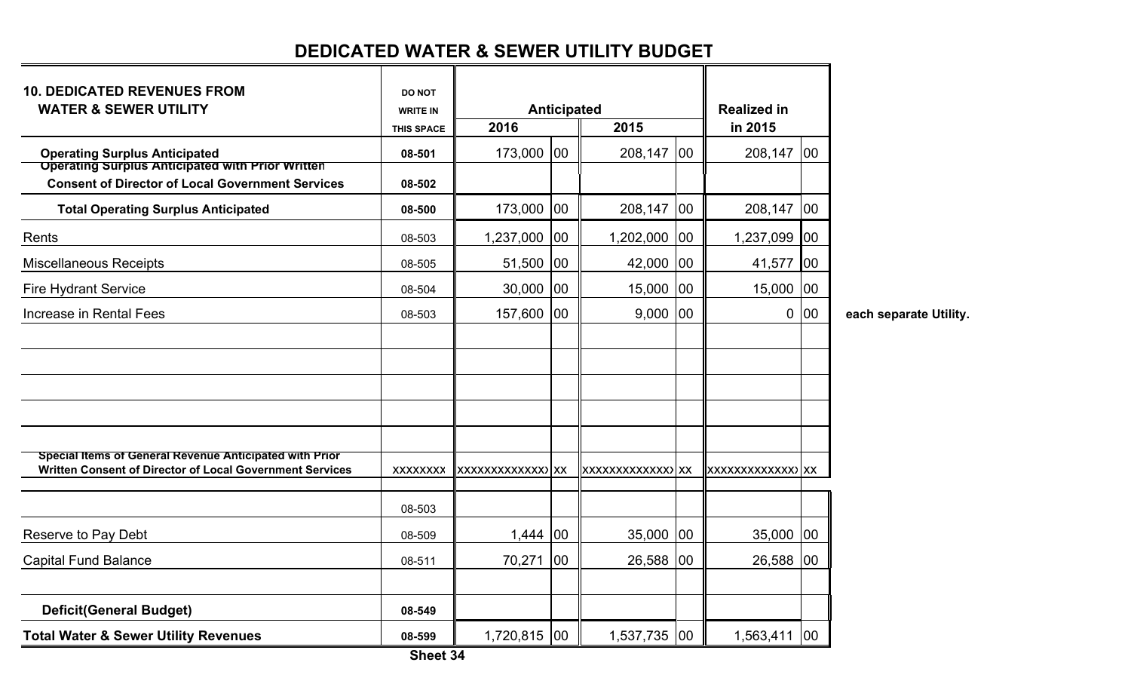# **DEDICATED WATER & SEWER UTILITY BUDGET**

| <b>10. DEDICATED REVENUES FROM</b><br><b>WATER &amp; SEWER UTILITY</b>                                                     | <b>DO NOT</b><br><b>WRITE IN</b> |                   | Anticipated |                   |              | <b>Realized in</b> |     |  |
|----------------------------------------------------------------------------------------------------------------------------|----------------------------------|-------------------|-------------|-------------------|--------------|--------------------|-----|--|
|                                                                                                                            | <b>THIS SPACE</b>                | 2016              |             | 2015              |              | in 2015            |     |  |
| <b>Operating Surplus Anticipated</b>                                                                                       | 08-501                           | 173,000           | 100         | 208,147           | 100          | 208,147            | 100 |  |
| <b>Operating Surplus Anticipated with Prior Written</b><br><b>Consent of Director of Local Government Services</b>         | 08-502                           |                   |             |                   |              |                    |     |  |
| <b>Total Operating Surplus Anticipated</b>                                                                                 | 08-500                           | 173,000           | 00          | 208,147           | $ 00\rangle$ | 208,147            | 100 |  |
| Rents                                                                                                                      | 08-503                           | 1,237,000         | 00          | 1,202,000         | 100          | 1,237,099          | 00  |  |
| <b>Miscellaneous Receipts</b>                                                                                              | 08-505                           | 51,500            | 00          | 42,000            | 100          | 41,577             | 00  |  |
| <b>Fire Hydrant Service</b>                                                                                                | 08-504                           | 30,000            | 00          | 15,000            | 100          | 15,000             | 100 |  |
| Increase in Rental Fees                                                                                                    | 08-503                           | 157,600           | 00          | 9,000             | 00           | 0                  | 100 |  |
|                                                                                                                            |                                  |                   |             |                   |              |                    |     |  |
|                                                                                                                            |                                  |                   |             |                   |              |                    |     |  |
|                                                                                                                            |                                  |                   |             |                   |              |                    |     |  |
|                                                                                                                            |                                  |                   |             |                   |              |                    |     |  |
|                                                                                                                            |                                  |                   |             |                   |              |                    |     |  |
| <b>Special Items of General Revenue Anticipated with Prior</b><br>Written Consent of Director of Local Government Services | <b>XXXXXXXX</b>                  | XXXXXXXXXXXXX) XX |             | XXXXXXXXXXXXX) XX |              |                    |     |  |
|                                                                                                                            | 08-503                           |                   |             |                   |              |                    |     |  |
| Reserve to Pay Debt                                                                                                        | 08-509                           | 1,444 00          |             | 35,000            | 00           | 35,000             | 100 |  |
| <b>Capital Fund Balance</b>                                                                                                | 08-511                           | 70,271            | 00          | 26,588            | 100          | 26,588             | 100 |  |
|                                                                                                                            |                                  |                   |             |                   |              |                    |     |  |
| <b>Deficit(General Budget)</b>                                                                                             | 08-549                           |                   |             |                   |              |                    |     |  |
| <b>Total Water &amp; Sewer Utility Revenues</b>                                                                            | 08-599                           | 1,720,815 00      |             | 1,537,735 00      |              | 1,563,411 00       |     |  |

each separate Utility.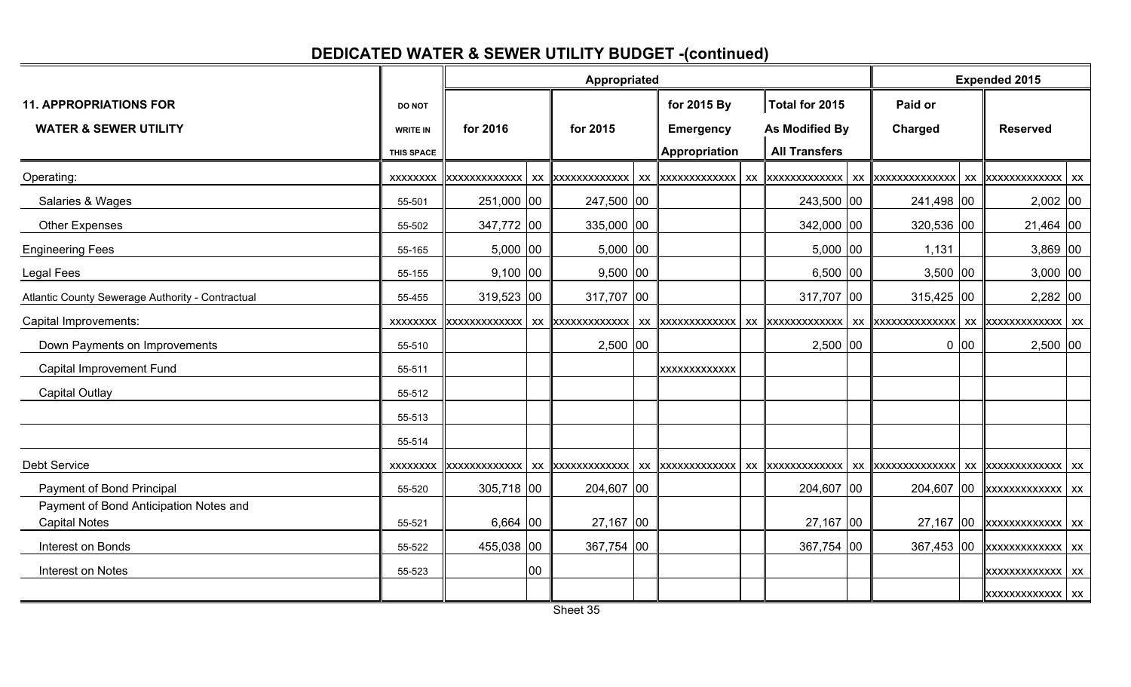## **DEDICATED WATER & SEWER UTILITY BUDGET -(continued)**

|                                                                   |                                  |            |    | Appropriated                 |                                 |  |                                  |                    | <b>Expended 2015</b> |                                                    |  |
|-------------------------------------------------------------------|----------------------------------|------------|----|------------------------------|---------------------------------|--|----------------------------------|--------------------|----------------------|----------------------------------------------------|--|
| <b>11. APPROPRIATIONS FOR</b><br><b>WATER &amp; SEWER UTILITY</b> | <b>DO NOT</b><br><b>WRITE IN</b> | for 2016   |    | for 2015                     | for 2015 By<br><b>Emergency</b> |  | Total for 2015<br>As Modified By | Paid or<br>Charged |                      | <b>Reserved</b>                                    |  |
|                                                                   | THIS SPACE                       |            |    |                              | <b>Appropriation</b>            |  | <b>All Transfers</b>             |                    |                      |                                                    |  |
| Operating:                                                        |                                  |            |    |                              |                                 |  |                                  |                    |                      |                                                    |  |
| Salaries & Wages                                                  | 55-501                           | 251,000 00 |    | 247,500 00                   |                                 |  | 243,500 00                       | 241,498 00         |                      | 2,002 00                                           |  |
| Other Expenses                                                    | 55-502                           | 347,772 00 |    | 335,000 00                   |                                 |  | 342,000 00                       | 320,536 00         |                      | 21,464 00                                          |  |
| <b>Engineering Fees</b>                                           | 55-165                           | $5,000$ 00 |    | $5,000$ 00                   |                                 |  | $5,000$ 00                       | 1,131              |                      | $3,869$ 00                                         |  |
| <b>Legal Fees</b>                                                 | 55-155                           | $9,100$ 00 |    | $9,500$ 00                   |                                 |  | $6,500$ 00                       | $3,500$ 00         |                      | $3,000$ 00                                         |  |
| Atlantic County Sewerage Authority - Contractual                  | 55-455                           | 319,523 00 |    | 317,707 00                   |                                 |  | 317,707 00                       | 315,425 00         |                      | 2,282 00                                           |  |
| Capital Improvements:                                             |                                  |            |    |                              | xx xxxxxxxxxxxx                 |  |                                  |                    |                      |                                                    |  |
| Down Payments on Improvements                                     | 55-510                           |            |    | 2,500 00                     |                                 |  | $2,500$ 00                       |                    | $0$ 00               | 2,500 00                                           |  |
| Capital Improvement Fund                                          | 55-511                           |            |    |                              | <b>XXXXXXXXXXXX</b>             |  |                                  |                    |                      |                                                    |  |
| Capital Outlay                                                    | 55-512                           |            |    |                              |                                 |  |                                  |                    |                      |                                                    |  |
|                                                                   | 55-513                           |            |    |                              |                                 |  |                                  |                    |                      |                                                    |  |
|                                                                   | 55-514                           |            |    |                              |                                 |  |                                  |                    |                      |                                                    |  |
| <b>Debt Service</b>                                               | <b>XXXXXXXX</b>                  |            |    | xxxxxxxxxxxxx xxxxxxxxxxxxxx | xx xxxxxxxxxxxx                 |  |                                  |                    |                      |                                                    |  |
| Payment of Bond Principal                                         | 55-520                           | 305,718 00 |    | 204,607 00                   |                                 |  | 204,607 00                       | 204,607 00         |                      | <b>XXXXXXXXXXXXX</b> XX                            |  |
| Payment of Bond Anticipation Notes and<br><b>Capital Notes</b>    | 55-521                           | $6,664$ 00 |    | 27,167 00                    |                                 |  | $27,167$ 00                      |                    |                      | 27,167 $\vert$ 00 $\vert$ xxxxxxxxxxxxx $\vert$ xx |  |
| Interest on Bonds                                                 | 55-522                           | 455,038 00 |    | 367,754 00                   |                                 |  | 367,754 00                       | 367,453 00         |                      | <b>XXXXXXXXXXXXX</b> XX                            |  |
| Interest on Notes                                                 | 55-523                           |            | 00 |                              |                                 |  |                                  |                    |                      | <b>XXXXXXXXXXXXX</b> XX                            |  |
|                                                                   |                                  |            |    |                              |                                 |  |                                  |                    |                      | <b>XXXXXXXXXXXXX</b> XX                            |  |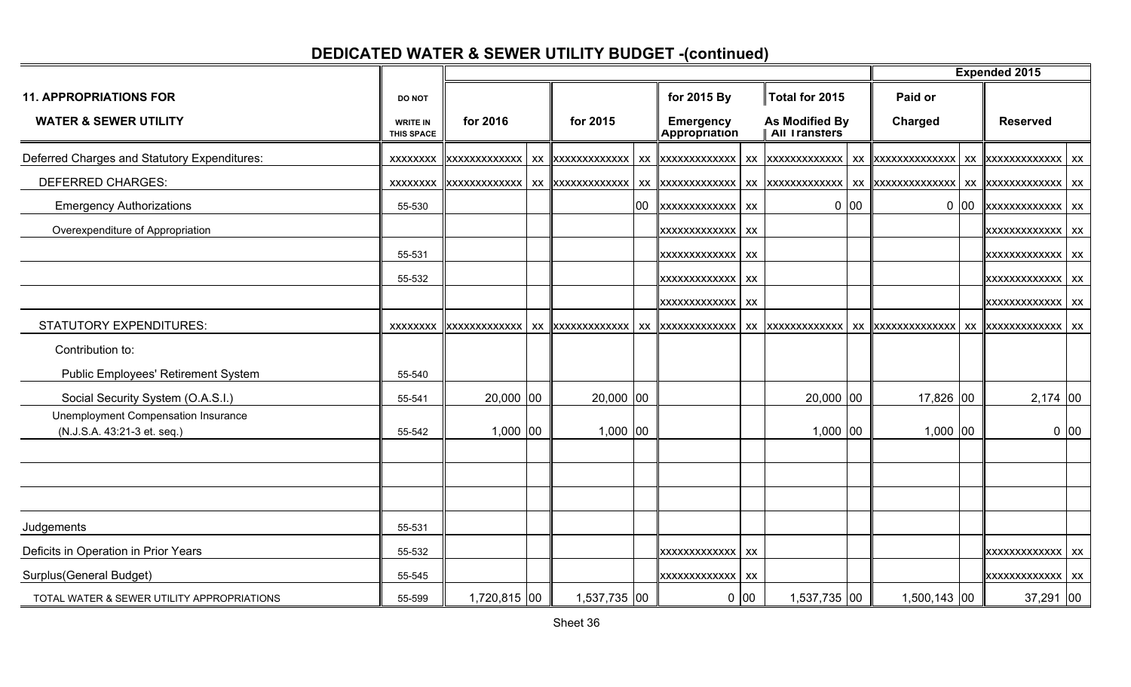# **DEDICATED WATER & SEWER UTILITY BUDGET -(continued)**

|                                                                    |                                      |              |                                       |                                   |                 |                                 |      |              |             | <b>Expended 2015</b>    |      |
|--------------------------------------------------------------------|--------------------------------------|--------------|---------------------------------------|-----------------------------------|-----------------|---------------------------------|------|--------------|-------------|-------------------------|------|
| <b>11. APPROPRIATIONS FOR</b>                                      | DO NOT                               |              |                                       | for 2015 By                       |                 | Total for 2015                  |      | Paid or      |             |                         |      |
| <b>WATER &amp; SEWER UTILITY</b>                                   | <b>WRITE IN</b><br><b>THIS SPACE</b> | for 2016     | for 2015                              | <b>Emergency</b><br>Appropriation |                 | As Modified By<br>All Transters |      | Charged      |             | <b>Reserved</b>         |      |
| Deferred Charges and Statutory Expenditures:                       |                                      |              | xxxxxxxx xxxxxxxxxxxxxx xxxxxxxxxxxxx | xx   xxxxxxxxxxxx                 |                 |                                 |      |              |             |                         |      |
| <b>DEFERRED CHARGES:</b>                                           |                                      |              |                                       | XX XXXXXXXXXXXXX                  |                 |                                 |      |              |             |                         |      |
| <b>Emergency Authorizations</b>                                    | 55-530                               |              |                                       | 00 xxxxxxxxxxxxx xx               |                 |                                 | 0 00 |              | $0\vert 00$ | <b>XXXXXXXXXXXXX</b> XX |      |
| Overexpenditure of Appropriation                                   |                                      |              |                                       | <b>XXXXXXXXXXXXX</b> XX           |                 |                                 |      |              |             | XXXXXXXXXXXXX XX        |      |
|                                                                    | 55-531                               |              |                                       | XXXXXXXXXXXXX XX                  |                 |                                 |      |              |             | XXXXXXXXXXXXX XX        |      |
|                                                                    | 55-532                               |              |                                       | XXXXXXXXXXXX                      | $\mathsf{L}$ XX |                                 |      |              |             | <b>XXXXXXXXXXXXX</b> XX |      |
|                                                                    |                                      |              |                                       | XXXXXXXXXXXX                      | XX              |                                 |      |              |             | XXXXXXXXXXXXX XX        |      |
| <b>STATUTORY EXPENDITURES:</b>                                     |                                      |              |                                       |                                   |                 |                                 |      |              |             |                         |      |
| Contribution to:                                                   |                                      |              |                                       |                                   |                 |                                 |      |              |             |                         |      |
| Public Employees' Retirement System                                | 55-540                               |              |                                       |                                   |                 |                                 |      |              |             |                         |      |
| Social Security System (O.A.S.I.)                                  | 55-541                               | 20,000 00    | 20,000 00                             |                                   |                 | 20,000 00                       |      | 17,826 00    |             | $2,174$ 00              |      |
| Unemployment Compensation Insurance<br>(N.J.S.A. 43:21-3 et. seq.) | 55-542                               | 1,000 00     | $1,000$ 00                            |                                   |                 | $1,000$ 00                      |      | 1,000 00     |             |                         | 0 00 |
|                                                                    |                                      |              |                                       |                                   |                 |                                 |      |              |             |                         |      |
|                                                                    |                                      |              |                                       |                                   |                 |                                 |      |              |             |                         |      |
|                                                                    |                                      |              |                                       |                                   |                 |                                 |      |              |             |                         |      |
| Judgements                                                         | 55-531                               |              |                                       |                                   |                 |                                 |      |              |             |                         |      |
| Deficits in Operation in Prior Years                               | 55-532                               |              |                                       | XXXXXXXXXXXXX XX                  |                 |                                 |      |              |             | <b>XXXXXXXXXXXXX</b> XX |      |
| Surplus(General Budget)                                            | 55-545                               |              |                                       | XXXXXXXXXXXX                      | XX              |                                 |      |              |             | <b>XXXXXXXXXXXXX</b> XX |      |
| TOTAL WATER & SEWER UTILITY APPROPRIATIONS                         | 55-599                               | 1,720,815 00 | 1,537,735 00                          |                                   | $0$ 00          | 1,537,735 00                    |      | 1,500,143 00 |             | $37,291$ 00             |      |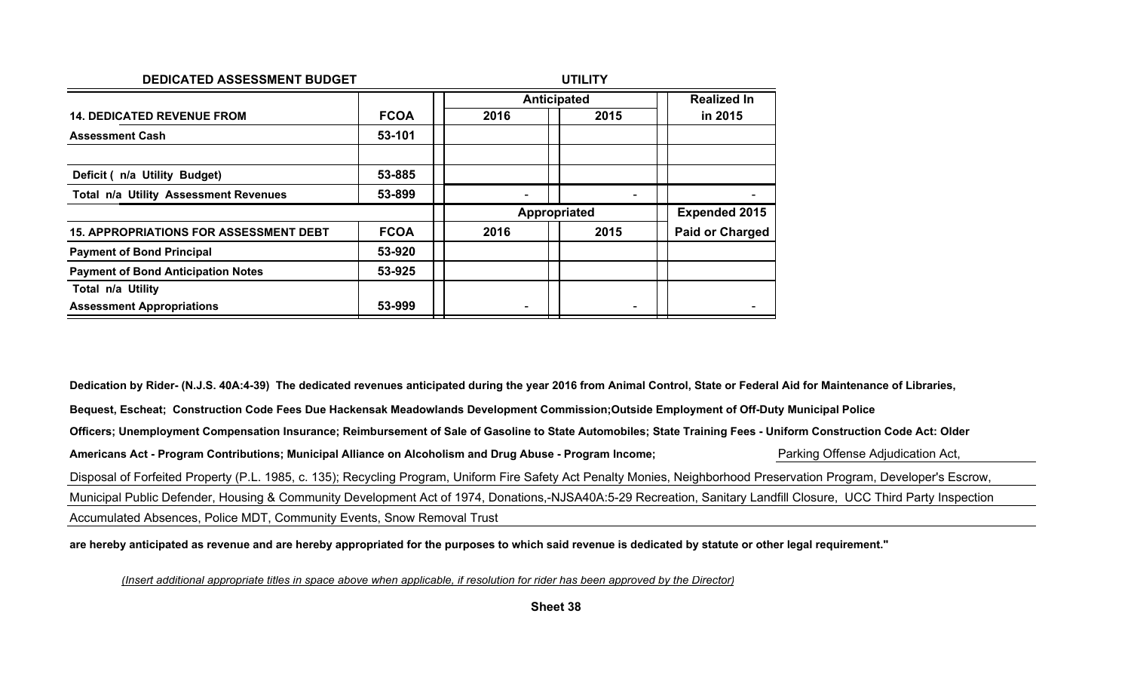| DEDICATED ASSESSMENT BUDGET                   |             |      | <b>UTILITY</b>     |                        |
|-----------------------------------------------|-------------|------|--------------------|------------------------|
|                                               |             |      | <b>Anticipated</b> | <b>Realized In</b>     |
| <b>14. DEDICATED REVENUE FROM</b>             | <b>FCOA</b> | 2016 | 2015               | in 2015                |
| <b>Assessment Cash</b>                        | 53-101      |      |                    |                        |
| Deficit ( n/a Utility Budget)                 | 53-885      |      |                    |                        |
| Total n/a Utility Assessment Revenues         | 53-899      |      |                    |                        |
|                                               |             |      | Appropriated       | <b>Expended 2015</b>   |
| <b>15. APPROPRIATIONS FOR ASSESSMENT DEBT</b> | <b>FCOA</b> | 2016 | 2015               | <b>Paid or Charged</b> |
| <b>Payment of Bond Principal</b>              | 53-920      |      |                    |                        |
| <b>Payment of Bond Anticipation Notes</b>     | 53-925      |      |                    |                        |
| Total n/a Utility                             |             |      |                    |                        |
| <b>Assessment Appropriations</b>              | 53-999      |      |                    |                        |

**Dedication by Rider- (N.J.S. 40A:4-39) The dedicated revenues anticipated during the year 2016 from Animal Control, State or Federal Aid for Maintenance of Libraries,Bequest, Escheat; Construction Code Fees Due Hackensak Meadowlands Development Commission;Outside Employment of Off-Duty Municipal PoliceOfficers; Unemployment Compensation Insurance; Reimbursement of Sale of Gasoline to State Automobiles; State Training Fees - Uniform Construction Code Act: OlderAmericans Act - Program Contributions; Municipal Alliance on Alcoholism and Drug Abuse - Program Income;** Parking Offense Adjudication Act, Disposal of Forfeited Property (P.L. 1985, c. 135); Recycling Program, Uniform Fire Safety Act Penalty Monies, Neighborhood Preservation Program, Developer's Escrow,Municipal Public Defender, Housing & Community Development Act of 1974, Donations,-NJSA40A:5-29 Recreation, Sanitary Landfill Closure, UCC Third Party InspectionAccumulated Absences, Police MDT, Community Events, Snow Removal Trust

**are hereby anticipated as revenue and are hereby appropriated for the purposes to which said revenue is dedicated by statute or other legal requirement."**

*(Insert additional appropriate titles in space above when applicable, if resolution for rider has been approved by the Director)*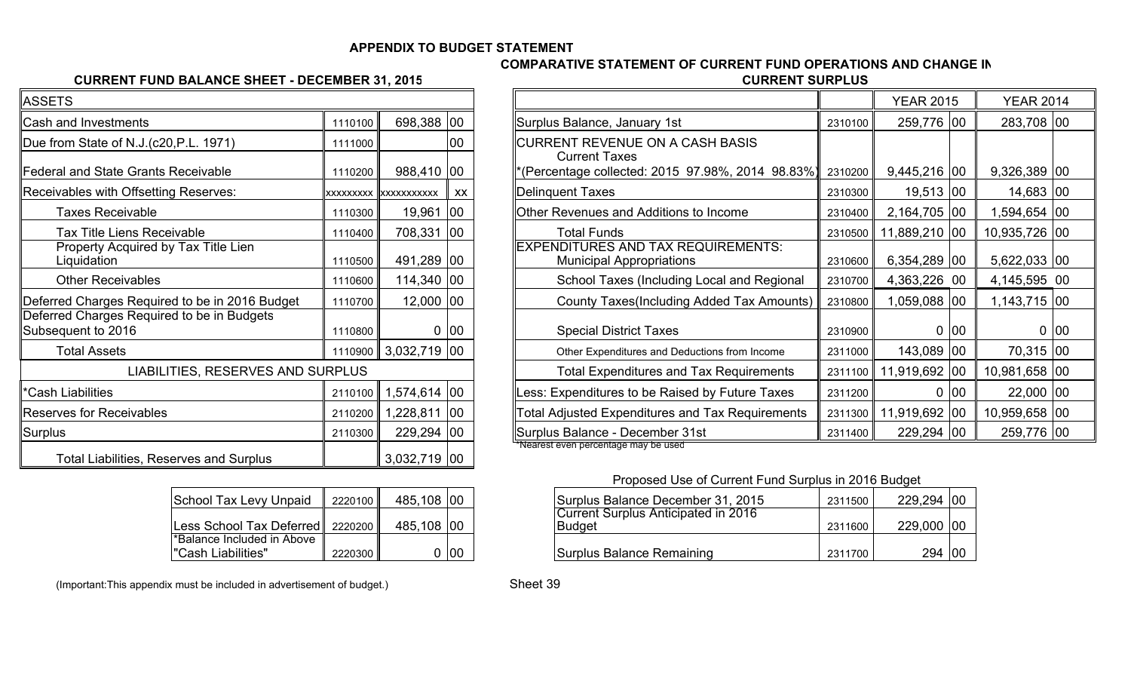#### **APPENDIX TO BUDGET STATEMENT**

#### **COMPARATIVE STATEMENT OF CURRENT FUND OPERATIONS AND CHANGE IN**

#### **CURRENT FUND BALANCE SHEET - DECEMBER 31, 2015**

| ь.<br>J | <b>CURRENT SURPLUS</b> |
|---------|------------------------|
|         |                        |
|         |                        |

| <b>ASSETS</b>                                                    |         |                               |    |
|------------------------------------------------------------------|---------|-------------------------------|----|
| Cash and Investments                                             | 1110100 | 698,388                       | 00 |
| Due from State of N.J.(c20, P.L. 1971)                           | 1111000 |                               | 00 |
| <b>Federal and State Grants Receivable</b>                       | 1110200 | 988,410                       | 00 |
| Receivables with Offsetting Reserves:                            |         | <b>XXXXXXXXX IXXXXXXXXXXX</b> | XX |
| <b>Taxes Receivable</b>                                          | 1110300 | 19,961                        | 00 |
| <b>Tax Title Liens Receivable</b>                                | 1110400 | 708,331                       | 00 |
| Property Acquired by Tax Title Lien<br>Liquidation               | 1110500 | 491,289                       | 00 |
| <b>Other Receivables</b>                                         | 1110600 | 114,340                       | 00 |
| Deferred Charges Required to be in 2016 Budget                   | 1110700 | 12,000                        | 00 |
| Deferred Charges Required to be in Budgets<br>Subsequent to 2016 | 1110800 | 0                             | 00 |
| <b>Total Assets</b>                                              | 1110900 | 3,032,719                     | 00 |
| LIABILITIES, RESERVES AND SURPLUS                                |         |                               |    |
| *Cash Liabilities                                                | 2110100 | 1,574,614                     | 00 |
| <b>Reserves for Receivables</b>                                  | 2110200 | 1,228,811                     | 00 |
| Surplus                                                          | 2110300 | 229,294                       | 00 |
| <b>Total Liabilities, Reserves and Surplus</b>                   |         | 3,032,719                     | 00 |

| <b>School Tax Levy Unpaid</b>                    | 2220100 | 485,108 00 |  |
|--------------------------------------------------|---------|------------|--|
| Less School Tax Deferred    2220200              |         | 485,108 00 |  |
| *Balance Included in Above<br>"Cash Liabilities" | 2220300 |            |  |
|                                                  |         |            |  |

| ГS                                                    |         |                              |      |                                                                              |         | <b>YEAR 2015</b>      | <b>YEAR 2014</b> |      |
|-------------------------------------------------------|---------|------------------------------|------|------------------------------------------------------------------------------|---------|-----------------------|------------------|------|
| and Investments                                       | 1110100 | 698,388 00                   |      | Surplus Balance, January 1st                                                 | 2310100 | 259,776 00            | 283,708 00       |      |
| om State of N.J.(c20, P.L. 1971)                      | 1111000 |                              | 100  | CURRENT REVENUE ON A CASH BASIS<br><b>Current Taxes</b>                      |         |                       |                  |      |
| al and State Grants Receivable                        | 1110200 | 988,410 00                   |      | *(Percentage collected: 2015 97.98%, 2014 98.83%)                            | 2310200 | 9,445,216 00          | 9,326,389 00     |      |
| ables with Offsetting Reserves:                       |         | <b>xxxxxxxxx xxxxxxxxxxx</b> | XX   | Delinquent Taxes                                                             | 2310300 | 19,513 00             | 14,683 00        |      |
| <b>Faxes Receivable</b>                               | 1110300 | 19,961 00                    |      | Other Revenues and Additions to Income                                       | 2310400 | 2,164,705 00          | ,594,654 00      |      |
| <b>Fax Title Liens Receivable</b>                     | 1110400 | 708,331 00                   |      | <b>Total Funds</b>                                                           | 2310500 | 11,889,210 00         | 10,935,726 00    |      |
| Property Acquired by Tax Title Lien<br>.iquidation    | 1110500 | 491,289 00                   |      | <b>EXPENDITURES AND TAX REQUIREMENTS:</b><br><b>Municipal Appropriations</b> | 2310600 | $6,354,289$ 00        | 5,622,033 00     |      |
| Other Receivables                                     | 1110600 | 114,340 00                   |      | School Taxes (Including Local and Regional                                   | 2310700 | 4,363,226 00          | 4,145,595 00     |      |
| ed Charges Required to be in 2016 Budget              | 1110700 | $12,000$ 00                  |      | County Taxes(Including Added Tax Amounts)                                    | 2310800 | 1,059,088 00          | 1,143,715 00     |      |
| ed Charges Required to be in Budgets<br>quent to 2016 | 1110800 |                              | 0 00 | <b>Special District Taxes</b>                                                | 2310900 | 0 00                  |                  | 0 00 |
| <b>Total Assets</b>                                   | 1110900 | 3,032,719 00                 |      | Other Expenditures and Deductions from Income                                | 2311000 | 143,089 00            | 70,315 00        |      |
| LIABILITIES, RESERVES AND SURPLUS                     |         |                              |      | <b>Total Expenditures and Tax Requirements</b>                               | 2311100 | 11,919,692 00         | 10,981,658 00    |      |
| Liabilities                                           | 2110100 | 1,574,614 00                 |      | Less: Expenditures to be Raised by Future Taxes                              | 2311200 | 0 00                  | 22,000 00        |      |
| es for Receivables                                    | 2110200 | 1,228,811 00                 |      | Total Adjusted Expenditures and Tax Requirements                             |         | 2311300 11,919,692 00 | 10,959,658 00    |      |
|                                                       | 2110300 | 229,294 00                   |      | Surplus Balance - December 31st<br>"Nearest even percentage may be used      | 2311400 | 229,294 00            | 259,776 00       |      |

Proposed Use of Current Fund Surplus in 2016 Budget

|    | 2220100              | 485,108 00 |     | Surplus Balance December 31, 2015              | 2311500 | 229,294 00 |  |
|----|----------------------|------------|-----|------------------------------------------------|---------|------------|--|
|    | $\text{red}$ 2220200 | 485,108 00 |     | Current Surplus Anticipated in 2016<br> Budget | 2311600 | 229,000 00 |  |
| ve | 2220300 II           |            | 100 | Surplus Balance Remaining                      | 2311700 | 294 00     |  |

Sheet 39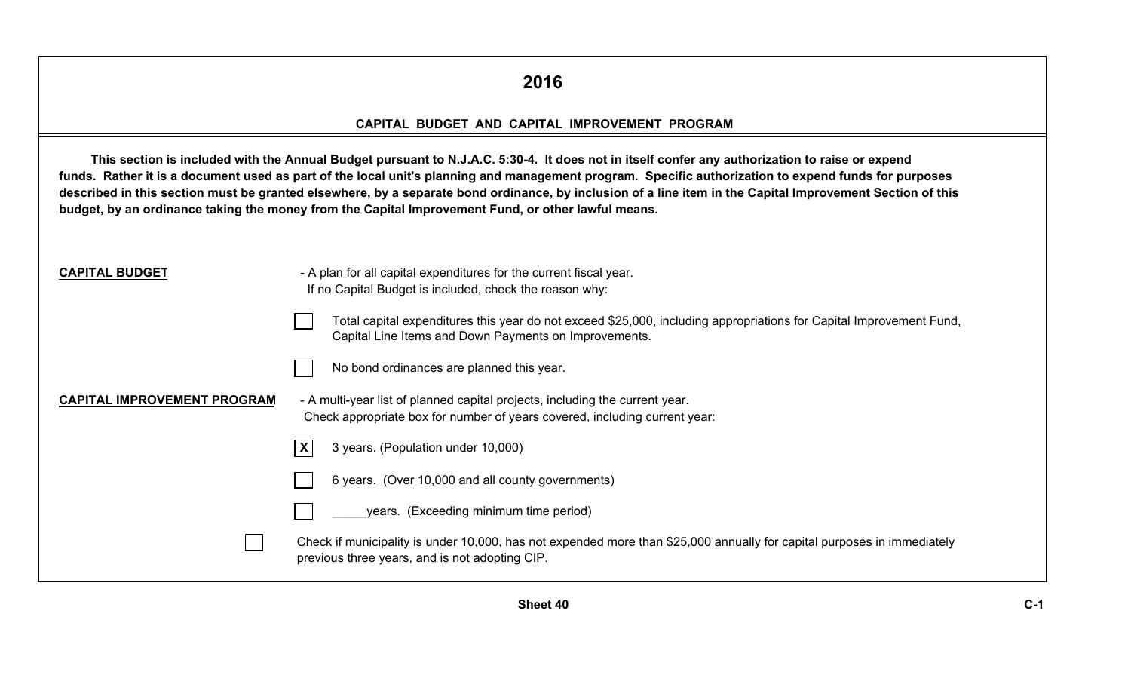### **2016**

#### **CAPITAL BUDGET AND CAPITAL IMPROVEMENT PROGRAM**

|                                    | This section is included with the Annual Budget pursuant to N.J.A.C. 5:30-4. It does not in itself confer any authorization to raise or expend<br>funds. Rather it is a document used as part of the local unit's planning and management program. Specific authorization to expend funds for purposes<br>described in this section must be granted elsewhere, by a separate bond ordinance, by inclusion of a line item in the Capital Improvement Section of this<br>budget, by an ordinance taking the money from the Capital Improvement Fund, or other lawful means. |
|------------------------------------|---------------------------------------------------------------------------------------------------------------------------------------------------------------------------------------------------------------------------------------------------------------------------------------------------------------------------------------------------------------------------------------------------------------------------------------------------------------------------------------------------------------------------------------------------------------------------|
| <b>CAPITAL BUDGET</b>              | - A plan for all capital expenditures for the current fiscal year.<br>If no Capital Budget is included, check the reason why:                                                                                                                                                                                                                                                                                                                                                                                                                                             |
|                                    | Total capital expenditures this year do not exceed \$25,000, including appropriations for Capital Improvement Fund,<br>Capital Line Items and Down Payments on Improvements.                                                                                                                                                                                                                                                                                                                                                                                              |
|                                    | No bond ordinances are planned this year.                                                                                                                                                                                                                                                                                                                                                                                                                                                                                                                                 |
| <b>CAPITAL IMPROVEMENT PROGRAM</b> | - A multi-year list of planned capital projects, including the current year.<br>Check appropriate box for number of years covered, including current year:                                                                                                                                                                                                                                                                                                                                                                                                                |
|                                    | X<br>3 years. (Population under 10,000)                                                                                                                                                                                                                                                                                                                                                                                                                                                                                                                                   |
|                                    | 6 years. (Over 10,000 and all county governments)                                                                                                                                                                                                                                                                                                                                                                                                                                                                                                                         |
|                                    | years. (Exceeding minimum time period)                                                                                                                                                                                                                                                                                                                                                                                                                                                                                                                                    |
|                                    | Check if municipality is under 10,000, has not expended more than \$25,000 annually for capital purposes in immediately<br>previous three years, and is not adopting CIP.                                                                                                                                                                                                                                                                                                                                                                                                 |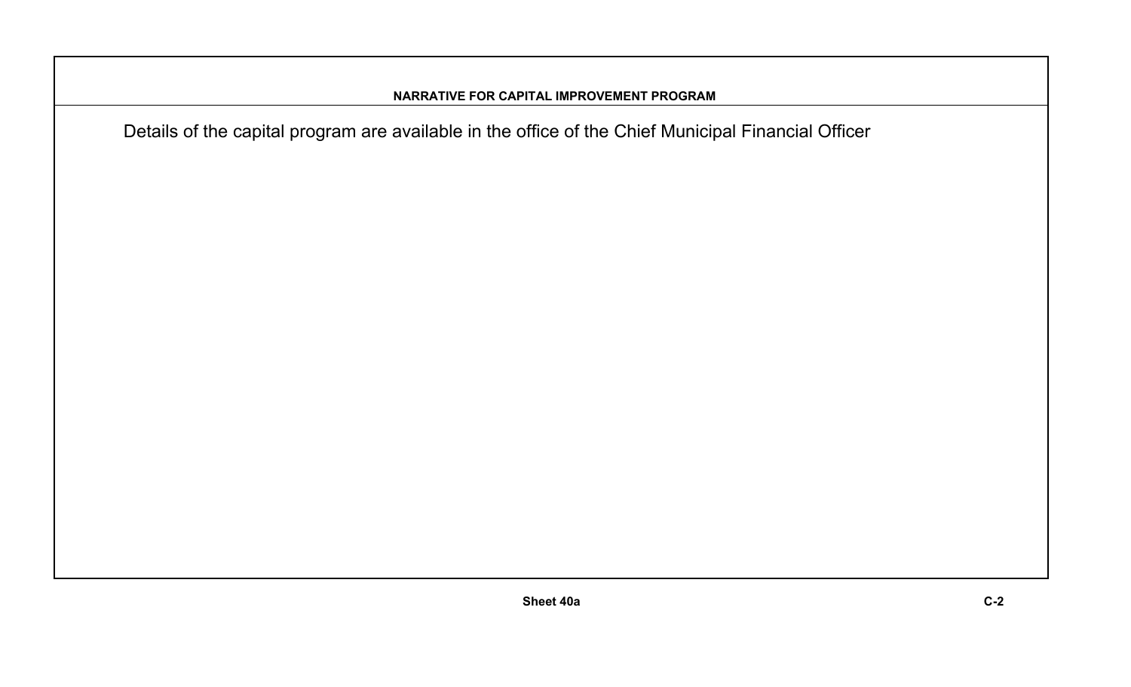#### **NARRATIVE FOR CAPITAL IMPROVEMENT PROGRAM**

Details of the capital program are available in the office of the Chief Municipal Financial Officer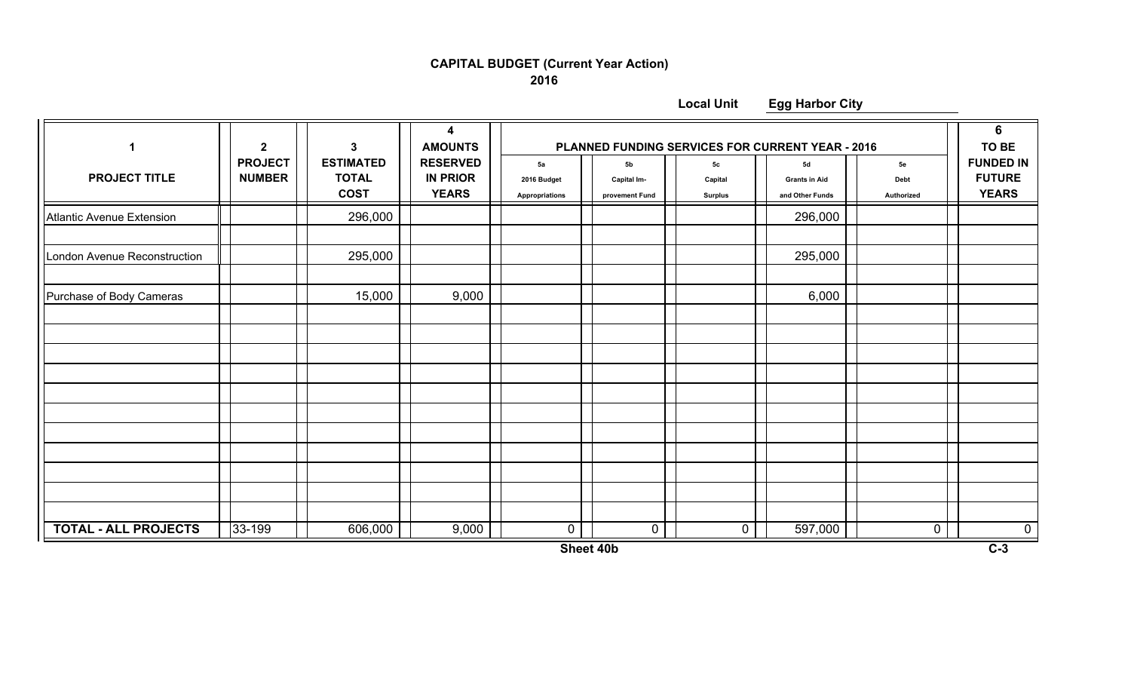### **CAPITAL BUDGET (Current Year Action)**

**2016**

**Local Unit**

**Egg Harbor City**

| 1                            | $\mathbf{2}$                    | 3                                               | 4<br><b>AMOUNTS</b>                                | PLANNED FUNDING SERVICES FOR CURRENT YEAR - 2016 |                                                 |                                 |                                               |                          | 6<br>TO BE                                        |
|------------------------------|---------------------------------|-------------------------------------------------|----------------------------------------------------|--------------------------------------------------|-------------------------------------------------|---------------------------------|-----------------------------------------------|--------------------------|---------------------------------------------------|
| <b>PROJECT TITLE</b>         | <b>PROJECT</b><br><b>NUMBER</b> | <b>ESTIMATED</b><br><b>TOTAL</b><br><b>COST</b> | <b>RESERVED</b><br><b>IN PRIOR</b><br><b>YEARS</b> | 5a<br>2016 Budget<br>Appropriations              | 5 <sub>b</sub><br>Capital Im-<br>provement Fund | 5с<br>Capital<br><b>Surplus</b> | 5d<br><b>Grants in Aid</b><br>and Other Funds | 5e<br>Debt<br>Authorized | <b>FUNDED IN</b><br><b>FUTURE</b><br><b>YEARS</b> |
| Atlantic Avenue Extension    |                                 | 296,000                                         |                                                    |                                                  |                                                 |                                 | 296,000                                       |                          |                                                   |
| London Avenue Reconstruction |                                 | 295,000                                         |                                                    |                                                  |                                                 |                                 | 295,000                                       |                          |                                                   |
| Purchase of Body Cameras     |                                 | 15,000                                          | 9,000                                              |                                                  |                                                 |                                 | 6,000                                         |                          |                                                   |
|                              |                                 |                                                 |                                                    |                                                  |                                                 |                                 |                                               |                          |                                                   |
|                              |                                 |                                                 |                                                    |                                                  |                                                 |                                 |                                               |                          |                                                   |
|                              |                                 |                                                 |                                                    |                                                  |                                                 |                                 |                                               |                          |                                                   |
|                              |                                 |                                                 |                                                    |                                                  |                                                 |                                 |                                               |                          |                                                   |
|                              |                                 |                                                 |                                                    |                                                  |                                                 |                                 |                                               |                          |                                                   |
|                              |                                 |                                                 |                                                    |                                                  |                                                 |                                 |                                               |                          |                                                   |
|                              |                                 |                                                 |                                                    |                                                  |                                                 |                                 |                                               |                          |                                                   |
|                              |                                 |                                                 |                                                    |                                                  |                                                 |                                 |                                               |                          |                                                   |
|                              |                                 |                                                 |                                                    |                                                  |                                                 |                                 |                                               |                          |                                                   |
| <b>TOTAL - ALL PROJECTS</b>  | 33-199                          | 606,000                                         | 9,000                                              | $\mathbf 0$                                      | 0                                               | $\mathbf 0$                     | 597,000                                       | $\mathbf 0$              | $\overline{0}$                                    |

**Sheet 40b**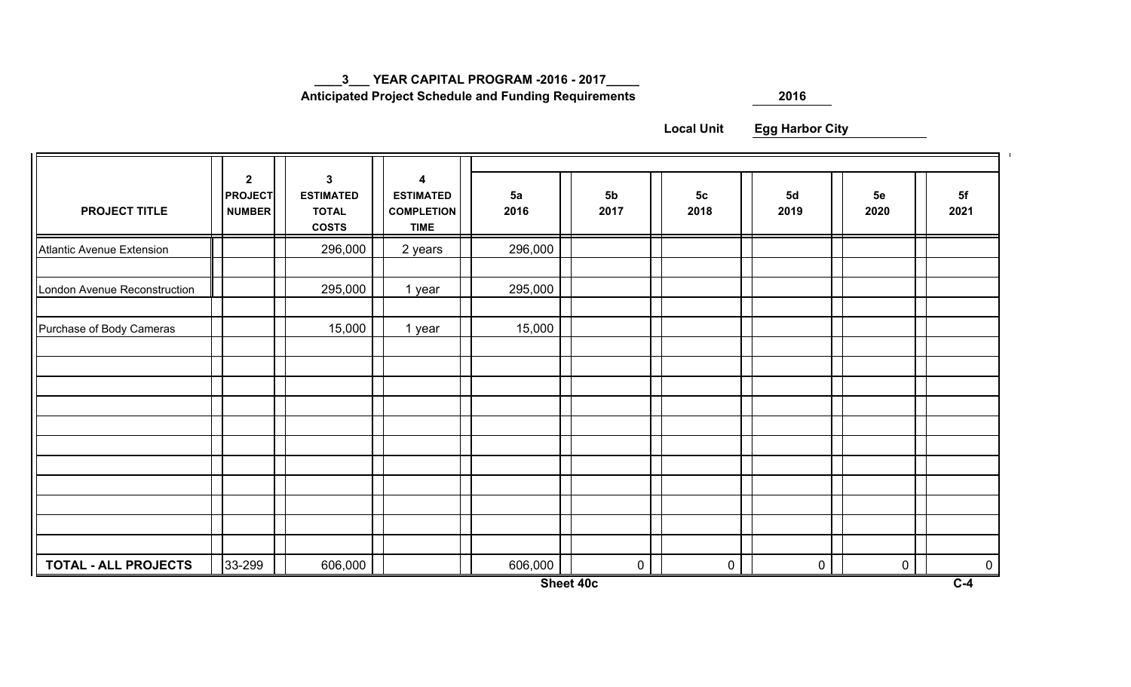**\_\_\_\_3\_\_\_ YEAR CAPITAL PROGRAM -2016 - 2017\_\_\_\_\_**

 **Anticipated Project Schedule and Funding Requirements**

**<sup>2016</sup>**

**Local UnitEgg Harbor City**

| <b>PROJECT TITLE</b>             | $\mathbf{2}$<br><b>PROJECT</b><br><b>NUMBER</b> | $\mathbf 3$<br><b>ESTIMATED</b><br><b>TOTAL</b><br><b>COSTS</b> | $\overline{\mathbf{4}}$<br><b>ESTIMATED</b><br><b>COMPLETION</b><br><b>TIME</b> | 5a<br>2016 | 5 <sub>b</sub><br>2017 | 5 <sub>c</sub><br>2018 | 5d<br>2019  | 5e<br>2020 | 5f<br>2021  |
|----------------------------------|-------------------------------------------------|-----------------------------------------------------------------|---------------------------------------------------------------------------------|------------|------------------------|------------------------|-------------|------------|-------------|
| <b>Atlantic Avenue Extension</b> |                                                 | 296,000                                                         | 2 years                                                                         | 296,000    |                        |                        |             |            |             |
| London Avenue Reconstruction     |                                                 | 295,000                                                         | 1 year                                                                          | 295,000    |                        |                        |             |            |             |
| Purchase of Body Cameras         |                                                 | 15,000                                                          | 1 year                                                                          | 15,000     |                        |                        |             |            |             |
|                                  |                                                 |                                                                 |                                                                                 |            |                        |                        |             |            |             |
|                                  |                                                 |                                                                 |                                                                                 |            |                        |                        |             |            |             |
|                                  |                                                 |                                                                 |                                                                                 |            |                        |                        |             |            |             |
|                                  |                                                 |                                                                 |                                                                                 |            |                        |                        |             |            |             |
|                                  |                                                 |                                                                 |                                                                                 |            |                        |                        |             |            |             |
|                                  |                                                 |                                                                 |                                                                                 |            |                        |                        |             |            |             |
|                                  |                                                 |                                                                 |                                                                                 |            |                        |                        |             |            |             |
|                                  |                                                 |                                                                 |                                                                                 |            |                        |                        |             |            |             |
|                                  |                                                 |                                                                 |                                                                                 |            |                        |                        |             |            |             |
|                                  |                                                 |                                                                 |                                                                                 |            | $\mathbf 0$            | $\boldsymbol{0}$       |             |            |             |
| <b>TOTAL - ALL PROJECTS</b>      | 33-299                                          | 606,000                                                         |                                                                                 | 606,000    |                        |                        | $\mathbf 0$ | 0          | $\mathbf 0$ |

**Sheet 40c**

 $\mathbf{u}$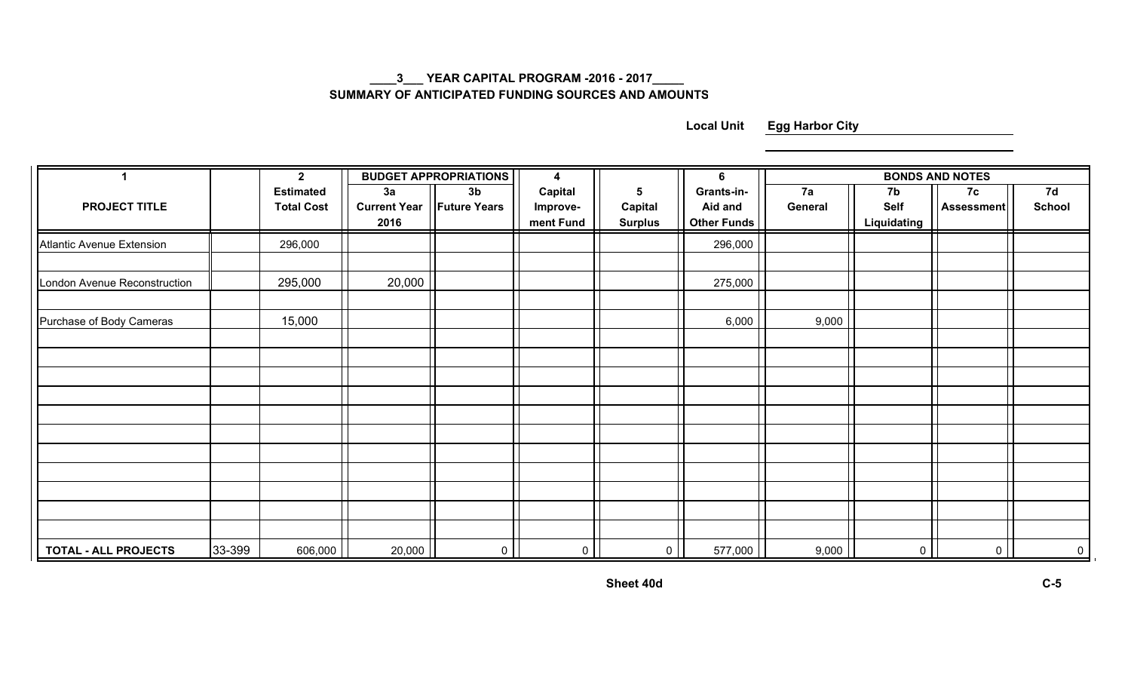#### **\_\_\_\_3\_\_\_ YEAR CAPITAL PROGRAM -2016 - 2017\_\_\_\_\_ SUMMARY OF ANTICIPATED FUNDING SOURCES AND AMOUNTS**

**Local Unit Egg Harbor City**

| 1                            |        | $\mathbf{2}$                          |                                   | <b>BUDGET APPROPRIATIONS</b>          | 4                                |                                              | 6                                           | <b>BONDS AND NOTES</b> |                                  |                  |                     |
|------------------------------|--------|---------------------------------------|-----------------------------------|---------------------------------------|----------------------------------|----------------------------------------------|---------------------------------------------|------------------------|----------------------------------|------------------|---------------------|
| <b>PROJECT TITLE</b>         |        | <b>Estimated</b><br><b>Total Cost</b> | 3a<br><b>Current Year</b><br>2016 | 3 <sub>b</sub><br><b>Future Years</b> | Capital<br>Improve-<br>ment Fund | $5\phantom{.0}$<br>Capital<br><b>Surplus</b> | Grants-in-<br>Aid and<br><b>Other Funds</b> | 7a<br>General          | 7b<br><b>Self</b><br>Liquidating | 7c<br>Assessment | 7d<br><b>School</b> |
| Atlantic Avenue Extension    |        | 296,000                               |                                   |                                       |                                  |                                              | 296,000                                     |                        |                                  |                  |                     |
| London Avenue Reconstruction |        | 295,000                               | 20,000                            |                                       |                                  |                                              | 275,000                                     |                        |                                  |                  |                     |
| Purchase of Body Cameras     |        | 15,000                                |                                   |                                       |                                  |                                              | 6,000                                       | 9,000                  |                                  |                  |                     |
|                              |        |                                       |                                   |                                       |                                  |                                              |                                             |                        |                                  |                  |                     |
|                              |        |                                       |                                   |                                       |                                  |                                              |                                             |                        |                                  |                  |                     |
|                              |        |                                       |                                   |                                       |                                  |                                              |                                             |                        |                                  |                  |                     |
|                              |        |                                       |                                   |                                       |                                  |                                              |                                             |                        |                                  |                  |                     |
|                              |        |                                       |                                   |                                       |                                  |                                              |                                             |                        |                                  |                  |                     |
|                              |        |                                       |                                   |                                       |                                  |                                              |                                             |                        |                                  |                  |                     |
|                              |        |                                       |                                   |                                       |                                  |                                              |                                             |                        |                                  |                  |                     |
| <b>TOTAL - ALL PROJECTS</b>  | 33-399 | 606,000                               | 20,000                            | $\circ$                               | $\overline{0}$                   | $\circ$                                      | 577,000                                     | 9,000                  | $\overline{0}$                   | $\overline{0}$   | $\overline{0}$      |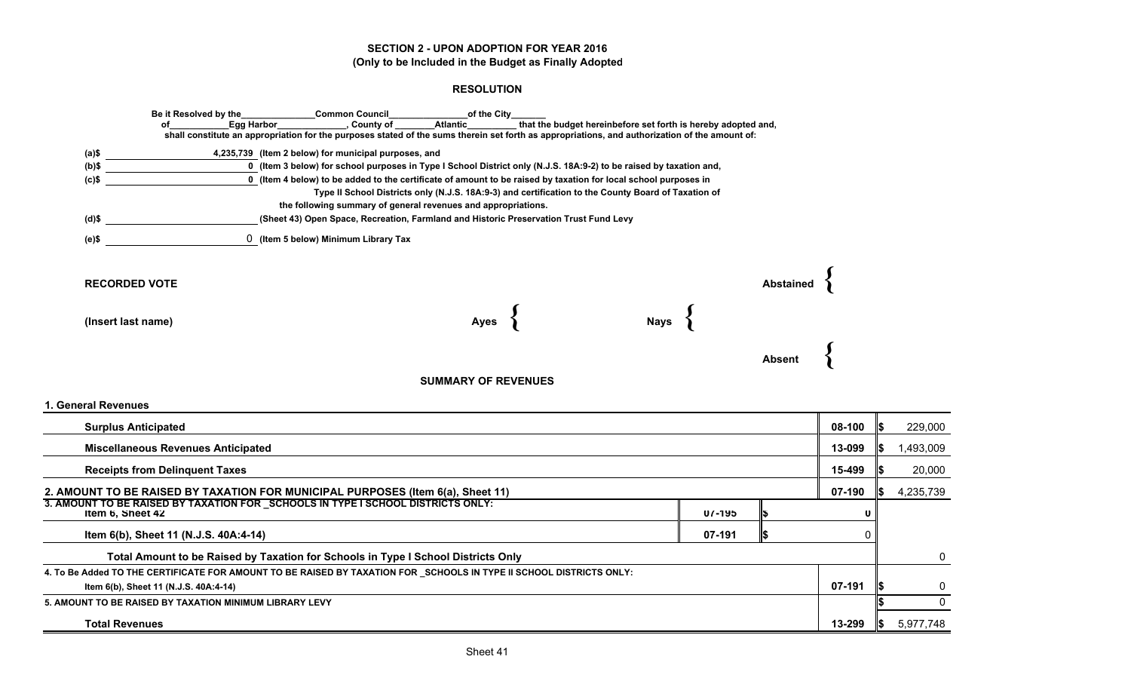#### **SECTION 2 - UPON ADOPTION FOR YEAR 2016(Only to be Included in the Budget as Finally Adopted**

#### **RESOLUTION**

| Ωf                   | Be it Resolved by the<br>Egg Harbor                  | of the City<br><b>Common Council</b><br><b>Atlantic</b><br>, County of                                                                         | that the budget hereinbefore set forth is hereby adopted and, |               |
|----------------------|------------------------------------------------------|------------------------------------------------------------------------------------------------------------------------------------------------|---------------------------------------------------------------|---------------|
|                      |                                                      | shall constitute an appropriation for the purposes stated of the sums therein set forth as appropriations, and authorization of the amount of: |                                                               |               |
| (a)\$                | 4,235,739 (Item 2 below) for municipal purposes, and |                                                                                                                                                |                                                               |               |
| $(b)$ \$             |                                                      | 0 (Item 3 below) for school purposes in Type I School District only (N.J.S. 18A:9-2) to be raised by taxation and,                             |                                                               |               |
| $(c)$ \$             |                                                      | 0 (Item 4 below) to be added to the certificate of amount to be raised by taxation for local school purposes in                                |                                                               |               |
|                      |                                                      | Type II School Districts only (N.J.S. 18A:9-3) and certification to the County Board of Taxation of                                            |                                                               |               |
|                      |                                                      | the following summary of general revenues and appropriations.                                                                                  |                                                               |               |
| (d)\$                |                                                      | (Sheet 43) Open Space, Recreation, Farmland and Historic Preservation Trust Fund Levy                                                          |                                                               |               |
| $(e)$ \$             | 0 (Item 5 below) Minimum Library Tax                 |                                                                                                                                                |                                                               |               |
|                      |                                                      |                                                                                                                                                |                                                               |               |
| <b>RECORDED VOTE</b> |                                                      |                                                                                                                                                |                                                               | Abstain       |
|                      |                                                      |                                                                                                                                                |                                                               |               |
|                      |                                                      |                                                                                                                                                |                                                               |               |
| (Insert last name)   |                                                      | Ayes                                                                                                                                           | Nays                                                          |               |
|                      |                                                      |                                                                                                                                                |                                                               |               |
|                      |                                                      |                                                                                                                                                |                                                               |               |
|                      |                                                      |                                                                                                                                                |                                                               | <b>Absent</b> |
|                      |                                                      | <b>SUMMARY OF REVENUES</b>                                                                                                                     |                                                               |               |
| 1. General Revenues  |                                                      |                                                                                                                                                |                                                               |               |

| <b>Surplus Anticipated</b>                                                                                           |        | 08-100 |           | 229,000 |           |  |  |
|----------------------------------------------------------------------------------------------------------------------|--------|--------|-----------|---------|-----------|--|--|
| <b>Miscellaneous Revenues Anticipated</b>                                                                            | 13-099 |        | 1,493,009 |         |           |  |  |
| <b>Receipts from Delinguent Taxes</b>                                                                                |        |        |           |         |           |  |  |
| 2. AMOUNT TO BE RAISED BY TAXATION FOR MUNICIPAL PURPOSES (Item 6(a), Sheet 11)                                      |        |        |           |         |           |  |  |
| 3. AMOUNT TO BE RAISED BY TAXATION FOR SCHOOLS IN TYPE I SCHOOL DISTRICTS ONLY:<br>Item 6, Sheet 42                  | 07-195 |        | o         |         |           |  |  |
| Item 6(b), Sheet 11 (N.J.S. 40A:4-14)                                                                                | 07-191 |        |           |         |           |  |  |
| Total Amount to be Raised by Taxation for Schools in Type I School Districts Only                                    |        |        |           |         | $\Omega$  |  |  |
| 4. To Be Added TO THE CERTIFICATE FOR AMOUNT TO BE RAISED BY TAXATION FOR _SCHOOLS IN TYPE II SCHOOL DISTRICTS ONLY: |        |        |           |         |           |  |  |
| Item 6(b), Sheet 11 (N.J.S. 40A:4-14)                                                                                |        |        | 07-191    |         |           |  |  |
| 5. AMOUNT TO BE RAISED BY TAXATION MINIMUM LIBRARY LEVY                                                              |        |        |           |         |           |  |  |
| <b>Total Revenues</b>                                                                                                |        |        | 13-299    |         | 5,977,748 |  |  |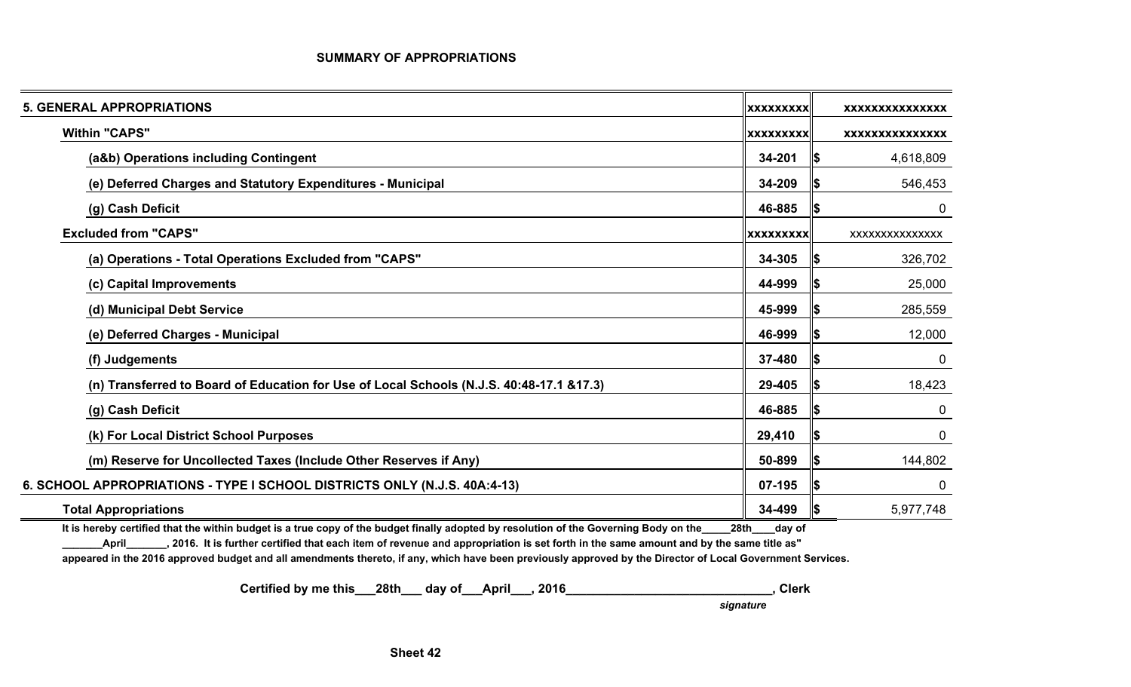#### **SUMMARY OF APPROPRIATIONS**

| <b>5. GENERAL APPROPRIATIONS</b>                                                         | <b>XXXXXXXXX</b> |      | <b>XXXXXXXXXXXXXXX</b> |
|------------------------------------------------------------------------------------------|------------------|------|------------------------|
| <b>Within "CAPS"</b>                                                                     | <b>XXXXXXXXX</b> |      | <b>XXXXXXXXXXXXXXX</b> |
| (a&b) Operations including Contingent                                                    | 34-201           | 15   | 4,618,809              |
| (e) Deferred Charges and Statutory Expenditures - Municipal                              | 34-209           | Ι\$  | 546,453                |
| (g) Cash Deficit                                                                         | 46-885           | I\$  | 0                      |
| <b>Excluded from "CAPS"</b>                                                              | <b>XXXXXXXXX</b> |      | XXXXXXXXXXXXXX         |
| (a) Operations - Total Operations Excluded from "CAPS"                                   | 34-305           | IS.  | 326,702                |
| (c) Capital Improvements                                                                 | 44-999           | 15   | 25,000                 |
| (d) Municipal Debt Service                                                               | 45-999           | 15   | 285,559                |
| (e) Deferred Charges - Municipal                                                         | 46-999           | I\$  | 12,000                 |
| (f) Judgements                                                                           | 37-480           | I\$  | 0                      |
| (n) Transferred to Board of Education for Use of Local Schools (N.J.S. 40:48-17.1 &17.3) | 29-405           | 15   | 18,423                 |
| (g) Cash Deficit                                                                         | 46-885           | 135  | 0                      |
| (k) For Local District School Purposes                                                   | 29,410           | 15   | $\mathbf 0$            |
| (m) Reserve for Uncollected Taxes (Include Other Reserves if Any)                        | 50-899           | 15   | 144,802                |
| 6. SCHOOL APPROPRIATIONS - TYPE I SCHOOL DISTRICTS ONLY (N.J.S. 40A:4-13)                | 07-195           | li\$ | 0                      |
| <b>Total Appropriations</b>                                                              | 34-499           | 15   | 5,977,748              |

**It is hereby certified that the within budget is a true copy of the budget finally adopted by resolution of the Governing Body on the\_\_\_\_\_28th\_\_\_\_day of**

**\_\_\_\_\_\_\_April\_\_\_\_\_\_\_, 2016. It is further certified that each item of revenue and appropriation is set forth in the same amount and by the same title as"**

**appeared in the 2016 approved budget and all amendments thereto, if any, which have been previously approved by the Director of Local Government Services.**

 **Certified by me this\_\_\_28th\_\_\_ day of\_\_\_April\_\_\_, 2016\_\_\_\_\_\_\_\_\_\_\_\_\_\_\_\_\_\_\_\_\_\_\_\_\_\_\_\_\_\_, Clerk**

 *signature*